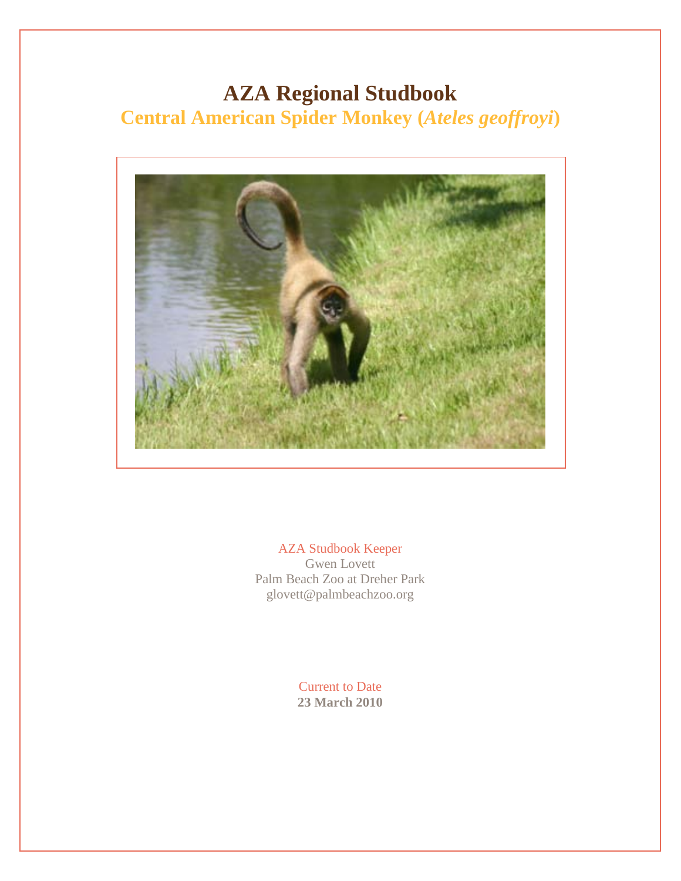# **AZA Regional Studbook Central American Spider Monkey (***Ateles geoffroyi***)**



AZA Studbook Keeper Gwen Lovett Palm Beach Zoo at Dreher Park glovett@palmbeachzoo.org

> Current to Date **23 March 2010**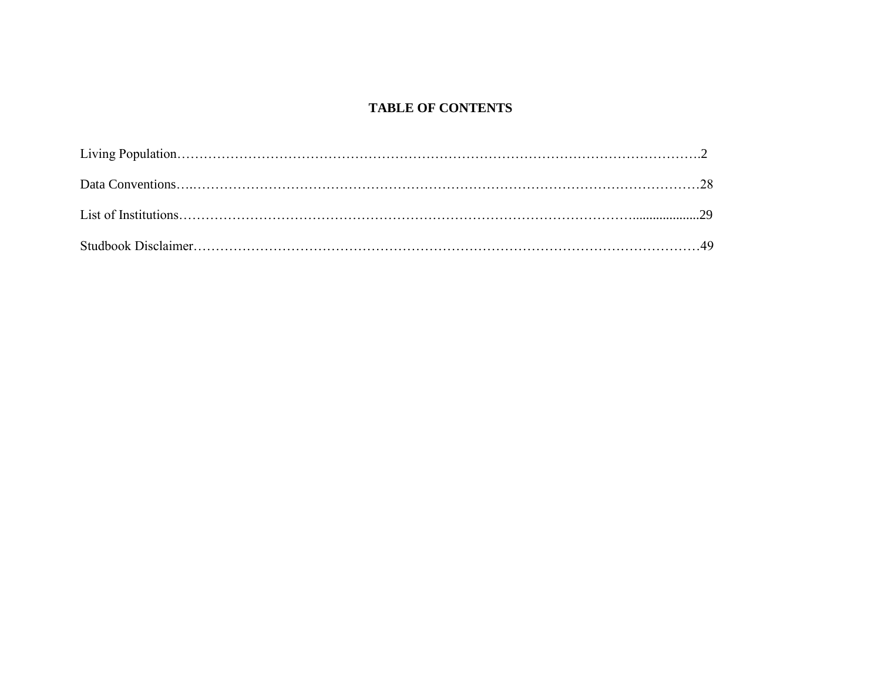## **TABLE OF CONTENTS**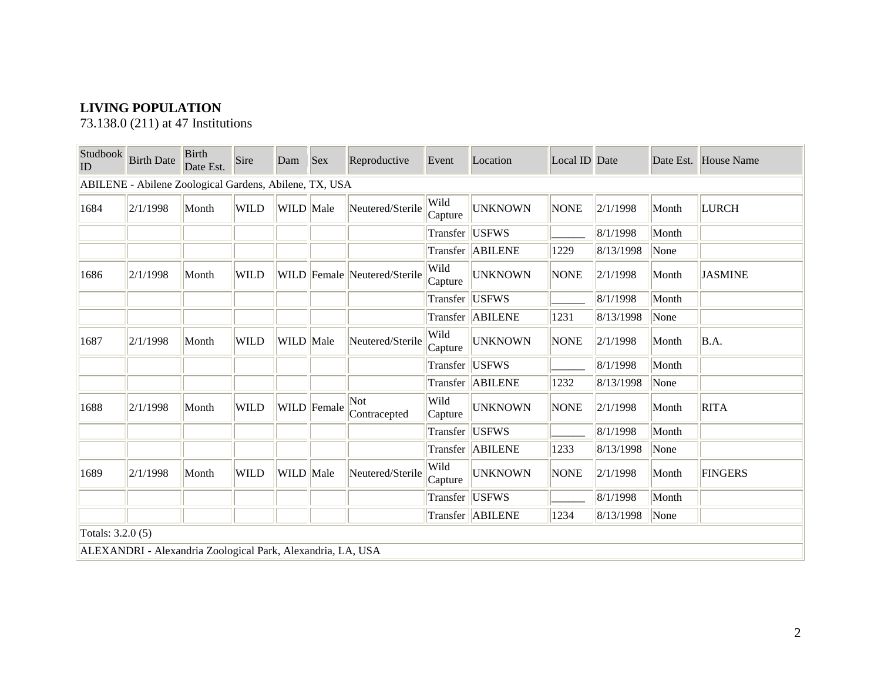# **LIVING POPULATION**

73.138.0 (211) at 47 Institutions

| Studbook<br>$ $ ID | <b>Birth Date</b>                                           | <b>Birth</b><br>Date Est. | Sire        | Dam       | <b>Sex</b>  | Reproductive                 | Event           | Location           | Local ID Date |           |       | Date Est. House Name |
|--------------------|-------------------------------------------------------------|---------------------------|-------------|-----------|-------------|------------------------------|-----------------|--------------------|---------------|-----------|-------|----------------------|
|                    | ABILENE - Abilene Zoological Gardens, Abilene, TX, USA      |                           |             |           |             |                              |                 |                    |               |           |       |                      |
| 1684               | 2/1/1998                                                    | Month                     | <b>WILD</b> | WILD Male |             | Neutered/Sterile             | Wild<br>Capture | <b>UNKNOWN</b>     | <b>NONE</b>   | 2/1/1998  | Month | <b>LURCH</b>         |
|                    |                                                             |                           |             |           |             |                              |                 | Transfer  USFWS    |               | 8/1/1998  | Month |                      |
|                    |                                                             |                           |             |           |             |                              |                 | Transfer ABILENE   | 1229          | 8/13/1998 | None  |                      |
| 1686               | 2/1/1998                                                    | Month                     | <b>WILD</b> |           |             | WILD Female Neutered/Sterile | Wild<br>Capture | <b>UNKNOWN</b>     | <b>NONE</b>   | 2/1/1998  | Month | <b>JASMINE</b>       |
|                    |                                                             |                           |             |           |             |                              |                 | Transfer  USFWS    |               | 8/1/1998  | Month |                      |
|                    |                                                             |                           |             |           |             |                              |                 | Transfer ABILENE   | 1231          | 8/13/1998 | None  |                      |
| 1687               | 2/1/1998                                                    | Month                     | <b>WILD</b> | WILD Male |             | Neutered/Sterile             | Wild<br>Capture | <b>UNKNOWN</b>     | <b>NONE</b>   | 2/1/1998  | Month | B.A.                 |
|                    |                                                             |                           |             |           |             |                              |                 | Transfer  USFWS    |               | 8/1/1998  | Month |                      |
|                    |                                                             |                           |             |           |             |                              |                 | Transfer   ABILENE | 1232          | 8/13/1998 | None  |                      |
| 1688               | 2/1/1998                                                    | Month                     | <b>WILD</b> |           | WILD Female | Not<br>Contracepted          | Wild<br>Capture | <b>UNKNOWN</b>     | <b>NONE</b>   | 2/1/1998  | Month | <b>RITA</b>          |
|                    |                                                             |                           |             |           |             |                              |                 | Transfer  USFWS    |               | 8/1/1998  | Month |                      |
|                    |                                                             |                           |             |           |             |                              |                 | Transfer ABILENE   | 1233          | 8/13/1998 | None  |                      |
| 1689               | 2/1/1998                                                    | Month                     | <b>WILD</b> | WILD Male |             | Neutered/Sterile             | Wild<br>Capture | <b>UNKNOWN</b>     | <b>NONE</b>   | 2/1/1998  | Month | <b>FINGERS</b>       |
|                    |                                                             |                           |             |           |             |                              | Transfer USFWS  |                    |               | 8/1/1998  | Month |                      |
|                    |                                                             |                           |             |           |             |                              |                 | Transfer ABILENE   | 1234          | 8/13/1998 | None  |                      |
| Totals: 3.2.0 (5)  |                                                             |                           |             |           |             |                              |                 |                    |               |           |       |                      |
|                    | ALEXANDRI - Alexandria Zoological Park, Alexandria, LA, USA |                           |             |           |             |                              |                 |                    |               |           |       |                      |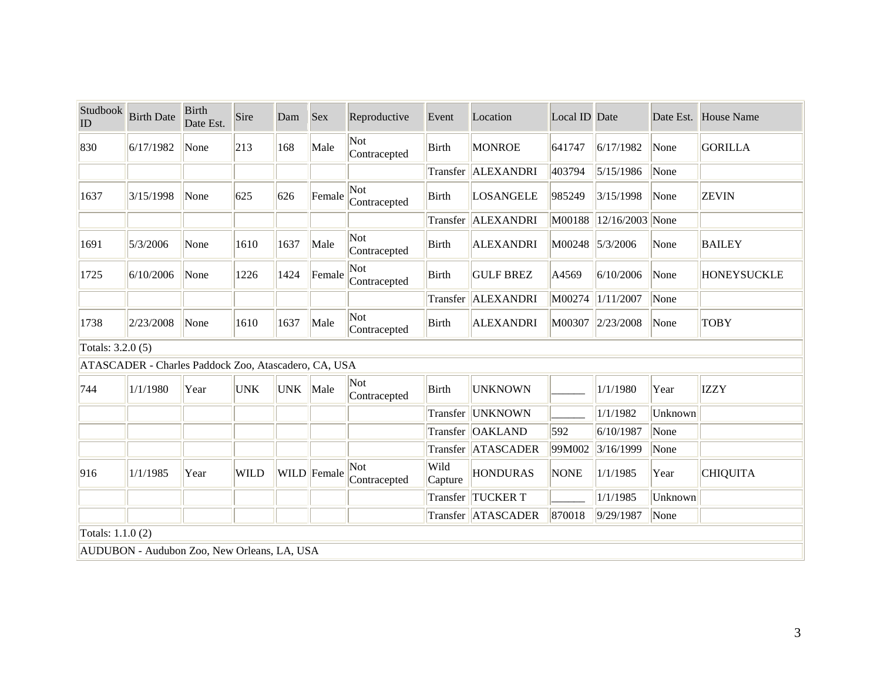| Studbook<br>ID    | <b>Birth Date</b>                                    | <b>Birth</b><br>Date Est. | Sire        | Dam        | <b>Sex</b>  | Reproductive        | Event           | Location             | Local ID Date |                        |         | Date Est. House Name |
|-------------------|------------------------------------------------------|---------------------------|-------------|------------|-------------|---------------------|-----------------|----------------------|---------------|------------------------|---------|----------------------|
| 830               | 6/17/1982                                            | None                      | 213         | 168        | Male        | Not<br>Contracepted | <b>Birth</b>    | <b>MONROE</b>        | 641747        | 6/17/1982              | None    | <b>GORILLA</b>       |
|                   |                                                      |                           |             |            |             |                     |                 | Transfer   ALEXANDRI | 403794        | 5/15/1986              | None    |                      |
| 1637              | 3/15/1998                                            | None                      | 625         | 626        | Female      | Not<br>Contracepted | Birth           | LOSANGELE            | 985249        | 3/15/1998              | None    | <b>ZEVIN</b>         |
|                   |                                                      |                           |             |            |             |                     |                 | Transfer   ALEXANDRI |               | M00188 12/16/2003 None |         |                      |
| 1691              | 5/3/2006                                             | None                      | 1610        | 1637       | Male        | Not<br>Contracepted | <b>Birth</b>    | <b>ALEXANDRI</b>     |               | M00248 5/3/2006        | None    | <b>BAILEY</b>        |
| 1725              | 6/10/2006                                            | None                      | 1226        | 1424       | Female      | Not<br>Contracepted | <b>Birth</b>    | <b>GULF BREZ</b>     | A4569         | 6/10/2006              | None    | <b>HONEYSUCKLE</b>   |
|                   |                                                      |                           |             |            |             |                     | Transfer        | ALEXANDRI            | M00274        | 1/11/2007              | None    |                      |
| 1738              | 2/23/2008                                            | None                      | 1610        | 1637       | Male        | Not<br>Contracepted | <b>Birth</b>    | <b>ALEXANDRI</b>     | M00307        | 2/23/2008              | None    | <b>TOBY</b>          |
| Totals: 3.2.0 (5) |                                                      |                           |             |            |             |                     |                 |                      |               |                        |         |                      |
|                   | ATASCADER - Charles Paddock Zoo, Atascadero, CA, USA |                           |             |            |             |                     |                 |                      |               |                        |         |                      |
| 744               | 1/1/1980                                             | Year                      | <b>UNK</b>  | <b>UNK</b> | Male        | Not<br>Contracepted | <b>Birth</b>    | <b>UNKNOWN</b>       |               | 1/1/1980               | Year    | <b>IZZY</b>          |
|                   |                                                      |                           |             |            |             |                     |                 | Transfer UNKNOWN     |               | 1/1/1982               | Unknown |                      |
|                   |                                                      |                           |             |            |             |                     |                 | Transfer OAKLAND     | 592           | 6/10/1987              | None    |                      |
|                   |                                                      |                           |             |            |             |                     |                 | Transfer ATASCADER   | 99M002        | 3/16/1999              | None    |                      |
| 916               | 1/1/1985                                             | Year                      | <b>WILD</b> |            | WILD Female | Not<br>Contracepted | Wild<br>Capture | <b>HONDURAS</b>      | <b>NONE</b>   | 1/1/1985               | Year    | <b>CHIQUITA</b>      |
|                   |                                                      |                           |             |            |             |                     |                 | Transfer TUCKER T    |               | 1/1/1985               | Unknown |                      |
|                   |                                                      |                           |             |            |             |                     |                 | Transfer ATASCADER   | 870018        | 9/29/1987              | None    |                      |
| Totals: 1.1.0 (2) |                                                      |                           |             |            |             |                     |                 |                      |               |                        |         |                      |
|                   | AUDUBON - Audubon Zoo, New Orleans, LA, USA          |                           |             |            |             |                     |                 |                      |               |                        |         |                      |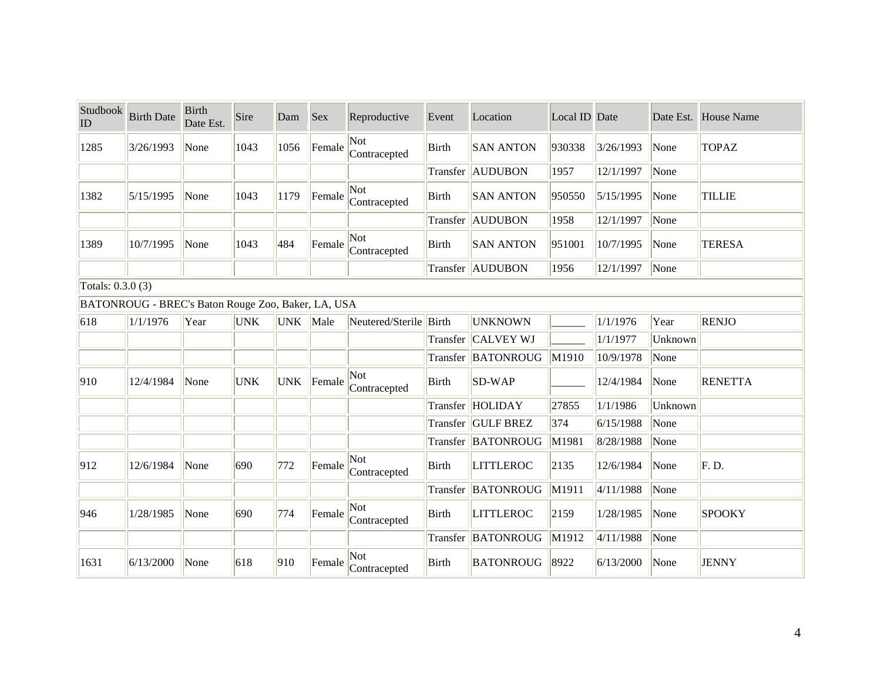| Studbook<br>$\overline{ID}$ | <b>Birth Date</b>                                  | <b>Birth</b><br>Date Est. | Sire       | Dam        | <b>Sex</b> | Reproductive           | Event        | Location            | Local ID Date |           |         | Date Est. House Name |
|-----------------------------|----------------------------------------------------|---------------------------|------------|------------|------------|------------------------|--------------|---------------------|---------------|-----------|---------|----------------------|
| 1285                        | 3/26/1993                                          | None                      | 1043       | 1056       | Female     | Not<br>Contracepted    | <b>Birth</b> | <b>SAN ANTON</b>    | 930338        | 3/26/1993 | None    | <b>TOPAZ</b>         |
|                             |                                                    |                           |            |            |            |                        |              | Transfer AUDUBON    | 1957          | 12/1/1997 | None    |                      |
| 1382                        | 5/15/1995                                          | None                      | 1043       | 1179       | Female     | Not<br>Contracepted    | <b>Birth</b> | <b>SAN ANTON</b>    | 950550        | 5/15/1995 | None    | <b>TILLIE</b>        |
|                             |                                                    |                           |            |            |            |                        |              | Transfer AUDUBON    | 1958          | 12/1/1997 | None    |                      |
| 1389                        | 10/7/1995                                          | None                      | 1043       | 484        | Female     | Not<br>Contracepted    | <b>Birth</b> | <b>SAN ANTON</b>    | 951001        | 10/7/1995 | None    | <b>TERESA</b>        |
|                             |                                                    |                           |            |            |            |                        |              | Transfer AUDUBON    | 1956          | 12/1/1997 | None    |                      |
| Totals: 0.3.0 (3)           |                                                    |                           |            |            |            |                        |              |                     |               |           |         |                      |
|                             | BATONROUG - BREC's Baton Rouge Zoo, Baker, LA, USA |                           |            |            |            |                        |              |                     |               |           |         |                      |
| 618                         | 1/1/1976                                           | Year                      | <b>UNK</b> | UNK Male   |            | Neutered/Sterile Birth |              | <b>UNKNOWN</b>      |               | 1/1/1976  | Year    | <b>RENJO</b>         |
|                             |                                                    |                           |            |            |            |                        | Transfer     | <b>CALVEY WJ</b>    |               | 1/1/1977  | Unknown |                      |
|                             |                                                    |                           |            |            |            |                        |              | Transfer  BATONROUG | M1910         | 10/9/1978 | None    |                      |
| 910                         | 12/4/1984                                          | None                      | <b>UNK</b> | <b>UNK</b> | Female     | Not<br>Contracepted    | <b>Birth</b> | SD-WAP              |               | 12/4/1984 | None    | <b>RENETTA</b>       |
|                             |                                                    |                           |            |            |            |                        |              | Transfer HOLIDAY    | 27855         | 1/1/1986  | Unknown |                      |
|                             |                                                    |                           |            |            |            |                        | Transfer     | <b>GULF BREZ</b>    | 374           | 6/15/1988 | None    |                      |
|                             |                                                    |                           |            |            |            |                        |              | Transfer  BATONROUG | M1981         | 8/28/1988 | None    |                      |
| 912                         | 12/6/1984                                          | None                      | 690        | 772        | Female     | Not<br>Contracepted    | <b>Birth</b> | <b>LITTLEROC</b>    | 2135          | 12/6/1984 | None    | F.D.                 |
|                             |                                                    |                           |            |            |            |                        |              | Transfer  BATONROUG | M1911         | 4/11/1988 | None    |                      |
| 946                         | 1/28/1985                                          | None                      | 690        | 774        | Female     | Not<br>Contracepted    | <b>Birth</b> | <b>LITTLEROC</b>    | 2159          | 1/28/1985 | None    | <b>SPOOKY</b>        |
|                             |                                                    |                           |            |            |            |                        | Transfer     | BATONROUG           | M1912         | 4/11/1988 | None    |                      |
| 1631                        | 6/13/2000                                          | None                      | 618        | 910        | Female     | Not<br>Contracepted    | Birth        | <b>BATONROUG</b>    | 8922          | 6/13/2000 | None    | <b>JENNY</b>         |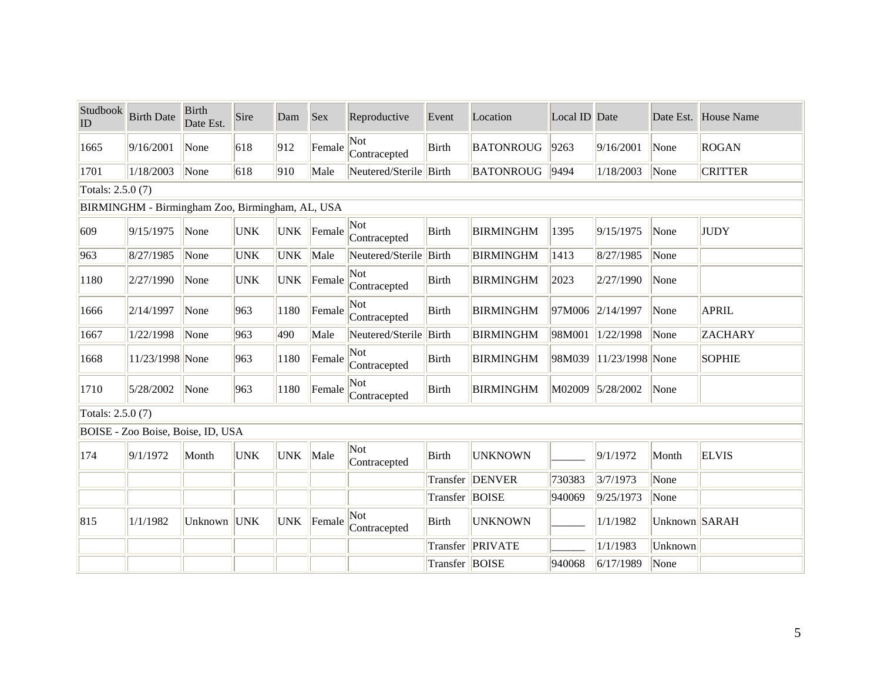| Studbook<br>ID    | <b>Birth Date</b>                               | <b>Birth</b><br>Date Est. | Sire       | Dam        | <b>Sex</b> | Reproductive           | Event           | Location         | Local ID Date |                     |               | Date Est. House Name |
|-------------------|-------------------------------------------------|---------------------------|------------|------------|------------|------------------------|-----------------|------------------|---------------|---------------------|---------------|----------------------|
| 1665              | 9/16/2001                                       | None                      | 618        | 912        | Female     | Not<br>Contracepted    | <b>Birth</b>    | <b>BATONROUG</b> | 9263          | 9/16/2001           | None          | <b>ROGAN</b>         |
| 1701              | 1/18/2003                                       | None                      | 618        | 910        | Male       | Neutered/Sterile Birth |                 | <b>BATONROUG</b> | 9494          | 1/18/2003           | None          | <b>CRITTER</b>       |
| Totals: 2.5.0 (7) |                                                 |                           |            |            |            |                        |                 |                  |               |                     |               |                      |
|                   | BIRMINGHM - Birmingham Zoo, Birmingham, AL, USA |                           |            |            |            |                        |                 |                  |               |                     |               |                      |
| 609               | 9/15/1975                                       | None                      | <b>UNK</b> | <b>UNK</b> | Female     | Not<br>Contracepted    | Birth           | <b>BIRMINGHM</b> | 1395          | 9/15/1975           | None          | <b>JUDY</b>          |
| 963               | 8/27/1985                                       | None                      | <b>UNK</b> | <b>UNK</b> | Male       | Neutered/Sterile Birth |                 | <b>BIRMINGHM</b> | 1413          | 8/27/1985           | None          |                      |
| 1180              | 2/27/1990                                       | None                      | <b>UNK</b> | <b>UNK</b> | Female     | Not<br>Contracepted    | Birth           | <b>BIRMINGHM</b> | 2023          | 2/27/1990           | None          |                      |
| 1666              | 2/14/1997                                       | None                      | 963        | 1180       | Female     | Not<br>Contracepted    | Birth           | <b>BIRMINGHM</b> | 97M006        | 2/14/1997           | None          | <b>APRIL</b>         |
| 1667              | 1/22/1998                                       | None                      | 963        | 490        | Male       | Neutered/Sterile Birth |                 | <b>BIRMINGHM</b> | 98M001        | 1/22/1998           | None          | <b>ZACHARY</b>       |
| 1668              | 11/23/1998 None                                 |                           | 963        | 1180       | Female     | Not<br>Contracepted    | Birth           | <b>BIRMINGHM</b> | 98M039        | $ 11/23/1998 $ None |               | <b>SOPHIE</b>        |
| 1710              | 5/28/2002                                       | None                      | 963        | 1180       | Female     | Not<br>Contracepted    | Birth           | <b>BIRMINGHM</b> | M02009        | 5/28/2002           | None          |                      |
| Totals: 2.5.0 (7) |                                                 |                           |            |            |            |                        |                 |                  |               |                     |               |                      |
|                   | BOISE - Zoo Boise, Boise, ID, USA               |                           |            |            |            |                        |                 |                  |               |                     |               |                      |
| 174               | 9/1/1972                                        | Month                     | <b>UNK</b> | <b>UNK</b> | Male       | Not<br>Contracepted    | Birth           | <b>UNKNOWN</b>   |               | 9/1/1972            | Month         | <b>ELVIS</b>         |
|                   |                                                 |                           |            |            |            |                        |                 | Transfer DENVER  | 730383        | 3/7/1973            | None          |                      |
|                   |                                                 |                           |            |            |            |                        | Transfer  BOISE |                  | 940069        | 9/25/1973           | None          |                      |
| 815               | 1/1/1982                                        | Unknown UNK               |            | <b>UNK</b> | Female     | Not<br>Contracepted    | Birth           | <b>UNKNOWN</b>   |               | 1/1/1982            | Unknown SARAH |                      |
|                   |                                                 |                           |            |            |            |                        | Transfer        | PRIVATE          |               | 1/1/1983            | Unknown       |                      |
|                   |                                                 |                           |            |            |            |                        | Transfer  BOISE |                  | 940068        | 6/17/1989           | None          |                      |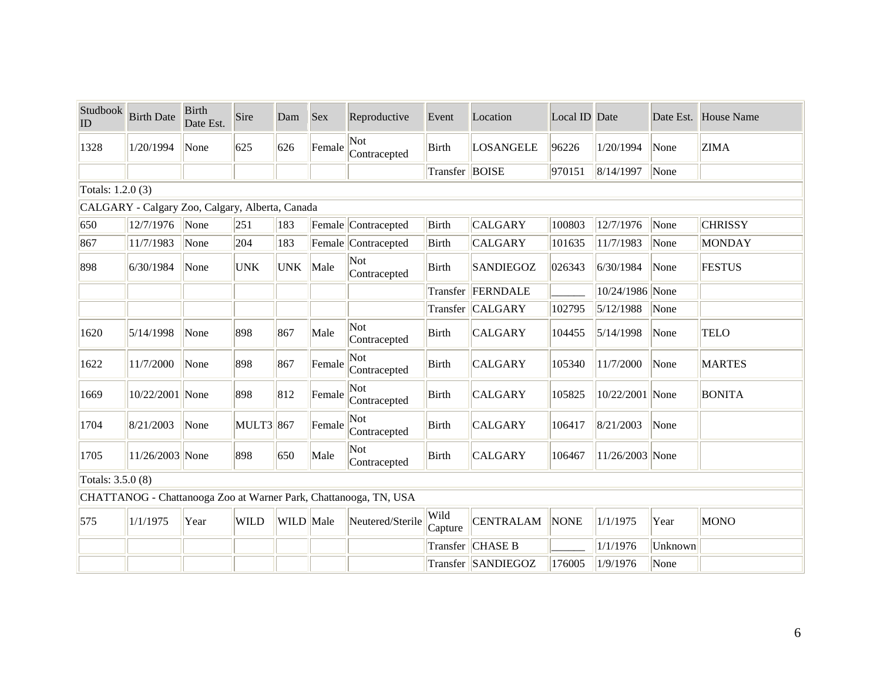| Studbook<br>ID    | <b>Birth Date</b>                               | <b>Birth</b><br>Date Est. | Sire             | Dam        | <b>Sex</b> | Reproductive                                                     | Event           | Location           | Local ID Date |                 |         | Date Est. House Name |
|-------------------|-------------------------------------------------|---------------------------|------------------|------------|------------|------------------------------------------------------------------|-----------------|--------------------|---------------|-----------------|---------|----------------------|
| 1328              | 1/20/1994                                       | None                      | 625              | 626        | Female     | Not<br>Contracepted                                              | <b>Birth</b>    | <b>LOSANGELE</b>   | 96226         | 1/20/1994       | None    | <b>ZIMA</b>          |
|                   |                                                 |                           |                  |            |            |                                                                  | Transfer BOISE  |                    | 970151        | 8/14/1997       | None    |                      |
| Totals: 1.2.0 (3) |                                                 |                           |                  |            |            |                                                                  |                 |                    |               |                 |         |                      |
|                   | CALGARY - Calgary Zoo, Calgary, Alberta, Canada |                           |                  |            |            |                                                                  |                 |                    |               |                 |         |                      |
| 650               | 12/7/1976                                       | None                      | 251              | 183        |            | Female Contracepted                                              | <b>Birth</b>    | <b>CALGARY</b>     | 100803        | 12/7/1976       | None    | <b>CHRISSY</b>       |
| 867               | 11/7/1983                                       | None                      | 204              | 183        |            | Female Contracepted                                              | <b>Birth</b>    | <b>CALGARY</b>     | 101635        | 11/7/1983       | None    | <b>MONDAY</b>        |
| 898               | 6/30/1984                                       | None                      | <b>UNK</b>       | <b>UNK</b> | Male       | Not.<br>Contracepted                                             | Birth           | <b>SANDIEGOZ</b>   | 026343        | 6/30/1984       | None    | <b>FESTUS</b>        |
|                   |                                                 |                           |                  |            |            |                                                                  | Transfer        | FERNDALE           |               | 10/24/1986 None |         |                      |
|                   |                                                 |                           |                  |            |            |                                                                  | Transfer        | <b>CALGARY</b>     | 102795        | 5/12/1988       | None    |                      |
| 1620              | 5/14/1998                                       | None                      | 898              | 867        | Male       | Not<br>Contracepted                                              | <b>Birth</b>    | <b>CALGARY</b>     | 104455        | 5/14/1998       | None    | <b>TELO</b>          |
| 1622              | 11/7/2000                                       | None                      | 898              | 867        | Female     | Not<br>Contracepted                                              | <b>Birth</b>    | <b>CALGARY</b>     | 105340        | 11/7/2000       | None    | <b>MARTES</b>        |
| 1669              | 10/22/2001 None                                 |                           | 898              | 812        | Female     | Not<br>Contracepted                                              | <b>Birth</b>    | <b>CALGARY</b>     | 105825        | 10/22/2001 None |         | <b>BONITA</b>        |
| 1704              | 8/21/2003                                       | None                      | <b>MULT3</b> 867 |            | Female     | Not<br>Contracepted                                              | <b>Birth</b>    | <b>CALGARY</b>     | 106417        | 8/21/2003       | None    |                      |
| 1705              | 11/26/2003 None                                 |                           | 898              | 650        | Male       | Not<br>Contracepted                                              | <b>Birth</b>    | <b>CALGARY</b>     | 106467        | 11/26/2003 None |         |                      |
| Totals: 3.5.0 (8) |                                                 |                           |                  |            |            |                                                                  |                 |                    |               |                 |         |                      |
|                   |                                                 |                           |                  |            |            | CHATTANOG - Chattanooga Zoo at Warner Park, Chattanooga, TN, USA |                 |                    |               |                 |         |                      |
| 575               | 1/1/1975                                        | Year                      | <b>WILD</b>      | WILD Male  |            | Neutered/Sterile                                                 | Wild<br>Capture | <b>CENTRALAM</b>   | <b>NONE</b>   | 1/1/1975        | Year    | <b>MONO</b>          |
|                   |                                                 |                           |                  |            |            |                                                                  | Transfer        | <b>CHASE B</b>     |               | 1/1/1976        | Unknown |                      |
|                   |                                                 |                           |                  |            |            |                                                                  |                 | Transfer SANDIEGOZ | 176005        | 1/9/1976        | None    |                      |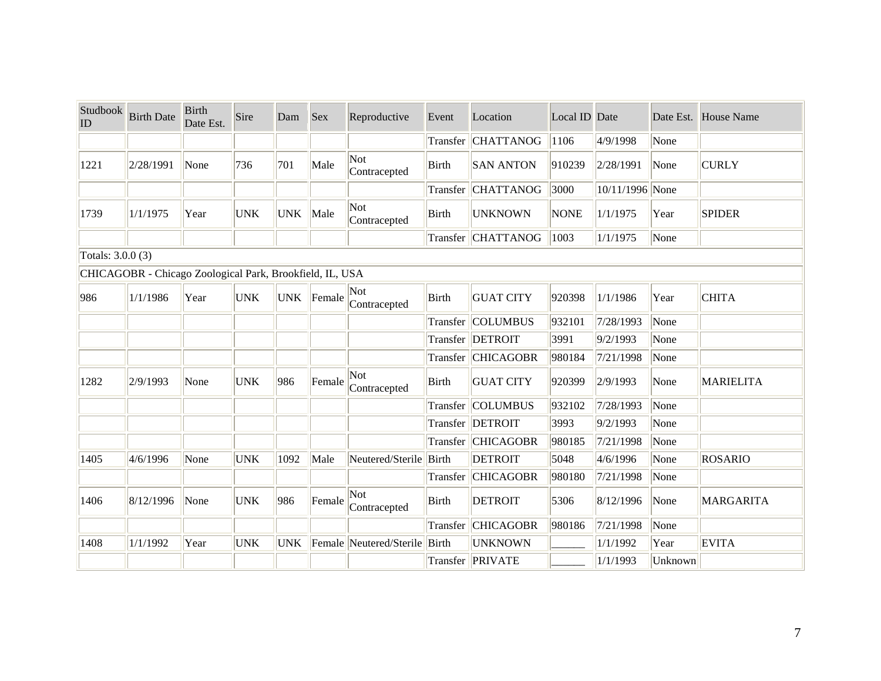| Studbook<br>ID    | <b>Birth Date</b>                                        | <b>Birth</b><br>Date Est. | Sire       | Dam        | <b>Sex</b> | Reproductive            | Event        | Location          | Local ID Date |                 |         | Date Est. House Name |
|-------------------|----------------------------------------------------------|---------------------------|------------|------------|------------|-------------------------|--------------|-------------------|---------------|-----------------|---------|----------------------|
|                   |                                                          |                           |            |            |            |                         | Transfer     | <b>CHATTANOG</b>  | 1106          | 4/9/1998        | None    |                      |
| 1221              | 2/28/1991                                                | None                      | 736        | 701        | Male       | Not<br>Contracepted     | <b>Birth</b> | <b>SAN ANTON</b>  | 910239        | 2/28/1991       | None    | <b>CURLY</b>         |
|                   |                                                          |                           |            |            |            |                         | Transfer     | <b>CHATTANOG</b>  | 3000          | 10/11/1996 None |         |                      |
| 1739              | 1/1/1975                                                 | Year                      | <b>UNK</b> | <b>UNK</b> | Male       | Not<br>Contracepted     | <b>Birth</b> | <b>UNKNOWN</b>    | <b>NONE</b>   | 1/1/1975        | Year    | <b>SPIDER</b>        |
|                   |                                                          |                           |            |            |            |                         | Transfer     | <b>CHATTANOG</b>  | 1003          | 1/1/1975        | None    |                      |
| Totals: 3.0.0 (3) |                                                          |                           |            |            |            |                         |              |                   |               |                 |         |                      |
|                   | CHICAGOBR - Chicago Zoological Park, Brookfield, IL, USA |                           |            |            |            |                         |              |                   |               |                 |         |                      |
| 986               | 1/1/1986                                                 | Year                      | <b>UNK</b> | <b>UNK</b> | Female     | Not<br>Contracepted     | Birth        | <b>GUAT CITY</b>  | 920398        | 1/1/1986        | Year    | <b>CHITA</b>         |
|                   |                                                          |                           |            |            |            |                         | Transfer     | <b>COLUMBUS</b>   | 932101        | 7/28/1993       | None    |                      |
|                   |                                                          |                           |            |            |            |                         | Transfer     | DETROIT           | 3991          | 9/2/1993        | None    |                      |
|                   |                                                          |                           |            |            |            |                         | Transfer     | <b>CHICAGOBR</b>  | 980184        | 7/21/1998       | None    |                      |
| 1282              | 2/9/1993                                                 | None                      | <b>UNK</b> | 986        | Female     | Not<br>Contracepted     | Birth        | <b>GUAT CITY</b>  | 920399        | 2/9/1993        | None    | MARIELITA            |
|                   |                                                          |                           |            |            |            |                         | Transfer     | <b>COLUMBUS</b>   | 932102        | 7/28/1993       | None    |                      |
|                   |                                                          |                           |            |            |            |                         |              | Transfer  DETROIT | 3993          | 9/2/1993        | None    |                      |
|                   |                                                          |                           |            |            |            |                         | Transfer     | <b>CHICAGOBR</b>  | 980185        | 7/21/1998       | None    |                      |
| 1405              | 4/6/1996                                                 | None                      | <b>UNK</b> | 1092       | Male       | Neutered/Sterile Birth  |              | <b>DETROIT</b>    | 5048          | 4/6/1996        | None    | <b>ROSARIO</b>       |
|                   |                                                          |                           |            |            |            |                         | Transfer     | <b>CHICAGOBR</b>  | 980180        | 7/21/1998       | None    |                      |
| 1406              | 8/12/1996                                                | None                      | <b>UNK</b> | 986        | Female     | Not<br>Contracepted     | Birth        | <b>DETROIT</b>    | 5306          | 8/12/1996       | None    | MARGARITA            |
|                   |                                                          |                           |            |            |            |                         | Transfer     | <b>CHICAGOBR</b>  | 980186        | 7/21/1998       | None    |                      |
| 1408              | 1/1/1992                                                 | Year                      | <b>UNK</b> | <b>UNK</b> |            | Female Neutered/Sterile | Birth        | <b>UNKNOWN</b>    |               | 1/1/1992        | Year    | <b>EVITA</b>         |
|                   |                                                          |                           |            |            |            |                         |              | Transfer PRIVATE  |               | 1/1/1993        | Unknown |                      |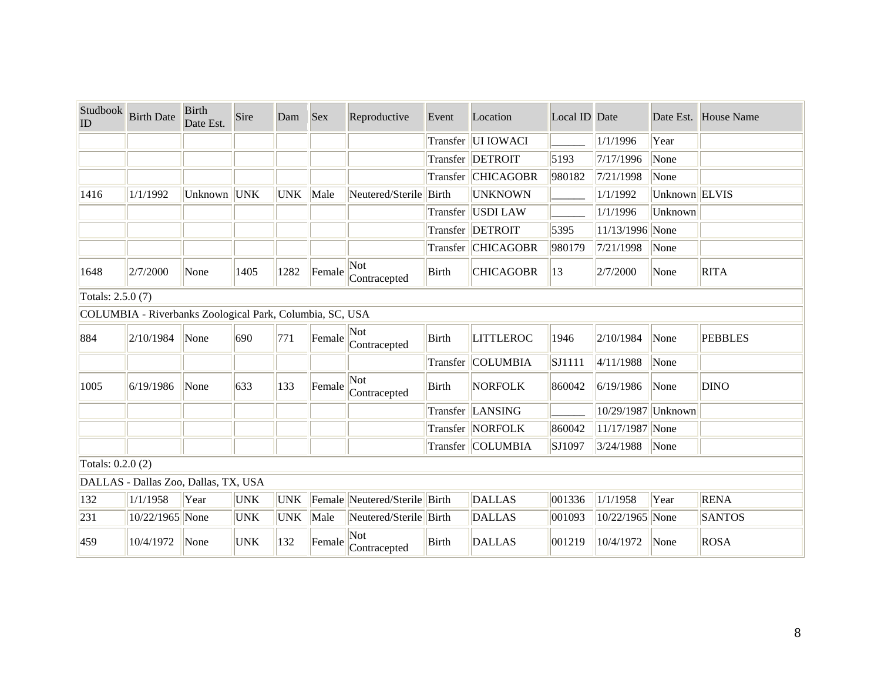| Studbook<br>ID                                           | <b>Birth Date</b>                    | <b>Birth</b><br>Date Est. | Sire       | Dam        | <b>Sex</b> | Reproductive                  | Event        | Location             | Local ID Date |                    |                           | Date Est. House Name |  |
|----------------------------------------------------------|--------------------------------------|---------------------------|------------|------------|------------|-------------------------------|--------------|----------------------|---------------|--------------------|---------------------------|----------------------|--|
|                                                          |                                      |                           |            |            |            |                               |              | Transfer UI IOWACI   |               | 1/1/1996           | Year                      |                      |  |
|                                                          |                                      |                           |            |            |            |                               |              | Transfer DETROIT     | 5193          | 7/17/1996          | None                      |                      |  |
|                                                          |                                      |                           |            |            |            |                               |              | Transfer   CHICAGOBR | 980182        | 7/21/1998          | None                      |                      |  |
| 1416                                                     | 1/1/1992                             | Unknown UNK               |            | <b>UNK</b> | Male       | Neutered/Sterile Birth        |              | <b>UNKNOWN</b>       |               | 1/1/1992           | Unknown ELVIS             |                      |  |
|                                                          |                                      |                           |            |            |            |                               | Transfer     | USDI LAW             |               | 1/1/1996           | Unknown                   |                      |  |
|                                                          |                                      |                           |            |            |            |                               |              | Transfer  DETROIT    | 5395          | 11/13/1996 None    |                           |                      |  |
|                                                          |                                      |                           |            |            |            |                               |              | Transfer CHICAGOBR   | 980179        | 7/21/1998          | $\sqrt{\frac{1}{1}}$ None |                      |  |
| 1648                                                     | 2/7/2000                             | None                      | 1405       | 1282       | Female     | Not<br>Contracepted           | <b>Birth</b> | <b>CHICAGOBR</b>     | 13            | 2/7/2000           | None                      | <b>RITA</b>          |  |
|                                                          | Totals: 2.5.0 (7)                    |                           |            |            |            |                               |              |                      |               |                    |                           |                      |  |
| COLUMBIA - Riverbanks Zoological Park, Columbia, SC, USA |                                      |                           |            |            |            |                               |              |                      |               |                    |                           |                      |  |
| 884                                                      | 2/10/1984                            | None                      | 690        | 771        | Female     | Not<br>Contracepted           | <b>Birth</b> | <b>LITTLEROC</b>     | 1946          | 2/10/1984          | None                      | <b>PEBBLES</b>       |  |
|                                                          |                                      |                           |            |            |            |                               |              | Transfer COLUMBIA    | SJ1111        | 4/11/1988          | None                      |                      |  |
| 1005                                                     | 6/19/1986                            | None                      | 633        | 133        | Female     | Not<br>Contracepted           | <b>Birth</b> | <b>NORFOLK</b>       | 860042        | 6/19/1986          | None                      | <b>DINO</b>          |  |
|                                                          |                                      |                           |            |            |            |                               |              | Transfer LANSING     |               | 10/29/1987 Unknown |                           |                      |  |
|                                                          |                                      |                           |            |            |            |                               |              | Transfer NORFOLK     | 860042        | 11/17/1987 None    |                           |                      |  |
|                                                          |                                      |                           |            |            |            |                               |              | Transfer COLUMBIA    | SJ1097        | $3/24/1988$ None   |                           |                      |  |
| Totals: 0.2.0 (2)                                        |                                      |                           |            |            |            |                               |              |                      |               |                    |                           |                      |  |
|                                                          | DALLAS - Dallas Zoo, Dallas, TX, USA |                           |            |            |            |                               |              |                      |               |                    |                           |                      |  |
| 132                                                      | 1/1/1958                             | Year                      | <b>UNK</b> | <b>UNK</b> |            | Female Neutered/Sterile Birth |              | <b>DALLAS</b>        | 001336        | 1/1/1958           | Year                      | <b>RENA</b>          |  |
| 231                                                      | 10/22/1965 None                      |                           | <b>UNK</b> | <b>UNK</b> | Male       | Neutered/Sterile Birth        |              | <b>DALLAS</b>        | 001093        | 10/22/1965 None    |                           | <b>SANTOS</b>        |  |
| 459                                                      | 10/4/1972                            | None                      | <b>UNK</b> | 132        | Female     | Not.<br>Contracepted          | Birth        | <b>DALLAS</b>        | 001219        | 10/4/1972          | None                      | <b>ROSA</b>          |  |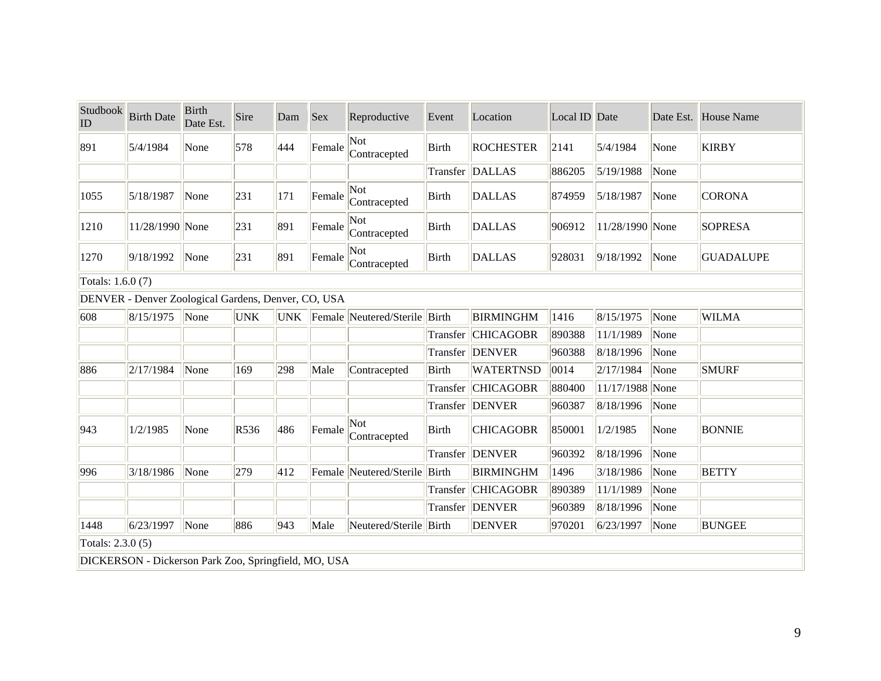| Studbook<br>$ $ ID | <b>Birth Date</b>                                    | <b>Birth</b><br>Date Est. | Sire       | Dam        | Sex    | Reproductive                  | Event        | Location           | Local ID Date |                 |      | Date Est. House Name |  |
|--------------------|------------------------------------------------------|---------------------------|------------|------------|--------|-------------------------------|--------------|--------------------|---------------|-----------------|------|----------------------|--|
| 891                | 5/4/1984                                             | None                      | 578        | 444        | Female | Not<br>Contracepted           | <b>Birth</b> | <b>ROCHESTER</b>   | 2141          | 5/4/1984        | None | <b>KIRBY</b>         |  |
|                    |                                                      |                           |            |            |        |                               | Transfer     | <b>DALLAS</b>      | 886205        | 5/19/1988       | None |                      |  |
| 1055               | 5/18/1987                                            | None                      | 231        | 171        | Female | Not<br>Contracepted           | <b>Birth</b> | <b>DALLAS</b>      | 874959        | 5/18/1987       | None | <b>CORONA</b>        |  |
| 1210               | 11/28/1990 None                                      |                           | 231        | 891        | Female | Not<br>Contracepted           | <b>Birth</b> | <b>DALLAS</b>      | 906912        | 11/28/1990 None |      | <b>SOPRESA</b>       |  |
| 1270               | 9/18/1992                                            | None                      | 231        | 891        | Female | Not<br>Contracepted           | <b>Birth</b> | <b>DALLAS</b>      | 928031        | 9/18/1992       | None | <b>GUADALUPE</b>     |  |
| Totals: 1.6.0 (7)  |                                                      |                           |            |            |        |                               |              |                    |               |                 |      |                      |  |
|                    | DENVER - Denver Zoological Gardens, Denver, CO, USA  |                           |            |            |        |                               |              |                    |               |                 |      |                      |  |
| 608                | 8/15/1975                                            | None                      | <b>UNK</b> | <b>UNK</b> |        | Female Neutered/Sterile Birth |              | <b>BIRMINGHM</b>   | 1416          | 8/15/1975       | None | <b>WILMA</b>         |  |
|                    |                                                      |                           |            |            |        |                               |              | Transfer CHICAGOBR | 890388        | 11/1/1989       | None |                      |  |
|                    |                                                      |                           |            |            |        |                               |              | Transfer DENVER    | 960388        | 8/18/1996       | None |                      |  |
| 886                | 2/17/1984                                            | None                      | 169        | 298        | Male   | Contracepted                  | <b>Birth</b> | <b>WATERTNSD</b>   | 0014          | 2/17/1984       | None | <b>SMURF</b>         |  |
|                    |                                                      |                           |            |            |        |                               | Transfer     | <b>CHICAGOBR</b>   | 880400        | 11/17/1988 None |      |                      |  |
|                    |                                                      |                           |            |            |        |                               |              | Transfer DENVER    | 960387        | 8/18/1996       | None |                      |  |
| 943                | 1/2/1985                                             | None                      | R536       | 486        | Female | Not<br>Contracepted           | Birth        | <b>CHICAGOBR</b>   | 850001        | 1/2/1985        | None | <b>BONNIE</b>        |  |
|                    |                                                      |                           |            |            |        |                               | Transfer     | <b>DENVER</b>      | 960392        | 8/18/1996       | None |                      |  |
| 996                | 3/18/1986                                            | None                      | 279        | 412        |        | Female Neutered/Sterile       | Birth        | <b>BIRMINGHM</b>   | 1496          | 3/18/1986       | None | <b>BETTY</b>         |  |
|                    |                                                      |                           |            |            |        |                               | Transfer     | <b>CHICAGOBR</b>   | 890389        | 11/1/1989       | None |                      |  |
|                    |                                                      |                           |            |            |        |                               |              | Transfer DENVER    | 960389        | 8/18/1996       | None |                      |  |
| 1448               | 6/23/1997                                            | None                      | 886        | 943        | Male   | Neutered/Sterile Birth        |              | <b>DENVER</b>      | 970201        | 6/23/1997       | None | <b>BUNGEE</b>        |  |
|                    | Totals: 2.3.0 (5)                                    |                           |            |            |        |                               |              |                    |               |                 |      |                      |  |
|                    | DICKERSON - Dickerson Park Zoo, Springfield, MO, USA |                           |            |            |        |                               |              |                    |               |                 |      |                      |  |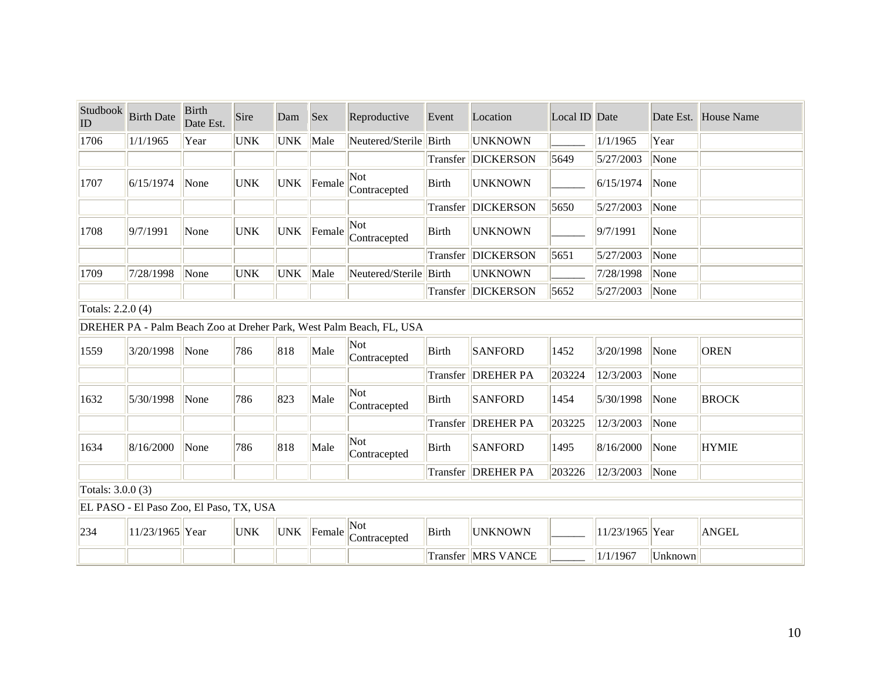| Studbook<br>ID    | <b>Birth Date</b>                       | <b>Birth</b><br>Date Est. | Sire       | Dam        | <b>Sex</b> | Reproductive                                                        | Event        | Location                    | Local ID Date |                 |         | Date Est. House Name |  |
|-------------------|-----------------------------------------|---------------------------|------------|------------|------------|---------------------------------------------------------------------|--------------|-----------------------------|---------------|-----------------|---------|----------------------|--|
| 1706              | 1/1/1965                                | Year                      | <b>UNK</b> | <b>UNK</b> | Male       | Neutered/Sterile                                                    | Birth        | <b>UNKNOWN</b>              |               | 1/1/1965        | Year    |                      |  |
|                   |                                         |                           |            |            |            |                                                                     | Transfer     | <b>DICKERSON</b>            | 5649          | 5/27/2003       | None    |                      |  |
| 1707              | 6/15/1974                               | None                      | <b>UNK</b> | <b>UNK</b> | Female     | Not<br>Contracepted                                                 | <b>Birth</b> | <b>UNKNOWN</b>              |               | 6/15/1974       | None    |                      |  |
|                   |                                         |                           |            |            |            |                                                                     | Transfer     | <b>DICKERSON</b>            | 5650          | 5/27/2003       | None    |                      |  |
| 1708              | 9/7/1991                                | None                      | <b>UNK</b> | <b>UNK</b> | Female     | Not<br>Contracepted                                                 | <b>Birth</b> | <b>UNKNOWN</b>              |               | 9/7/1991        | None    |                      |  |
|                   |                                         |                           |            |            |            |                                                                     | Transfer     | <b>DICKERSON</b>            | 5651          | 5/27/2003       | None    |                      |  |
| 1709              | 7/28/1998                               | None                      | <b>UNK</b> | <b>UNK</b> | Male       | Neutered/Sterile Birth                                              |              | <b>UNKNOWN</b>              |               | 7/28/1998       | None    |                      |  |
|                   |                                         |                           |            |            |            |                                                                     |              | Transfer   DICKERSON        | 5652          | 5/27/2003       | None    |                      |  |
| Totals: 2.2.0 (4) |                                         |                           |            |            |            |                                                                     |              |                             |               |                 |         |                      |  |
|                   |                                         |                           |            |            |            | DREHER PA - Palm Beach Zoo at Dreher Park, West Palm Beach, FL, USA |              |                             |               |                 |         |                      |  |
| 1559              | 3/20/1998                               | None                      | 786        | 818        | Male       | Not<br>Contracepted                                                 | <b>Birth</b> | <b>SANFORD</b>              | 1452          | 3/20/1998       | None    | <b>OREN</b>          |  |
|                   |                                         |                           |            |            |            |                                                                     | Transfer     | <b>DREHER PA</b>            | 203224        | 12/3/2003       | None    |                      |  |
| 1632              | 5/30/1998                               | None                      | 786        | 823        | Male       | Not<br>Contracepted                                                 | <b>Birth</b> | <b>SANFORD</b>              | 1454          | 5/30/1998       | None    | <b>BROCK</b>         |  |
|                   |                                         |                           |            |            |            |                                                                     | Transfer     | <b>DREHER PA</b>            | 203225        | 12/3/2003       | None    |                      |  |
| 1634              | 8/16/2000                               | None                      | 786        | 818        | Male       | Not<br>Contracepted                                                 | <b>Birth</b> | <b>SANFORD</b>              | 1495          | 8/16/2000       | None    | <b>HYMIE</b>         |  |
|                   |                                         |                           |            |            |            |                                                                     |              | Transfer DREHER PA          | 203226        | 12/3/2003       | None    |                      |  |
| Totals: 3.0.0 (3) |                                         |                           |            |            |            |                                                                     |              |                             |               |                 |         |                      |  |
|                   | EL PASO - El Paso Zoo, El Paso, TX, USA |                           |            |            |            |                                                                     |              |                             |               |                 |         |                      |  |
| 234               | 11/23/1965 Year                         |                           | <b>UNK</b> | <b>UNK</b> | Female     | Not<br>Contracepted                                                 | <b>Birth</b> | <b>UNKNOWN</b>              |               | 11/23/1965 Year |         | <b>ANGEL</b>         |  |
|                   |                                         |                           |            |            |            |                                                                     |              | <b>Transfer   MRS VANCE</b> |               | 1/1/1967        | Unknown |                      |  |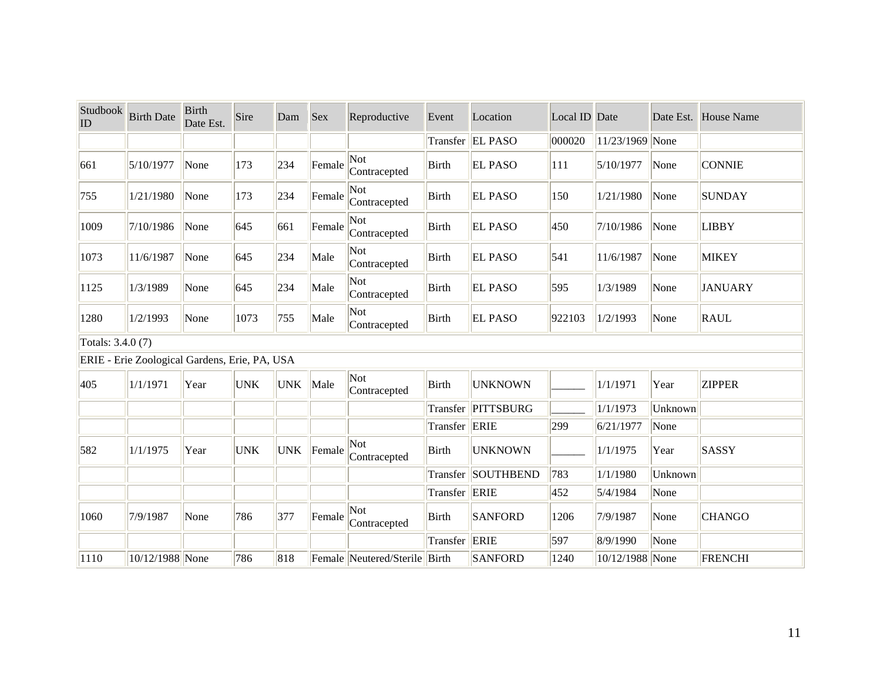| Studbook<br>ID | <b>Birth Date</b>                             | <b>Birth</b><br>Date Est. | Sire       | Dam        | <b>Sex</b> | Reproductive                  | Event         | Location           | Local ID Date |                 |         | Date Est. House Name |  |  |
|----------------|-----------------------------------------------|---------------------------|------------|------------|------------|-------------------------------|---------------|--------------------|---------------|-----------------|---------|----------------------|--|--|
|                |                                               |                           |            |            |            |                               | Transfer      | <b>EL PASO</b>     | 000020        | 11/23/1969 None |         |                      |  |  |
| 661            | 5/10/1977                                     | None                      | 173        | 234        | Female     | Not<br>Contracepted           | <b>Birth</b>  | <b>EL PASO</b>     | 111           | 5/10/1977       | None    | <b>CONNIE</b>        |  |  |
| 755            | 1/21/1980                                     | None                      | 173        | 234        | Female     | Not<br>Contracepted           | Birth         | <b>EL PASO</b>     | 150           | 1/21/1980       | None    | <b>SUNDAY</b>        |  |  |
| 1009           | 7/10/1986                                     | None                      | 645        | 661        | Female     | Not<br>Contracepted           | <b>Birth</b>  | <b>EL PASO</b>     | 450           | 7/10/1986       | None    | <b>LIBBY</b>         |  |  |
| 1073           | 11/6/1987                                     | None                      | 645        | 234        | Male       | Not<br>Contracepted           | Birth         | <b>EL PASO</b>     | 541           | 11/6/1987       | None    | <b>MIKEY</b>         |  |  |
| 1125           | 1/3/1989                                      | None                      | 645        | 234        | Male       | Not<br>Contracepted           | <b>Birth</b>  | <b>EL PASO</b>     | 595           | 1/3/1989        | None    | <b>JANUARY</b>       |  |  |
| 1280           | 1/2/1993                                      | None                      | 1073       | 755        | Male       | Not<br>Contracepted           | <b>Birth</b>  | <b>EL PASO</b>     | 922103        | 1/2/1993        | None    | <b>RAUL</b>          |  |  |
|                | Totals: 3.4.0 (7)                             |                           |            |            |            |                               |               |                    |               |                 |         |                      |  |  |
|                | ERIE - Erie Zoological Gardens, Erie, PA, USA |                           |            |            |            |                               |               |                    |               |                 |         |                      |  |  |
| 405            | 1/1/1971                                      | Year                      | <b>UNK</b> | <b>UNK</b> | Male       | Not<br>Contracepted           | Birth         | <b>UNKNOWN</b>     |               | 1/1/1971        | Year    | <b>ZIPPER</b>        |  |  |
|                |                                               |                           |            |            |            |                               |               | Transfer PITTSBURG |               | 1/1/1973        | Unknown |                      |  |  |
|                |                                               |                           |            |            |            |                               | Transfer ERIE |                    | 299           | 6/21/1977       | None    |                      |  |  |
| 582            | 1/1/1975                                      | Year                      | <b>UNK</b> | <b>UNK</b> | Female     | Not<br>Contracepted           | Birth         | <b>UNKNOWN</b>     |               | 1/1/1975        | Year    | SASSY                |  |  |
|                |                                               |                           |            |            |            |                               | Transfer      | SOUTHBEND          | 783           | 1/1/1980        | Unknown |                      |  |  |
|                |                                               |                           |            |            |            |                               | Transfer ERIE |                    | 452           | 5/4/1984        | None    |                      |  |  |
| 1060           | 7/9/1987                                      | None                      | 786        | 377        | Female     | Not<br>Contracepted           | Birth         | <b>SANFORD</b>     | 1206          | 7/9/1987        | None    | <b>CHANGO</b>        |  |  |
|                |                                               |                           |            |            |            |                               | Transfer      | <b>ERIE</b>        | 597           | 8/9/1990        | None    |                      |  |  |
| 1110           | 10/12/1988 None                               |                           | 786        | 818        |            | Female Neutered/Sterile Birth |               | <b>SANFORD</b>     | 1240          | 10/12/1988 None |         | <b>FRENCHI</b>       |  |  |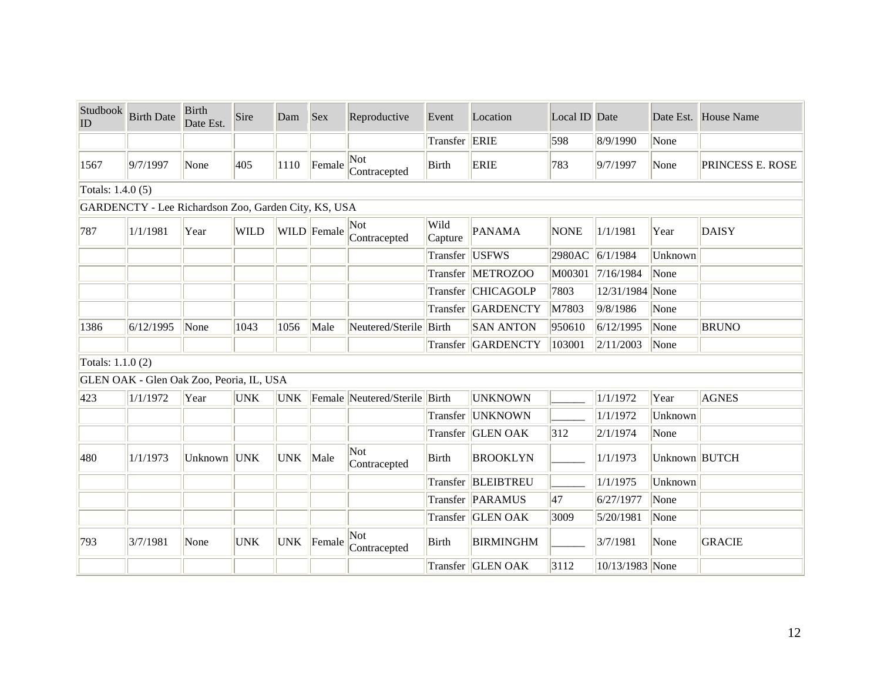| Studbook<br>ID    | <b>Birth Date</b>                                    | <b>Birth</b><br>Date Est. | Sire        | Dam        | <b>Sex</b>  | Reproductive                  | Event           | Location           | Local ID Date |                 |               | Date Est. House Name |
|-------------------|------------------------------------------------------|---------------------------|-------------|------------|-------------|-------------------------------|-----------------|--------------------|---------------|-----------------|---------------|----------------------|
|                   |                                                      |                           |             |            |             |                               | Transfer        | <b>ERIE</b>        | 598           | 8/9/1990        | None          |                      |
| 1567              | 9/7/1997                                             | None                      | 405         | 1110       | Female      | Not<br>Contracepted           | <b>Birth</b>    | <b>ERIE</b>        | 783           | 9/7/1997        | None          | PRINCESS E. ROSE     |
| Totals: 1.4.0 (5) |                                                      |                           |             |            |             |                               |                 |                    |               |                 |               |                      |
|                   | GARDENCTY - Lee Richardson Zoo, Garden City, KS, USA |                           |             |            |             |                               |                 |                    |               |                 |               |                      |
| 787               | 1/1/1981                                             | Year                      | <b>WILD</b> |            | WILD Female | Not<br>Contracepted           | Wild<br>Capture | <b>PANAMA</b>      | <b>NONE</b>   | 1/1/1981        | Year          | <b>DAISY</b>         |
|                   |                                                      |                           |             |            |             |                               | Transfer        | <b>USFWS</b>       | 2980AC        | 6/1/1984        | Unknown       |                      |
|                   |                                                      |                           |             |            |             |                               |                 | Transfer METROZOO  | M00301        | 7/16/1984       | None          |                      |
|                   |                                                      |                           |             |            |             |                               |                 | Transfer CHICAGOLP | 7803          | 12/31/1984 None |               |                      |
|                   |                                                      |                           |             |            |             |                               |                 | Transfer GARDENCTY | M7803         | 9/8/1986        | None          |                      |
| 1386              | 6/12/1995                                            | None                      | 1043        | 1056       | Male        | Neutered/Sterile Birth        |                 | <b>SAN ANTON</b>   | 950610        | 6/12/1995       | None          | <b>BRUNO</b>         |
|                   |                                                      |                           |             |            |             |                               | Transfer        | GARDENCTY          | 103001        | 2/11/2003       | None          |                      |
| Totals: 1.1.0 (2) |                                                      |                           |             |            |             |                               |                 |                    |               |                 |               |                      |
|                   | GLEN OAK - Glen Oak Zoo, Peoria, IL, USA             |                           |             |            |             |                               |                 |                    |               |                 |               |                      |
| 423               | 1/1/1972                                             | Year                      | <b>UNK</b>  | <b>UNK</b> |             | Female Neutered/Sterile Birth |                 | <b>UNKNOWN</b>     |               | 1/1/1972        | Year          | <b>AGNES</b>         |
|                   |                                                      |                           |             |            |             |                               | Transfer        | <b>UNKNOWN</b>     |               | 1/1/1972        | Unknown       |                      |
|                   |                                                      |                           |             |            |             |                               |                 | Transfer GLEN OAK  | 312           | 2/1/1974        | None          |                      |
| 480               | 1/1/1973                                             | Unknown                   | <b>UNK</b>  | <b>UNK</b> | Male        | Not<br>Contracepted           | Birth           | <b>BROOKLYN</b>    |               | 1/1/1973        | Unknown BUTCH |                      |
|                   |                                                      |                           |             |            |             |                               |                 | Transfer BLEIBTREU |               | 1/1/1975        | Unknown       |                      |
|                   |                                                      |                           |             |            |             |                               |                 | Transfer PARAMUS   | 47            | 6/27/1977       | None          |                      |
|                   |                                                      |                           |             |            |             |                               |                 | Transfer GLEN OAK  | 3009          | 5/20/1981       | None          |                      |
| 793               | 3/7/1981                                             | None                      | <b>UNK</b>  | <b>UNK</b> | Female      | Not<br>Contracepted           | Birth           | <b>BIRMINGHM</b>   |               | 3/7/1981        | None          | <b>GRACIE</b>        |
|                   |                                                      |                           |             |            |             |                               |                 | Transfer GLEN OAK  | 3112          | 10/13/1983 None |               |                      |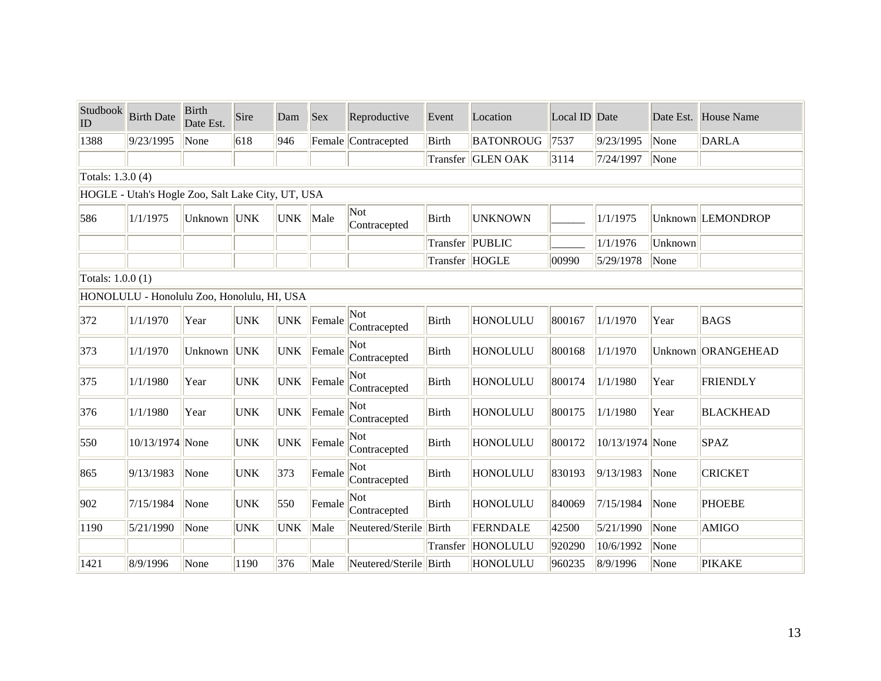| Studbook<br>ID    | <b>Birth Date</b>                                 | <b>Birth</b><br>Date Est. | Sire       | Dam        | <b>Sex</b> | Reproductive           | Event           | Location          | Local ID Date |                 |         | Date Est. House Name |
|-------------------|---------------------------------------------------|---------------------------|------------|------------|------------|------------------------|-----------------|-------------------|---------------|-----------------|---------|----------------------|
| 1388              | 9/23/1995                                         | None                      | 618        | 946        |            | Female Contracepted    | Birth           | <b>BATONROUG</b>  | 7537          | 9/23/1995       | None    | <b>DARLA</b>         |
|                   |                                                   |                           |            |            |            |                        |                 | Transfer GLEN OAK | 3114          | 7/24/1997       | None    |                      |
| Totals: 1.3.0 (4) |                                                   |                           |            |            |            |                        |                 |                   |               |                 |         |                      |
|                   | HOGLE - Utah's Hogle Zoo, Salt Lake City, UT, USA |                           |            |            |            |                        |                 |                   |               |                 |         |                      |
| 586               | 1/1/1975                                          | Unknown UNK               |            | <b>UNK</b> | Male       | Not<br>Contracepted    | <b>Birth</b>    | <b>UNKNOWN</b>    |               | 1/1/1975        |         | Unknown LEMONDROP    |
|                   |                                                   |                           |            |            |            |                        | Transfer PUBLIC |                   |               | 1/1/1976        | Unknown |                      |
|                   |                                                   |                           |            |            |            |                        | Transfer HOGLE  |                   | 00990         | 5/29/1978       | None    |                      |
| Totals: 1.0.0 (1) |                                                   |                           |            |            |            |                        |                 |                   |               |                 |         |                      |
|                   | HONOLULU - Honolulu Zoo, Honolulu, HI, USA        |                           |            |            |            |                        |                 |                   |               |                 |         |                      |
| 372               | 1/1/1970                                          | Year                      | <b>UNK</b> | <b>UNK</b> | Female     | Not<br>Contracepted    | Birth           | <b>HONOLULU</b>   | 800167        | 1/1/1970        | Year    | <b>BAGS</b>          |
| 373               | 1/1/1970                                          | Unknown                   | <b>UNK</b> | <b>UNK</b> | Female     | Not<br>Contracepted    | <b>Birth</b>    | <b>HONOLULU</b>   | 800168        | 1/1/1970        |         | Unknown ORANGEHEAD   |
| 375               | 1/1/1980                                          | Year                      | <b>UNK</b> | <b>UNK</b> | Female     | Not<br>Contracepted    | <b>Birth</b>    | HONOLULU          | 800174        | 1/1/1980        | Year    | <b>FRIENDLY</b>      |
| 376               | 1/1/1980                                          | Year                      | <b>UNK</b> | <b>UNK</b> | Female     | Not<br>Contracepted    | Birth           | <b>HONOLULU</b>   | 800175        | 1/1/1980        | Year    | <b>BLACKHEAD</b>     |
| 550               | 10/13/1974 None                                   |                           | <b>UNK</b> | <b>UNK</b> | Female     | Not<br>Contracepted    | <b>Birth</b>    | <b>HONOLULU</b>   | 800172        | 10/13/1974 None |         | <b>SPAZ</b>          |
| 865               | 9/13/1983                                         | None                      | <b>UNK</b> | 373        | Female     | Not<br>Contracepted    | <b>Birth</b>    | <b>HONOLULU</b>   | 830193        | 9/13/1983       | None    | <b>CRICKET</b>       |
| 902               | 7/15/1984                                         | None                      | <b>UNK</b> | 550        | Female     | Not<br>Contracepted    | Birth           | <b>HONOLULU</b>   | 840069        | 7/15/1984       | None    | <b>PHOEBE</b>        |
| 1190              | 5/21/1990                                         | None                      | <b>UNK</b> | <b>UNK</b> | Male       | Neutered/Sterile       | Birth           | FERNDALE          | 42500         | 5/21/1990       | None    | <b>AMIGO</b>         |
|                   |                                                   |                           |            |            |            |                        |                 | Transfer HONOLULU | 920290        | 10/6/1992       | None    |                      |
| 1421              | 8/9/1996                                          | None                      | 1190       | 376        | Male       | Neutered/Sterile Birth |                 | HONOLULU          | 960235        | 8/9/1996        | None    | <b>PIKAKE</b>        |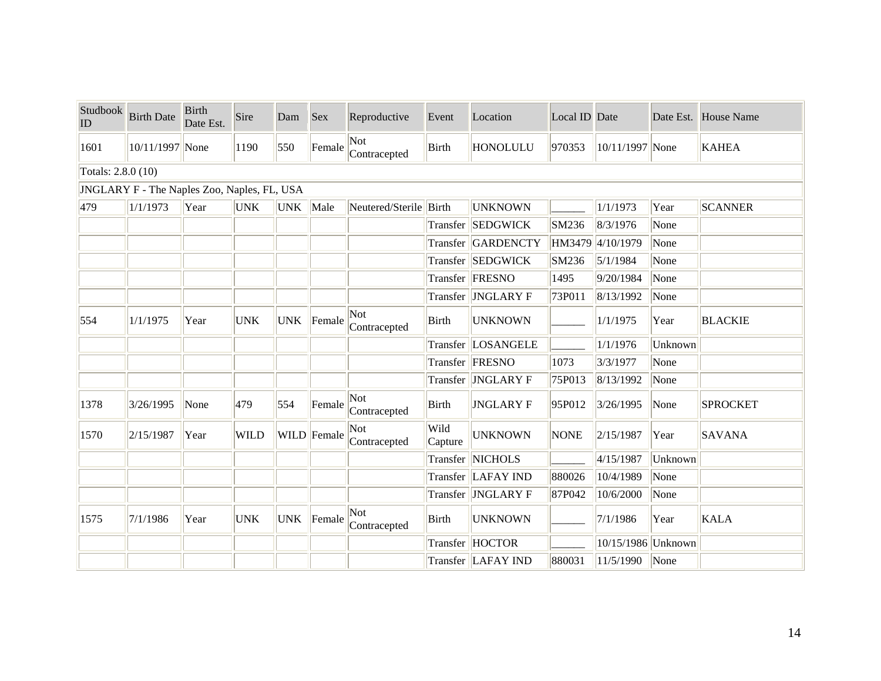| Studbook<br>ID     | <b>Birth Date</b>                           | <b>Birth</b><br>Date Est. | Sire        | Dam        | Sex         | Reproductive           | Event           | Location                | Local ID Date |                    |         | Date Est. House Name |
|--------------------|---------------------------------------------|---------------------------|-------------|------------|-------------|------------------------|-----------------|-------------------------|---------------|--------------------|---------|----------------------|
| 1601               | 10/11/1997 None                             |                           | 1190        | 550        | Female      | Not<br>Contracepted    | Birth           | <b>HONOLULU</b>         | 970353        | 10/11/1997 None    |         | <b>KAHEA</b>         |
| Totals: 2.8.0 (10) |                                             |                           |             |            |             |                        |                 |                         |               |                    |         |                      |
|                    | JNGLARY F - The Naples Zoo, Naples, FL, USA |                           |             |            |             |                        |                 |                         |               |                    |         |                      |
| 479                | 1/1/1973                                    | Year                      | <b>UNK</b>  | UNK Male   |             | Neutered/Sterile Birth |                 | <b>UNKNOWN</b>          |               | 1/1/1973           | Year    | <b>SCANNER</b>       |
|                    |                                             |                           |             |            |             |                        |                 | Transfer  SEDGWICK      | SM236         | 8/3/1976           | None    |                      |
|                    |                                             |                           |             |            |             |                        |                 | Transfer GARDENCTY      | HM3479        | 4/10/1979          | None    |                      |
|                    |                                             |                           |             |            |             |                        |                 | Transfer SEDGWICK       | SM236         | 5/1/1984           | None    |                      |
|                    |                                             |                           |             |            |             |                        |                 | Transfer   FRESNO       | 1495          | 9/20/1984          | None    |                      |
|                    |                                             |                           |             |            |             |                        |                 | Transfer  JNGLARY F     | 73P011        | 8/13/1992          | None    |                      |
| 554                | 1/1/1975                                    | Year                      | <b>UNK</b>  | <b>UNK</b> | Female      | Not<br>Contracepted    | Birth           | <b>UNKNOWN</b>          |               | 1/1/1975           | Year    | <b>BLACKIE</b>       |
|                    |                                             |                           |             |            |             |                        |                 | Transfer LOSANGELE      |               | 1/1/1976           | Unknown |                      |
|                    |                                             |                           |             |            |             |                        |                 | Transfer FRESNO         | 1073          | 3/3/1977           | None    |                      |
|                    |                                             |                           |             |            |             |                        |                 | Transfer  JNGLARY F     | 75P013        | 8/13/1992          | None    |                      |
| 1378               | 3/26/1995                                   | None                      | 479         | 554        | Female      | Not<br>Contracepted    | Birth           | <b>JNGLARY F</b>        | 95P012        | 3/26/1995          | None    | <b>SPROCKET</b>      |
| 1570               | 2/15/1987                                   | Year                      | <b>WILD</b> |            | WILD Female | Not<br>Contracepted    | Wild<br>Capture | <b>UNKNOWN</b>          | <b>NONE</b>   | 2/15/1987          | Year    | <b>SAVANA</b>        |
|                    |                                             |                           |             |            |             |                        |                 | <b>Transfer NICHOLS</b> |               | 4/15/1987          | Unknown |                      |
|                    |                                             |                           |             |            |             |                        |                 | Transfer LAFAY IND      | 880026        | 10/4/1989          | None    |                      |
|                    |                                             |                           |             |            |             |                        |                 | Transfer  JNGLARY F     | 87P042        | 10/6/2000          | None    |                      |
| 1575               | 7/1/1986                                    | Year                      | <b>UNK</b>  | <b>UNK</b> | Female      | Not<br>Contracepted    | Birth           | <b>UNKNOWN</b>          |               | 7/1/1986           | Year    | <b>KALA</b>          |
|                    |                                             |                           |             |            |             |                        |                 | Transfer HOCTOR         |               | 10/15/1986 Unknown |         |                      |
|                    |                                             |                           |             |            |             |                        |                 | Transfer  LAFAY IND     | 880031        | 11/5/1990          | None    |                      |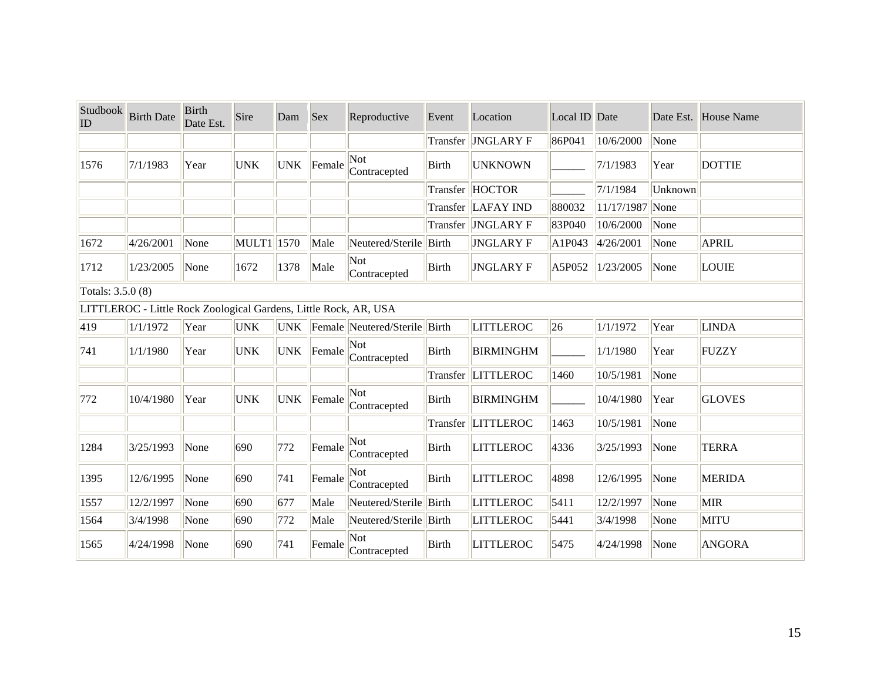| Studbook<br>ID    | <b>Birth Date</b>                                                | <b>Birth</b><br>Date Est. | Sire           | Dam        | Sex    | Reproductive                  | Event        | Location            | Local ID Date |                 | Date Est. | House Name    |
|-------------------|------------------------------------------------------------------|---------------------------|----------------|------------|--------|-------------------------------|--------------|---------------------|---------------|-----------------|-----------|---------------|
|                   |                                                                  |                           |                |            |        |                               | Transfer     | <b>JNGLARY F</b>    | 86P041        | 10/6/2000       | None      |               |
| 1576              | 7/1/1983                                                         | Year                      | <b>UNK</b>     | <b>UNK</b> | Female | Not<br>Contracepted           | Birth        | <b>UNKNOWN</b>      |               | 7/1/1983        | Year      | <b>DOTTIE</b> |
|                   |                                                                  |                           |                |            |        |                               | Transfer     | <b>HOCTOR</b>       |               | 7/1/1984        | Unknown   |               |
|                   |                                                                  |                           |                |            |        |                               |              | Transfer LAFAY IND  | 880032        | 11/17/1987 None |           |               |
|                   |                                                                  |                           |                |            |        |                               |              | Transfer  JNGLARY F | 83P040        | 10/6/2000       | None      |               |
| 1672              | 4/26/2001                                                        | None                      | $MULT1$   1570 |            | Male   | Neutered/Sterile Birth        |              | <b>JNGLARY F</b>    | A1P043        | 4/26/2001       | None      | <b>APRIL</b>  |
| 1712              | 1/23/2005                                                        | None                      | 1672           | 1378       | Male   | Not<br>Contracepted           | Birth        | <b>JNGLARY F</b>    | A5P052        | 1/23/2005       | None      | <b>LOUIE</b>  |
| Totals: 3.5.0 (8) |                                                                  |                           |                |            |        |                               |              |                     |               |                 |           |               |
|                   | LITTLEROC - Little Rock Zoological Gardens, Little Rock, AR, USA |                           |                |            |        |                               |              |                     |               |                 |           |               |
| 419               | 1/1/1972                                                         | Year                      | <b>UNK</b>     | <b>UNK</b> |        | Female Neutered/Sterile Birth |              | <b>LITTLEROC</b>    | 26            | 1/1/1972        | Year      | <b>LINDA</b>  |
| 741               | 1/1/1980                                                         | Year                      | <b>UNK</b>     | <b>UNK</b> | Female | Not<br>Contracepted           | Birth        | <b>BIRMINGHM</b>    |               | 1/1/1980        | Year      | <b>FUZZY</b>  |
|                   |                                                                  |                           |                |            |        |                               |              | Transfer  LITTLEROC | 1460          | 10/5/1981       | None      |               |
| 772               | 10/4/1980                                                        | Year                      | <b>UNK</b>     | <b>UNK</b> | Female | Not<br>Contracepted           | Birth        | <b>BIRMINGHM</b>    |               | 10/4/1980       | Year      | <b>GLOVES</b> |
|                   |                                                                  |                           |                |            |        |                               | Transfer     | <b>LITTLEROC</b>    | 1463          | 10/5/1981       | None      |               |
| 1284              | 3/25/1993                                                        | None                      | 690            | 772        | Female | Not<br>Contracepted           | Birth        | <b>LITTLEROC</b>    | 4336          | 3/25/1993       | None      | <b>TERRA</b>  |
| 1395              | 12/6/1995                                                        | None                      | 690            | 741        | Female | Not<br>Contracepted           | Birth        | <b>LITTLEROC</b>    | 4898          | 12/6/1995       | None      | <b>MERIDA</b> |
| 1557              | 12/2/1997                                                        | None                      | 690            | 677        | Male   | Neutered/Sterile Birth        |              | <b>LITTLEROC</b>    | 5411          | 12/2/1997       | None      | <b>MIR</b>    |
| 1564              | 3/4/1998                                                         | None                      | 690            | 772        | Male   | Neutered/Sterile Birth        |              | <b>LITTLEROC</b>    | 5441          | 3/4/1998        | None      | <b>MITU</b>   |
| 1565              | 4/24/1998                                                        | None                      | 690            | 741        | Female | Not<br>Contracepted           | <b>Birth</b> | <b>LITTLEROC</b>    | 5475          | 4/24/1998       | None      | <b>ANGORA</b> |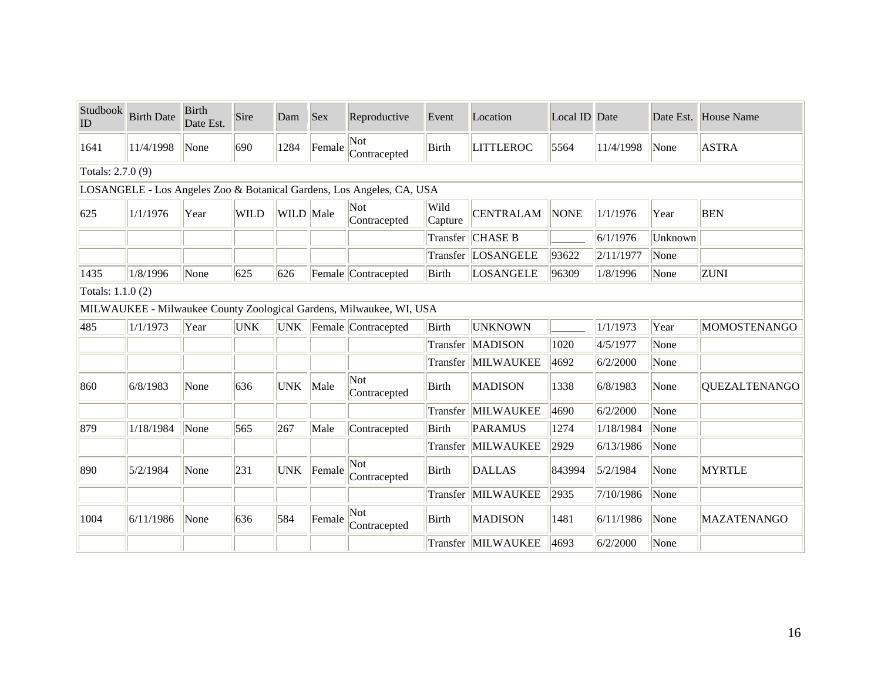| Studbook<br>ID    | <b>Birth Date</b> | <b>Birth</b><br>Date Est. | Sire        | Dam        | <b>Sex</b> | Reproductive                                                          | Event           | Location           | Local ID Date |           |         | Date Est. House Name |
|-------------------|-------------------|---------------------------|-------------|------------|------------|-----------------------------------------------------------------------|-----------------|--------------------|---------------|-----------|---------|----------------------|
| 1641              | 11/4/1998         | None                      | 690         | 1284       | Female     | Not<br>Contracepted                                                   | Birth           | <b>LITTLEROC</b>   | 5564          | 11/4/1998 | None    | <b>ASTRA</b>         |
| Totals: 2.7.0 (9) |                   |                           |             |            |            |                                                                       |                 |                    |               |           |         |                      |
|                   |                   |                           |             |            |            | LOSANGELE - Los Angeles Zoo & Botanical Gardens, Los Angeles, CA, USA |                 |                    |               |           |         |                      |
| 625               | 1/1/1976          | Year                      | <b>WILD</b> | WILD Male  |            | Not<br>Contracepted                                                   | Wild<br>Capture | <b>CENTRALAM</b>   | <b>NONE</b>   | 1/1/1976  | Year    | <b>BEN</b>           |
|                   |                   |                           |             |            |            |                                                                       | Transfer        | <b>CHASE B</b>     |               | 6/1/1976  | Unknown |                      |
|                   |                   |                           |             |            |            |                                                                       | Transfer        | LOSANGELE          | 93622         | 2/11/1977 | None    |                      |
| 1435              | 1/8/1996          | None                      | 625         | 626        |            | Female Contracepted                                                   | <b>Birth</b>    | <b>LOSANGELE</b>   | 96309         | 1/8/1996  | None    | <b>ZUNI</b>          |
| Totals: 1.1.0 (2) |                   |                           |             |            |            |                                                                       |                 |                    |               |           |         |                      |
|                   |                   |                           |             |            |            | MILWAUKEE - Milwaukee County Zoological Gardens, Milwaukee, WI, USA   |                 |                    |               |           |         |                      |
| 485               | 1/1/1973          | Year                      | <b>UNK</b>  |            |            | UNK Female Contracepted                                               | <b>Birth</b>    | <b>UNKNOWN</b>     |               | 1/1/1973  | Year    | MOMOSTENANGO         |
|                   |                   |                           |             |            |            |                                                                       | Transfer        | <b>MADISON</b>     | 1020          | 4/5/1977  | None    |                      |
|                   |                   |                           |             |            |            |                                                                       |                 | Transfer MILWAUKEE | 4692          | 6/2/2000  | None    |                      |
| 860               | 6/8/1983          | None                      | 636         | <b>UNK</b> | Male       | Not<br>Contracepted                                                   | Birth           | <b>MADISON</b>     | 1338          | 6/8/1983  | None    | <b>QUEZALTENANGO</b> |
|                   |                   |                           |             |            |            |                                                                       | Transfer        | MILWAUKEE          | 4690          | 6/2/2000  | None    |                      |
| 879               | 1/18/1984         | None                      | 565         | 267        | Male       | Contracepted                                                          | Birth           | <b>PARAMUS</b>     | 1274          | 1/18/1984 | None    |                      |
|                   |                   |                           |             |            |            |                                                                       | Transfer        | MILWAUKEE          | 2929          | 6/13/1986 | None    |                      |
| 890               | 5/2/1984          | None                      | 231         | <b>UNK</b> | Female     | Not<br>Contracepted                                                   | Birth           | <b>DALLAS</b>      | 843994        | 5/2/1984  | None    | <b>MYRTLE</b>        |
|                   |                   |                           |             |            |            |                                                                       | Transfer        | MILWAUKEE          | 2935          | 7/10/1986 | None    |                      |
| 1004              | 6/11/1986         | None                      | 636         | 584        | Female     | Not<br>Contracepted                                                   | Birth           | <b>MADISON</b>     | 1481          | 6/11/1986 | None    | <b>MAZATENANGO</b>   |
|                   |                   |                           |             |            |            |                                                                       |                 | Transfer MILWAUKEE | 4693          | 6/2/2000  | None    |                      |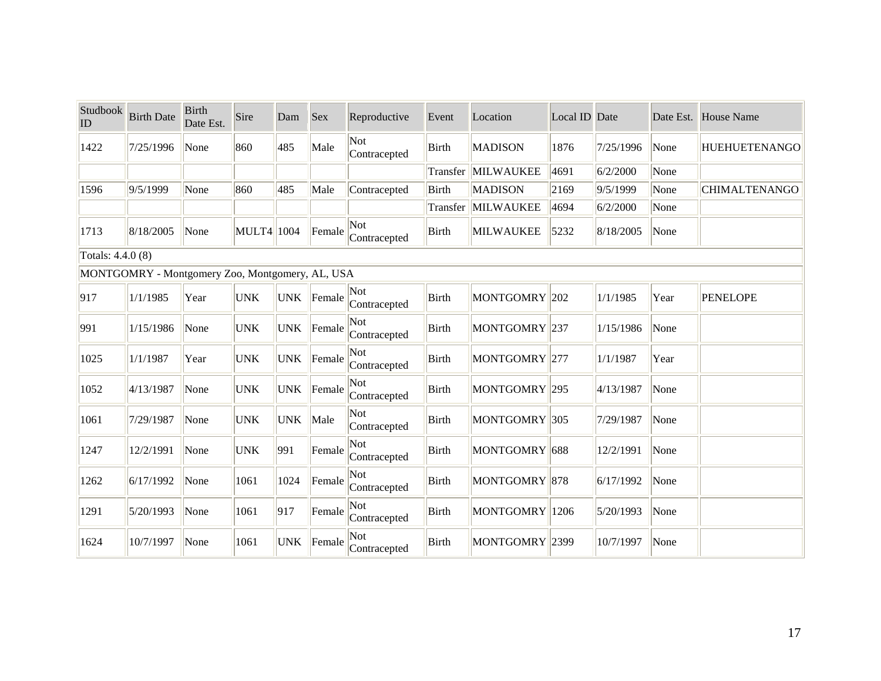| Studbook<br>ID    | <b>Birth Date</b>                               | <b>Birth</b><br>Date Est. | Sire       | Dam        | <b>Sex</b> | Reproductive        | Event        | Location                  | Local ID Date |           |      | Date Est. House Name |
|-------------------|-------------------------------------------------|---------------------------|------------|------------|------------|---------------------|--------------|---------------------------|---------------|-----------|------|----------------------|
| 1422              | 7/25/1996                                       | None                      | 860        | 485        | Male       | Not<br>Contracepted | Birth        | <b>MADISON</b>            | 1876          | 7/25/1996 | None | <b>HUEHUETENANGO</b> |
|                   |                                                 |                           |            |            |            |                     | Transfer     | MILWAUKEE                 | 4691          | 6/2/2000  | None |                      |
| 1596              | 9/5/1999                                        | None                      | 860        | 485        | Male       | Contracepted        | <b>Birth</b> | <b>MADISON</b>            | 2169          | 9/5/1999  | None | <b>CHIMALTENANGO</b> |
|                   |                                                 |                           |            |            |            |                     | Transfer     | MILWAUKEE                 | 4694          | 6/2/2000  | None |                      |
| 1713              | 8/18/2005                                       | None                      | MULT4 1004 |            | Female     | Not<br>Contracepted | <b>Birth</b> | <b>MILWAUKEE</b>          | 5232          | 8/18/2005 | None |                      |
| Totals: 4.4.0 (8) |                                                 |                           |            |            |            |                     |              |                           |               |           |      |                      |
|                   | MONTGOMRY - Montgomery Zoo, Montgomery, AL, USA |                           |            |            |            |                     |              |                           |               |           |      |                      |
| 917               | 1/1/1985                                        | Year                      | <b>UNK</b> | <b>UNK</b> | Female     | Not<br>Contracepted | <b>Birth</b> | MONTGOMRY <sup>202</sup>  |               | 1/1/1985  | Year | <b>PENELOPE</b>      |
| 991               | 1/15/1986                                       | None                      | <b>UNK</b> | <b>UNK</b> | Female     | Not<br>Contracepted | <b>Birth</b> | MONTGOMRY <sup>237</sup>  |               | 1/15/1986 | None |                      |
| 1025              | 1/1/1987                                        | Year                      | <b>UNK</b> | <b>UNK</b> | Female     | Not<br>Contracepted | Birth        | MONTGOMRY <sup>277</sup>  |               | 1/1/1987  | Year |                      |
| 1052              | 4/13/1987                                       | None                      | <b>UNK</b> | <b>UNK</b> | Female     | Not<br>Contracepted | <b>Birth</b> | MONTGOMRY <sup>295</sup>  |               | 4/13/1987 | None |                      |
| 1061              | 7/29/1987                                       | None                      | <b>UNK</b> | <b>UNK</b> | Male       | Not<br>Contracepted | <b>Birth</b> | MONTGOMRY <sup>305</sup>  |               | 7/29/1987 | None |                      |
| 1247              | 12/2/1991                                       | None                      | <b>UNK</b> | 991        | Female     | Not<br>Contracepted | <b>Birth</b> | MONTGOMRY <sup>1688</sup> |               | 12/2/1991 | None |                      |
| 1262              | 6/17/1992                                       | None                      | 1061       | 1024       | Female     | Not<br>Contracepted | <b>Birth</b> | MONTGOMRY <sup>878</sup>  |               | 6/17/1992 | None |                      |
| 1291              | 5/20/1993                                       | None                      | 1061       | 917        | Female     | Not<br>Contracepted | Birth        | MONTGOMRY 1206            |               | 5/20/1993 | None |                      |
| 1624              | 10/7/1997                                       | None                      | 1061       | <b>UNK</b> | Female     | Not<br>Contracepted | Birth        | MONTGOMRY <sup>2399</sup> |               | 10/7/1997 | None |                      |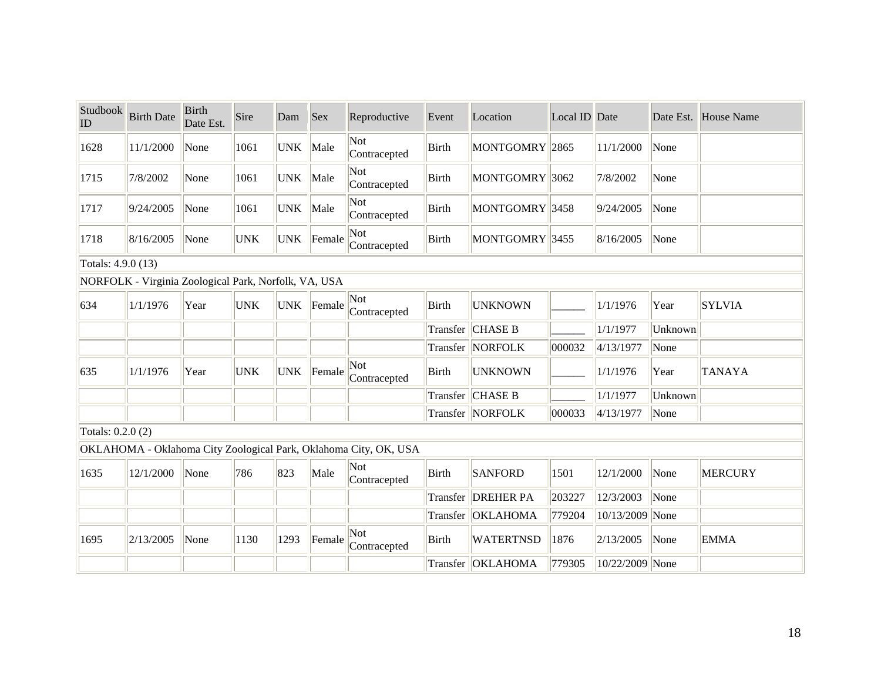| Studbook<br>ID     | <b>Birth Date</b>                                    | <b>Birth</b><br>Date Est. | Sire       | Dam        | Sex    | Reproductive                                                     | Event           | Location            | Local ID Date |                 |         | Date Est. House Name |
|--------------------|------------------------------------------------------|---------------------------|------------|------------|--------|------------------------------------------------------------------|-----------------|---------------------|---------------|-----------------|---------|----------------------|
| 1628               | 11/1/2000                                            | None                      | 1061       | <b>UNK</b> | Male   | Not<br>Contracepted                                              | <b>Birth</b>    | MONTGOMRY 2865      |               | 11/1/2000       | None    |                      |
| 1715               | 7/8/2002                                             | None                      | 1061       | <b>UNK</b> | Male   | Not<br>Contracepted                                              | <b>Birth</b>    | MONTGOMRY 3062      |               | 7/8/2002        | None    |                      |
| 1717               | 9/24/2005                                            | None                      | 1061       | <b>UNK</b> | Male   | Not<br>Contracepted                                              | <b>Birth</b>    | MONTGOMRY 3458      |               | 9/24/2005       | None    |                      |
| 1718               | 8/16/2005                                            | None                      | <b>UNK</b> | <b>UNK</b> | Female | Not<br>Contracepted                                              | <b>Birth</b>    | MONTGOMRY 3455      |               | 8/16/2005       | None    |                      |
| Totals: 4.9.0 (13) |                                                      |                           |            |            |        |                                                                  |                 |                     |               |                 |         |                      |
|                    | NORFOLK - Virginia Zoological Park, Norfolk, VA, USA |                           |            |            |        |                                                                  |                 |                     |               |                 |         |                      |
| 634                | 1/1/1976                                             | Year                      | <b>UNK</b> | <b>UNK</b> | Female | Not<br>Contracepted                                              | <b>Birth</b>    | <b>UNKNOWN</b>      |               | 1/1/1976        | Year    | <b>SYLVIA</b>        |
|                    |                                                      |                           |            |            |        |                                                                  | Transfer        | <b>CHASE B</b>      |               | 1/1/1977        | Unknown |                      |
|                    |                                                      |                           |            |            |        |                                                                  |                 | Transfer   NORFOLK  | 000032        | 4/13/1977       | None    |                      |
| 635                | 1/1/1976                                             | Year                      | <b>UNK</b> | <b>UNK</b> | Female | Not<br>Contracepted                                              | Birth           | <b>UNKNOWN</b>      |               | 1/1/1976        | Year    | <b>TANAYA</b>        |
|                    |                                                      |                           |            |            |        |                                                                  | <b>Transfer</b> | <b>CHASE B</b>      |               | 1/1/1977        | Unknown |                      |
|                    |                                                      |                           |            |            |        |                                                                  |                 | Transfer   NORFOLK  | 000033        | 4/13/1977       | None    |                      |
| Totals: 0.2.0 (2)  |                                                      |                           |            |            |        |                                                                  |                 |                     |               |                 |         |                      |
|                    |                                                      |                           |            |            |        | OKLAHOMA - Oklahoma City Zoological Park, Oklahoma City, OK, USA |                 |                     |               |                 |         |                      |
| 1635               | 12/1/2000                                            | None                      | 786        | 823        | Male   | Not<br>Contracepted                                              | <b>Birth</b>    | <b>SANFORD</b>      | 1501          | 12/1/2000       | None    | <b>MERCURY</b>       |
|                    |                                                      |                           |            |            |        |                                                                  | <b>Transfer</b> | <b>DREHER PA</b>    | 203227        | 12/3/2003       | None    |                      |
|                    |                                                      |                           |            |            |        |                                                                  | Transfer        | <b>OKLAHOMA</b>     | 779204        | 10/13/2009 None |         |                      |
| 1695               | 2/13/2005                                            | None                      | 1130       | 1293       | Female | Not<br>Contracepted                                              | <b>Birth</b>    | <b>WATERTNSD</b>    | 1876          | 2/13/2005       | None    | <b>EMMA</b>          |
|                    |                                                      |                           |            |            |        |                                                                  |                 | Transfer   OKLAHOMA | 779305        | 10/22/2009 None |         |                      |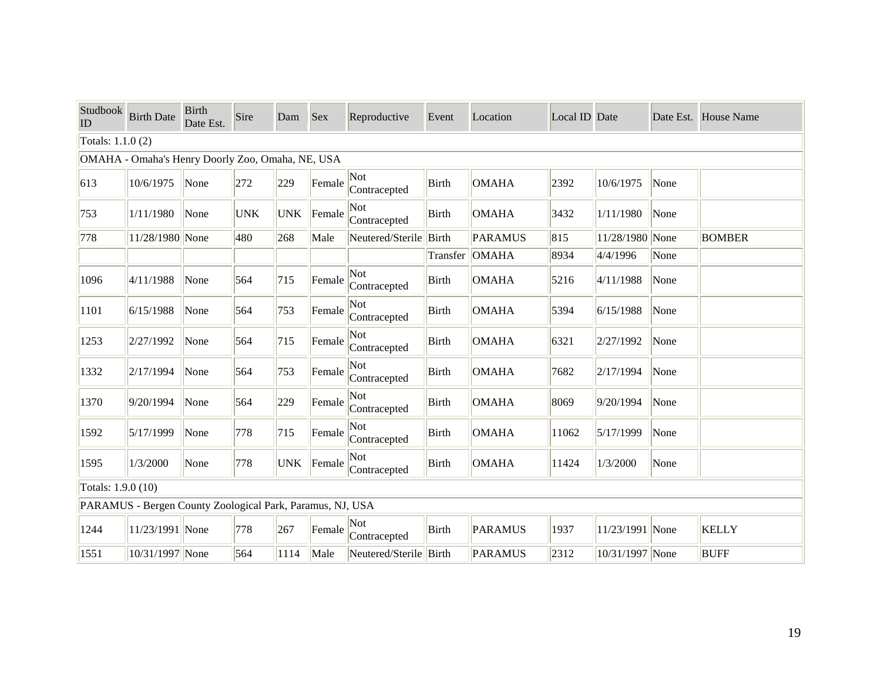| Studbook<br>ID     | <b>Birth Date</b>                                         | <b>Birth</b><br>Date Est. | Sire       | Dam        | <b>Sex</b> | Reproductive           | Event        | Location       | Local ID Date |                 | Date Est. | House Name    |
|--------------------|-----------------------------------------------------------|---------------------------|------------|------------|------------|------------------------|--------------|----------------|---------------|-----------------|-----------|---------------|
| Totals: 1.1.0 (2)  |                                                           |                           |            |            |            |                        |              |                |               |                 |           |               |
|                    | OMAHA - Omaha's Henry Doorly Zoo, Omaha, NE, USA          |                           |            |            |            |                        |              |                |               |                 |           |               |
| 613                | 10/6/1975                                                 | None                      | 272        | 229        | Female     | Not<br>Contracepted    | <b>Birth</b> | <b>OMAHA</b>   | 2392          | 10/6/1975       | None      |               |
| 753                | 1/11/1980                                                 | None                      | <b>UNK</b> | <b>UNK</b> | Female     | Not<br>Contracepted    | <b>Birth</b> | <b>OMAHA</b>   | 3432          | 1/11/1980       | None      |               |
| 778                | 11/28/1980 None                                           |                           | 480        | 268        | Male       | Neutered/Sterile Birth |              | <b>PARAMUS</b> | 815           | 11/28/1980 None |           | <b>BOMBER</b> |
|                    |                                                           |                           |            |            |            |                        |              | Transfer OMAHA | 8934          | 4/4/1996        | None      |               |
| 1096               | 4/11/1988                                                 | None                      | 564        | 715        | Female     | Not<br>Contracepted    | <b>Birth</b> | <b>OMAHA</b>   | 5216          | 4/11/1988       | None      |               |
| 1101               | 6/15/1988                                                 | None                      | 564        | 753        | Female     | Not<br>Contracepted    | <b>Birth</b> | <b>OMAHA</b>   | 5394          | 6/15/1988       | None      |               |
| 1253               | 2/27/1992                                                 | None                      | 564        | 715        | Female     | Not<br>Contracepted    | Birth        | <b>OMAHA</b>   | 6321          | 2/27/1992       | None      |               |
| 1332               | 2/17/1994                                                 | None                      | 564        | 753        | Female     | Not<br>Contracepted    | Birth        | <b>OMAHA</b>   | 7682          | 2/17/1994       | None      |               |
| 1370               | 9/20/1994                                                 | None                      | 564        | 229        | Female     | Not<br>Contracepted    | <b>Birth</b> | <b>OMAHA</b>   | 8069          | 9/20/1994       | None      |               |
| 1592               | 5/17/1999                                                 | None                      | 778        | 715        | Female     | Not<br>Contracepted    | Birth        | <b>OMAHA</b>   | 11062         | 5/17/1999       | None      |               |
| 1595               | 1/3/2000                                                  | None                      | 778        | <b>UNK</b> | Female     | Not<br>Contracepted    | Birth        | <b>OMAHA</b>   | 11424         | 1/3/2000        | None      |               |
| Totals: 1.9.0 (10) |                                                           |                           |            |            |            |                        |              |                |               |                 |           |               |
|                    | PARAMUS - Bergen County Zoological Park, Paramus, NJ, USA |                           |            |            |            |                        |              |                |               |                 |           |               |
| 1244               | 11/23/1991 None                                           |                           | 778        | 267        | Female     | Not<br>Contracepted    | Birth        | <b>PARAMUS</b> | 1937          | 11/23/1991 None |           | <b>KELLY</b>  |
| 1551               | 10/31/1997 None                                           |                           | 564        | 1114       | Male       | Neutered/Sterile Birth |              | <b>PARAMUS</b> | 2312          | 10/31/1997 None |           | <b>BUFF</b>   |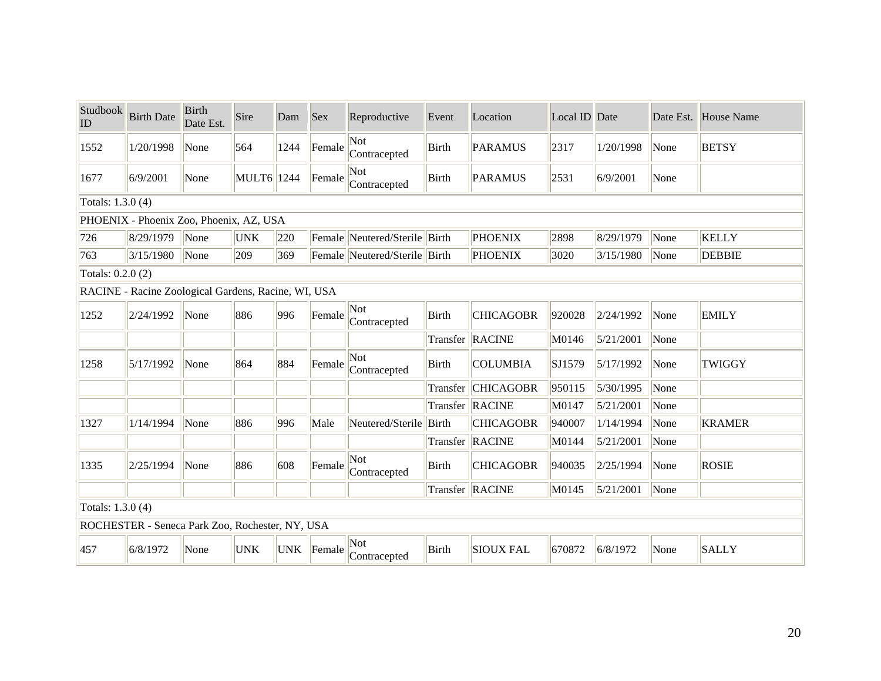| Studbook<br>ID    | <b>Birth Date</b>                                   | <b>Birth</b><br>Date Est. | Sire       | Dam  | <b>Sex</b> | Reproductive                  | Event        | Location          | Local ID Date |           | Date Est. | House Name    |
|-------------------|-----------------------------------------------------|---------------------------|------------|------|------------|-------------------------------|--------------|-------------------|---------------|-----------|-----------|---------------|
| 1552              | 1/20/1998                                           | None                      | 564        | 1244 | Female     | Not<br>Contracepted           | <b>Birth</b> | <b>PARAMUS</b>    | 2317          | 1/20/1998 | None      | <b>BETSY</b>  |
| 1677              | 6/9/2001                                            | None                      | MULT6 1244 |      | Female     | Not<br>Contracepted           | Birth        | <b>PARAMUS</b>    | 2531          | 6/9/2001  | None      |               |
| Totals: 1.3.0 (4) |                                                     |                           |            |      |            |                               |              |                   |               |           |           |               |
|                   | PHOENIX - Phoenix Zoo, Phoenix, AZ, USA             |                           |            |      |            |                               |              |                   |               |           |           |               |
| 726               | 8/29/1979                                           | None                      | <b>UNK</b> | 220  |            | Female Neutered/Sterile Birth |              | <b>PHOENIX</b>    | 2898          | 8/29/1979 | None      | <b>KELLY</b>  |
| 763               | 3/15/1980                                           | None                      | 209        | 369  |            | Female Neutered/Sterile Birth |              | <b>PHOENIX</b>    | 3020          | 3/15/1980 | None      | <b>DEBBIE</b> |
| Totals: 0.2.0 (2) |                                                     |                           |            |      |            |                               |              |                   |               |           |           |               |
|                   | RACINE - Racine Zoological Gardens, Racine, WI, USA |                           |            |      |            |                               |              |                   |               |           |           |               |
| 1252              | 2/24/1992                                           | None                      | 886        | 996  | Female     | Not<br>Contracepted           | <b>Birth</b> | <b>CHICAGOBR</b>  | 920028        | 2/24/1992 | None      | <b>EMILY</b>  |
|                   |                                                     |                           |            |      |            |                               |              | Transfer RACINE   | M0146         | 5/21/2001 | None      |               |
| 1258              | 5/17/1992                                           | None                      | 864        | 884  | Female     | Not<br>Contracepted           | Birth        | <b>COLUMBIA</b>   | SJ1579        | 5/17/1992 | None      | TWIGGY        |
|                   |                                                     |                           |            |      |            |                               | Transfer     | <b>CHICAGOBR</b>  | 950115        | 5/30/1995 | None      |               |
|                   |                                                     |                           |            |      |            |                               |              | Transfer   RACINE | M0147         | 5/21/2001 | None      |               |
| 1327              | 1/14/1994                                           | None                      | 886        | 996  | Male       | Neutered/Sterile Birth        |              | <b>CHICAGOBR</b>  | 940007        | 1/14/1994 | None      | <b>KRAMER</b> |
|                   |                                                     |                           |            |      |            |                               |              | Transfer RACINE   | M0144         | 5/21/2001 | None      |               |
| 1335              | 2/25/1994                                           | None                      | 886        | 608  | Female     | Not<br>Contracepted           | <b>Birth</b> | <b>CHICAGOBR</b>  | 940035        | 2/25/1994 | None      | <b>ROSIE</b>  |
|                   |                                                     |                           |            |      |            |                               |              | Transfer RACINE   | M0145         | 5/21/2001 | None      |               |
| Totals: 1.3.0 (4) |                                                     |                           |            |      |            |                               |              |                   |               |           |           |               |
|                   | ROCHESTER - Seneca Park Zoo, Rochester, NY, USA     |                           |            |      |            |                               |              |                   |               |           |           |               |
| 457               | 6/8/1972                                            | None                      | <b>UNK</b> |      | UNK Female | Not<br>Contracepted           | <b>Birth</b> | <b>SIOUX FAL</b>  | 670872        | 6/8/1972  | None      | <b>SALLY</b>  |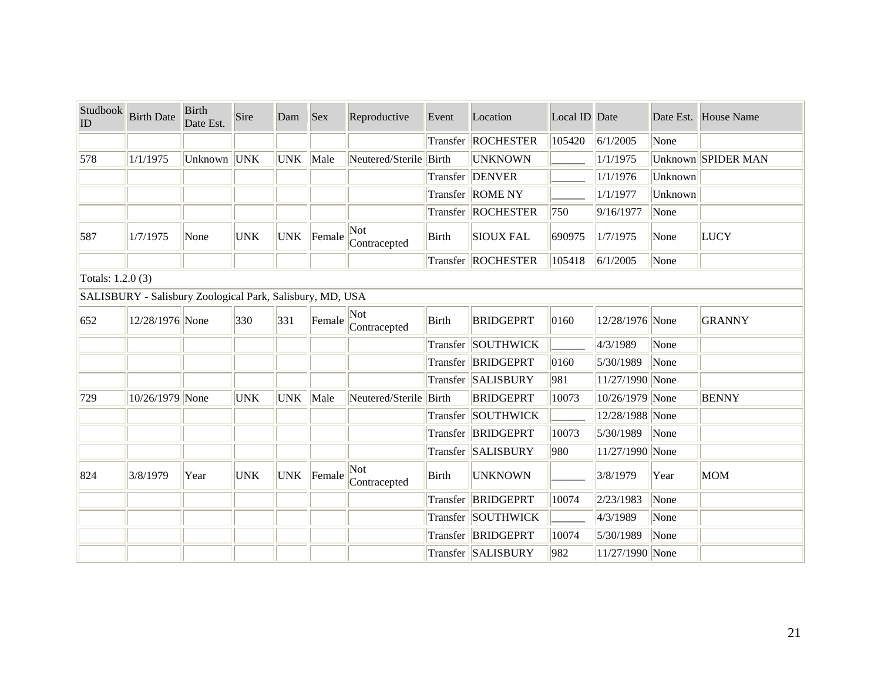| Studbook<br>ID    | <b>Birth Date</b>                                         | <b>Birth</b><br>Date Est. | Sire       | Dam        | <b>Sex</b> | Reproductive           | Event        | Location             | Local ID Date |                     |         | Date Est. House Name |
|-------------------|-----------------------------------------------------------|---------------------------|------------|------------|------------|------------------------|--------------|----------------------|---------------|---------------------|---------|----------------------|
|                   |                                                           |                           |            |            |            |                        |              | Transfer   ROCHESTER | 105420        | 6/1/2005            | None    |                      |
| 578               | 1/1/1975                                                  | Unknown UNK               |            | UNK   Male |            | Neutered/Sterile Birth |              | <b>UNKNOWN</b>       |               | 1/1/1975            |         | Unknown SPIDER MAN   |
|                   |                                                           |                           |            |            |            |                        |              | Transfer DENVER      |               | 1/1/1976            | Unknown |                      |
|                   |                                                           |                           |            |            |            |                        |              | Transfer ROME NY     |               | 1/1/1977            | Unknown |                      |
|                   |                                                           |                           |            |            |            |                        |              | Transfer ROCHESTER   | 750           | 9/16/1977           | None    |                      |
| 587               | 1/7/1975                                                  | None                      | <b>UNK</b> | <b>UNK</b> | Female     | Not<br>Contracepted    | Birth        | <b>SIOUX FAL</b>     | 690975        | 1/7/1975            | None    | <b>LUCY</b>          |
|                   |                                                           |                           |            |            |            |                        |              | Transfer   ROCHESTER | 105418        | 6/1/2005            | None    |                      |
| Totals: 1.2.0 (3) |                                                           |                           |            |            |            |                        |              |                      |               |                     |         |                      |
|                   | SALISBURY - Salisbury Zoological Park, Salisbury, MD, USA |                           |            |            |            |                        |              |                      |               |                     |         |                      |
| 652               | 12/28/1976 None                                           |                           | 330        | 331        | Female     | Not<br>Contracepted    | Birth        | <b>BRIDGEPRT</b>     | 0160          | 12/28/1976 None     |         | <b>GRANNY</b>        |
|                   |                                                           |                           |            |            |            |                        |              | Transfer SOUTHWICK   |               | 4/3/1989            | None    |                      |
|                   |                                                           |                           |            |            |            |                        |              | Transfer BRIDGEPRT   | 0160          | 5/30/1989           | None    |                      |
|                   |                                                           |                           |            |            |            |                        |              | Transfer SALISBURY   | 981           | $ 11/27/1990 $ None |         |                      |
| 729               | 10/26/1979 None                                           |                           | <b>UNK</b> | UNK Male   |            | Neutered/Sterile Birth |              | <b>BRIDGEPRT</b>     | 10073         | 10/26/1979 None     |         | <b>BENNY</b>         |
|                   |                                                           |                           |            |            |            |                        |              | Transfer SOUTHWICK   |               | 12/28/1988 None     |         |                      |
|                   |                                                           |                           |            |            |            |                        |              | Transfer BRIDGEPRT   | 10073         | 5/30/1989 None      |         |                      |
|                   |                                                           |                           |            |            |            |                        |              | Transfer   SALISBURY | 980           | $ 11/27/1990 $ None |         |                      |
| 824               | 3/8/1979                                                  | Year                      | <b>UNK</b> | <b>UNK</b> | Female     | Not<br>Contracepted    | <b>Birth</b> | <b>UNKNOWN</b>       |               | 3/8/1979            | Year    | <b>MOM</b>           |
|                   |                                                           |                           |            |            |            |                        |              | Transfer BRIDGEPRT   | 10074         | 2/23/1983           | None    |                      |
|                   |                                                           |                           |            |            |            |                        |              | Transfer SOUTHWICK   |               | 4/3/1989            | None    |                      |
|                   |                                                           |                           |            |            |            |                        |              | Transfer BRIDGEPRT   | 10074         | 5/30/1989           | None    |                      |
|                   |                                                           |                           |            |            |            |                        |              | Transfer SALISBURY   | 982           | 11/27/1990 None     |         |                      |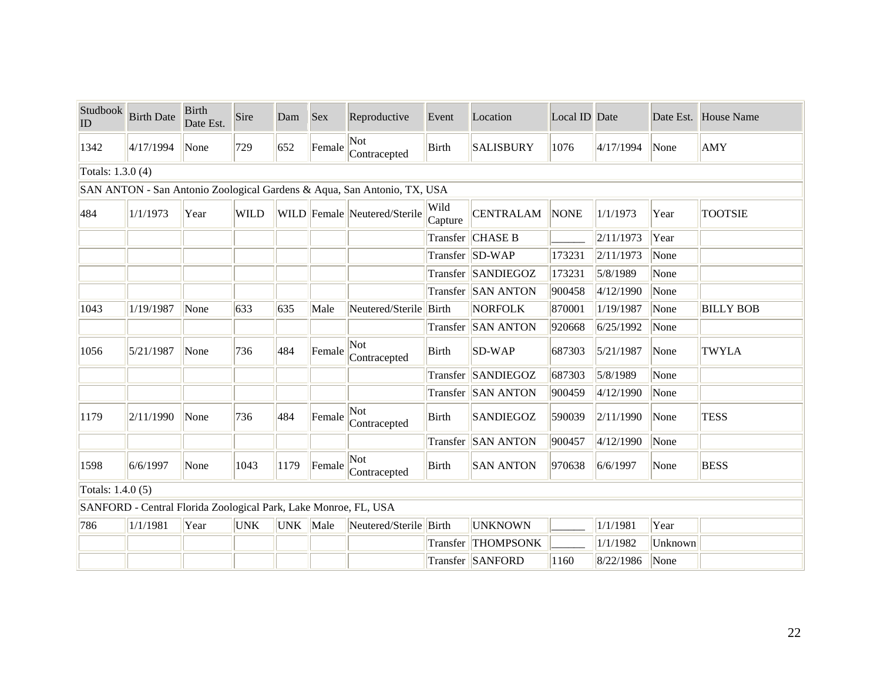| Studbook<br>ID    | <b>Birth Date</b>                                               | <b>Birth</b><br>Date Est. | Sire        | Dam        | <b>Sex</b> | Reproductive                                                            | Event           | Location           | Local ID Date |           |         | Date Est. House Name |
|-------------------|-----------------------------------------------------------------|---------------------------|-------------|------------|------------|-------------------------------------------------------------------------|-----------------|--------------------|---------------|-----------|---------|----------------------|
| 1342              | 4/17/1994                                                       | None                      | 729         | 652        | Female     | Not<br>Contracepted                                                     | Birth           | <b>SALISBURY</b>   | 1076          | 4/17/1994 | None    | AMY                  |
| Totals: 1.3.0 (4) |                                                                 |                           |             |            |            |                                                                         |                 |                    |               |           |         |                      |
|                   |                                                                 |                           |             |            |            | SAN ANTON - San Antonio Zoological Gardens & Aqua, San Antonio, TX, USA |                 |                    |               |           |         |                      |
| 484               | 1/1/1973                                                        | Year                      | <b>WILD</b> |            |            | WILD Female Neutered/Sterile                                            | Wild<br>Capture | <b>CENTRALAM</b>   | <b>NONE</b>   | 1/1/1973  | Year    | <b>TOOTSIE</b>       |
|                   |                                                                 |                           |             |            |            |                                                                         | Transfer        | <b>CHASE B</b>     |               | 2/11/1973 | Year    |                      |
|                   |                                                                 |                           |             |            |            |                                                                         |                 | Transfer SD-WAP    | 173231        | 2/11/1973 | None    |                      |
|                   |                                                                 |                           |             |            |            |                                                                         |                 | Transfer SANDIEGOZ | 173231        | 5/8/1989  | None    |                      |
|                   |                                                                 |                           |             |            |            |                                                                         |                 | Transfer SAN ANTON | 900458        | 4/12/1990 | None    |                      |
| 1043              | 1/19/1987                                                       | None                      | 633         | 635        | Male       | Neutered/Sterile Birth                                                  |                 | <b>NORFOLK</b>     | 870001        | 1/19/1987 | None    | <b>BILLY BOB</b>     |
|                   |                                                                 |                           |             |            |            |                                                                         |                 | Transfer SAN ANTON | 920668        | 6/25/1992 | None    |                      |
| 1056              | 5/21/1987                                                       | None                      | 736         | 484        | Female     | Not<br>Contracepted                                                     | Birth           | SD-WAP             | 687303        | 5/21/1987 | None    | <b>TWYLA</b>         |
|                   |                                                                 |                           |             |            |            |                                                                         |                 | Transfer SANDIEGOZ | 687303        | 5/8/1989  | None    |                      |
|                   |                                                                 |                           |             |            |            |                                                                         |                 | Transfer SAN ANTON | 900459        | 4/12/1990 | None    |                      |
| 1179              | 2/11/1990                                                       | None                      | 736         | 484        | Female     | Not<br>Contracepted                                                     | Birth           | <b>SANDIEGOZ</b>   | 590039        | 2/11/1990 | None    | <b>TESS</b>          |
|                   |                                                                 |                           |             |            |            |                                                                         | Transfer        | <b>SAN ANTON</b>   | 900457        | 4/12/1990 | None    |                      |
| 1598              | 6/6/1997                                                        | None                      | 1043        | 1179       | Female     | Not<br>Contracepted                                                     | <b>Birth</b>    | <b>SAN ANTON</b>   | 970638        | 6/6/1997  | None    | <b>BESS</b>          |
| Totals: 1.4.0 (5) |                                                                 |                           |             |            |            |                                                                         |                 |                    |               |           |         |                      |
|                   | SANFORD - Central Florida Zoological Park, Lake Monroe, FL, USA |                           |             |            |            |                                                                         |                 |                    |               |           |         |                      |
| 786               | 1/1/1981                                                        | Year                      | <b>UNK</b>  | UNK   Male |            | Neutered/Sterile Birth                                                  |                 | <b>UNKNOWN</b>     |               | 1/1/1981  | Year    |                      |
|                   |                                                                 |                           |             |            |            |                                                                         | Transfer        | <b>THOMPSONK</b>   |               | 1/1/1982  | Unknown |                      |
|                   |                                                                 |                           |             |            |            |                                                                         |                 | Transfer SANFORD   | 1160          | 8/22/1986 | None    |                      |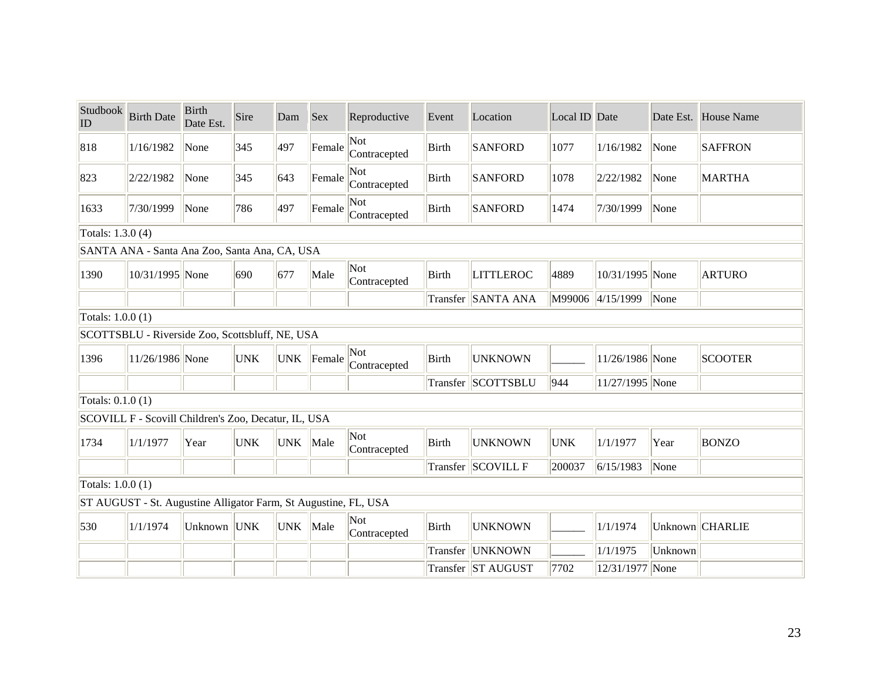| Studbook<br>ID    | <b>Birth Date</b>                                               | <b>Birth</b><br>Date Est. | Sire       | Dam        | <b>Sex</b> | Reproductive        | Event        | Location           | Local ID Date |                  |         | Date Est. House Name |  |  |
|-------------------|-----------------------------------------------------------------|---------------------------|------------|------------|------------|---------------------|--------------|--------------------|---------------|------------------|---------|----------------------|--|--|
| 818               | 1/16/1982                                                       | None                      | 345        | 497        | Female     | Not<br>Contracepted | <b>Birth</b> | <b>SANFORD</b>     | 1077          | 1/16/1982        | None    | <b>SAFFRON</b>       |  |  |
| 823               | 2/22/1982                                                       | None                      | 345        | 643        | Female     | Not<br>Contracepted | Birth        | <b>SANFORD</b>     | 1078          | 2/22/1982        | None    | <b>MARTHA</b>        |  |  |
| 1633              | 7/30/1999                                                       | None                      | 786        | 497        | Female     | Not<br>Contracepted | <b>Birth</b> | <b>SANFORD</b>     | 1474          | 7/30/1999        | None    |                      |  |  |
| Totals: 1.3.0 (4) |                                                                 |                           |            |            |            |                     |              |                    |               |                  |         |                      |  |  |
|                   | SANTA ANA - Santa Ana Zoo, Santa Ana, CA, USA                   |                           |            |            |            |                     |              |                    |               |                  |         |                      |  |  |
| 1390              | 10/31/1995 None                                                 |                           | 690        | 677        | Male       | Not<br>Contracepted | Birth        | <b>LITTLEROC</b>   | 4889          | 10/31/1995 None  |         | <b>ARTURO</b>        |  |  |
|                   |                                                                 |                           |            |            |            |                     |              | Transfer SANTA ANA |               | M99006 4/15/1999 | None    |                      |  |  |
|                   | Totals: 1.0.0 (1)                                               |                           |            |            |            |                     |              |                    |               |                  |         |                      |  |  |
|                   | SCOTTSBLU - Riverside Zoo, Scottsbluff, NE, USA                 |                           |            |            |            |                     |              |                    |               |                  |         |                      |  |  |
| 1396              | 11/26/1986 None                                                 |                           | <b>UNK</b> | <b>UNK</b> | Female     | Not<br>Contracepted | Birth        | <b>UNKNOWN</b>     |               | 11/26/1986 None  |         | <b>SCOOTER</b>       |  |  |
|                   |                                                                 |                           |            |            |            |                     |              | Transfer SCOTTSBLU | 944           | 11/27/1995 None  |         |                      |  |  |
| Totals: 0.1.0 (1) |                                                                 |                           |            |            |            |                     |              |                    |               |                  |         |                      |  |  |
|                   | SCOVILL F - Scovill Children's Zoo, Decatur, IL, USA            |                           |            |            |            |                     |              |                    |               |                  |         |                      |  |  |
| 1734              | 1/1/1977                                                        | Year                      | <b>UNK</b> | <b>UNK</b> | Male       | Not<br>Contracepted | Birth        | <b>UNKNOWN</b>     | <b>UNK</b>    | 1/1/1977         | Year    | <b>BONZO</b>         |  |  |
|                   |                                                                 |                           |            |            |            |                     |              | Transfer SCOVILL F | 200037        | 6/15/1983        | None    |                      |  |  |
| Totals: 1.0.0 (1) |                                                                 |                           |            |            |            |                     |              |                    |               |                  |         |                      |  |  |
|                   | ST AUGUST - St. Augustine Alligator Farm, St Augustine, FL, USA |                           |            |            |            |                     |              |                    |               |                  |         |                      |  |  |
| 530               | 1/1/1974                                                        | Unknown UNK               |            | <b>UNK</b> | Male       | Not<br>Contracepted | Birth        | <b>UNKNOWN</b>     |               | 1/1/1974         |         | Unknown CHARLIE      |  |  |
|                   |                                                                 |                           |            |            |            |                     | Transfer     | <b>UNKNOWN</b>     |               | 1/1/1975         | Unknown |                      |  |  |
|                   |                                                                 |                           |            |            |            |                     |              | Transfer ST AUGUST | 7702          | 12/31/1977 None  |         |                      |  |  |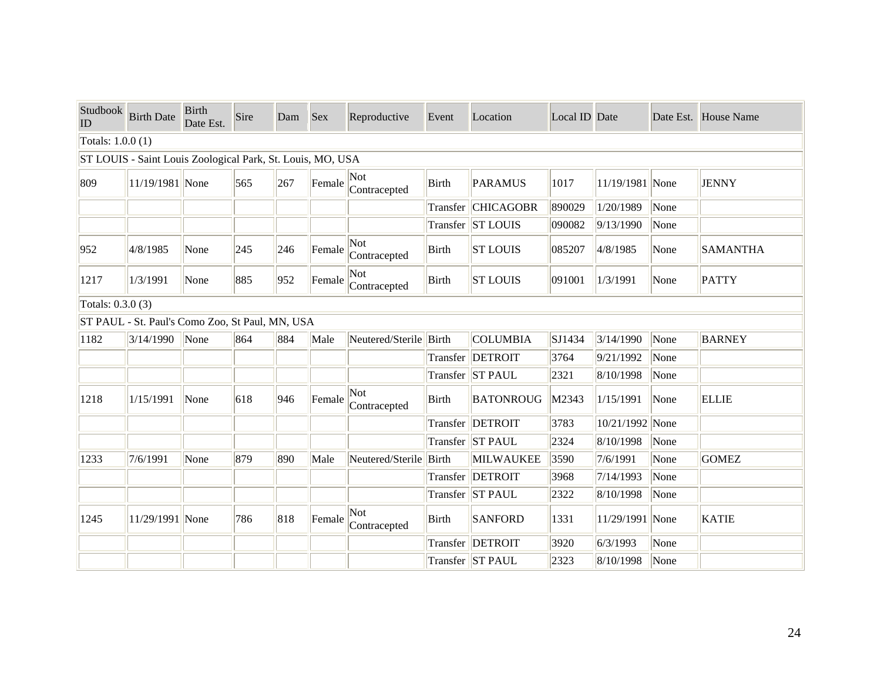| Studbook<br>ID    | <b>Birth Date</b>                                          | <b>Birth</b><br>Date Est. | Sire | Dam | <b>Sex</b> | Reproductive           | Event    | Location          | Local ID Date |                 |      | Date Est. House Name |
|-------------------|------------------------------------------------------------|---------------------------|------|-----|------------|------------------------|----------|-------------------|---------------|-----------------|------|----------------------|
| Totals: 1.0.0 (1) |                                                            |                           |      |     |            |                        |          |                   |               |                 |      |                      |
|                   | ST LOUIS - Saint Louis Zoological Park, St. Louis, MO, USA |                           |      |     |            |                        |          |                   |               |                 |      |                      |
| 809               | 11/19/1981 None                                            |                           | 565  | 267 | Female     | Not<br>Contracepted    | Birth    | <b>PARAMUS</b>    | 1017          | 11/19/1981 None |      | <b>JENNY</b>         |
|                   |                                                            |                           |      |     |            |                        | Transfer | <b>CHICAGOBR</b>  | 890029        | 1/20/1989       | None |                      |
|                   |                                                            |                           |      |     |            |                        |          | Transfer ST LOUIS | 090082        | 9/13/1990       | None |                      |
| 952               | 4/8/1985                                                   | None                      | 245  | 246 | Female     | Not<br>Contracepted    | Birth    | <b>ST LOUIS</b>   | 085207        | 4/8/1985        | None | <b>SAMANTHA</b>      |
| 1217              | 1/3/1991                                                   | None                      | 885  | 952 | Female     | Not<br>Contracepted    | Birth    | <b>ST LOUIS</b>   | 091001        | 1/3/1991        | None | <b>PATTY</b>         |
| Totals: 0.3.0 (3) |                                                            |                           |      |     |            |                        |          |                   |               |                 |      |                      |
|                   | ST PAUL - St. Paul's Como Zoo, St Paul, MN, USA            |                           |      |     |            |                        |          |                   |               |                 |      |                      |
| 1182              | 3/14/1990                                                  | None                      | 864  | 884 | Male       | Neutered/Sterile Birth |          | <b>COLUMBIA</b>   | SJ1434        | 3/14/1990       | None | <b>BARNEY</b>        |
|                   |                                                            |                           |      |     |            |                        |          | Transfer  DETROIT | 3764          | 9/21/1992       | None |                      |
|                   |                                                            |                           |      |     |            |                        |          | Transfer ST PAUL  | 2321          | 8/10/1998       | None |                      |
| 1218              | 1/15/1991                                                  | None                      | 618  | 946 | Female     | Not<br>Contracepted    | Birth    | <b>BATONROUG</b>  | M2343         | 1/15/1991       | None | <b>ELLIE</b>         |
|                   |                                                            |                           |      |     |            |                        |          | Transfer  DETROIT | 3783          | 10/21/1992 None |      |                      |
|                   |                                                            |                           |      |     |            |                        |          | Transfer ST PAUL  | 2324          | 8/10/1998       | None |                      |
| 1233              | 7/6/1991                                                   | None                      | 879  | 890 | Male       | Neutered/Sterile Birth |          | MILWAUKEE         | 3590          | 7/6/1991        | None | <b>GOMEZ</b>         |
|                   |                                                            |                           |      |     |            |                        |          | Transfer DETROIT  | 3968          | 7/14/1993       | None |                      |
|                   |                                                            |                           |      |     |            |                        |          | Transfer ST PAUL  | 2322          | 8/10/1998       | None |                      |
| 1245              | 11/29/1991 None                                            |                           | 786  | 818 | Female     | Not<br>Contracepted    | Birth    | <b>SANFORD</b>    | 1331          | 11/29/1991 None |      | <b>KATIE</b>         |
|                   |                                                            |                           |      |     |            |                        |          | Transfer  DETROIT | 3920          | 6/3/1993        | None |                      |
|                   |                                                            |                           |      |     |            |                        |          | Transfer ST PAUL  | 2323          | 8/10/1998       | None |                      |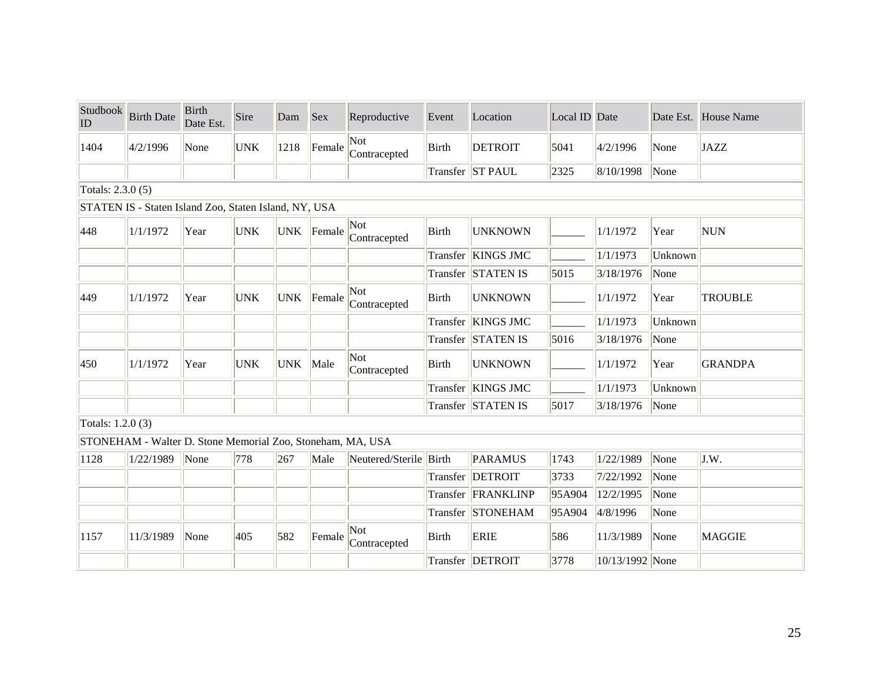| Studbook<br>ID    | <b>Birth Date</b>                                          | <b>Birth</b><br>Date Est. | Sire       | Dam        | <b>Sex</b> | Reproductive           | Event        | Location           | Local ID Date |                 |         | Date Est. House Name |
|-------------------|------------------------------------------------------------|---------------------------|------------|------------|------------|------------------------|--------------|--------------------|---------------|-----------------|---------|----------------------|
| 1404              | 4/2/1996                                                   | None                      | <b>UNK</b> | 1218       | Female     | Not<br>Contracepted    | <b>Birth</b> | <b>DETROIT</b>     | 5041          | 4/2/1996        | None    | <b>JAZZ</b>          |
|                   |                                                            |                           |            |            |            |                        |              | Transfer ST PAUL   | 2325          | 8/10/1998       | None    |                      |
| Totals: 2.3.0 (5) |                                                            |                           |            |            |            |                        |              |                    |               |                 |         |                      |
|                   | STATEN IS - Staten Island Zoo, Staten Island, NY, USA      |                           |            |            |            |                        |              |                    |               |                 |         |                      |
| 448               | 1/1/1972                                                   | Year                      | <b>UNK</b> | <b>UNK</b> | Female     | Not<br>Contracepted    | Birth        | <b>UNKNOWN</b>     |               | 1/1/1972        | Year    | <b>NUN</b>           |
|                   |                                                            |                           |            |            |            |                        |              | Transfer KINGS JMC |               | 1/1/1973        | Unknown |                      |
|                   |                                                            |                           |            |            |            |                        |              | Transfer STATEN IS | 5015          | 3/18/1976       | None    |                      |
| 449               | 1/1/1972                                                   | Year                      | <b>UNK</b> | <b>UNK</b> | Female     | Not<br>Contracepted    | <b>Birth</b> | <b>UNKNOWN</b>     |               | 1/1/1972        | Year    | <b>TROUBLE</b>       |
|                   |                                                            |                           |            |            |            |                        | Transfer     | <b>KINGS JMC</b>   |               | 1/1/1973        | Unknown |                      |
|                   |                                                            |                           |            |            |            |                        |              | Transfer STATEN IS | 5016          | 3/18/1976       | None    |                      |
| 450               | 1/1/1972                                                   | Year                      | <b>UNK</b> | <b>UNK</b> | Male       | Not<br>Contracepted    | <b>Birth</b> | <b>UNKNOWN</b>     |               | 1/1/1972        | Year    | <b>GRANDPA</b>       |
|                   |                                                            |                           |            |            |            |                        |              | Transfer KINGS JMC |               | 1/1/1973        | Unknown |                      |
|                   |                                                            |                           |            |            |            |                        |              | Transfer STATEN IS | 5017          | 3/18/1976       | None    |                      |
| Totals: 1.2.0 (3) |                                                            |                           |            |            |            |                        |              |                    |               |                 |         |                      |
|                   | STONEHAM - Walter D. Stone Memorial Zoo, Stoneham, MA, USA |                           |            |            |            |                        |              |                    |               |                 |         |                      |
| 1128              | 1/22/1989                                                  | None                      | 778        | 267        | Male       | Neutered/Sterile Birth |              | <b>PARAMUS</b>     | 1743          | 1/22/1989       | None    | J.W.                 |
|                   |                                                            |                           |            |            |            |                        | Transfer     | <b>DETROIT</b>     | 3733          | 7/22/1992       | None    |                      |
|                   |                                                            |                           |            |            |            |                        |              | Transfer FRANKLINP | 95A904        | 12/2/1995       | None    |                      |
|                   |                                                            |                           |            |            |            |                        |              | Transfer STONEHAM  | 95A904        | 4/8/1996        | None    |                      |
| 1157              | 11/3/1989                                                  | None                      | 405        | 582        | Female     | Not<br>Contracepted    | Birth        | <b>ERIE</b>        | 586           | 11/3/1989       | None    | <b>MAGGIE</b>        |
|                   |                                                            |                           |            |            |            |                        |              | Transfer   DETROIT | 3778          | 10/13/1992 None |         |                      |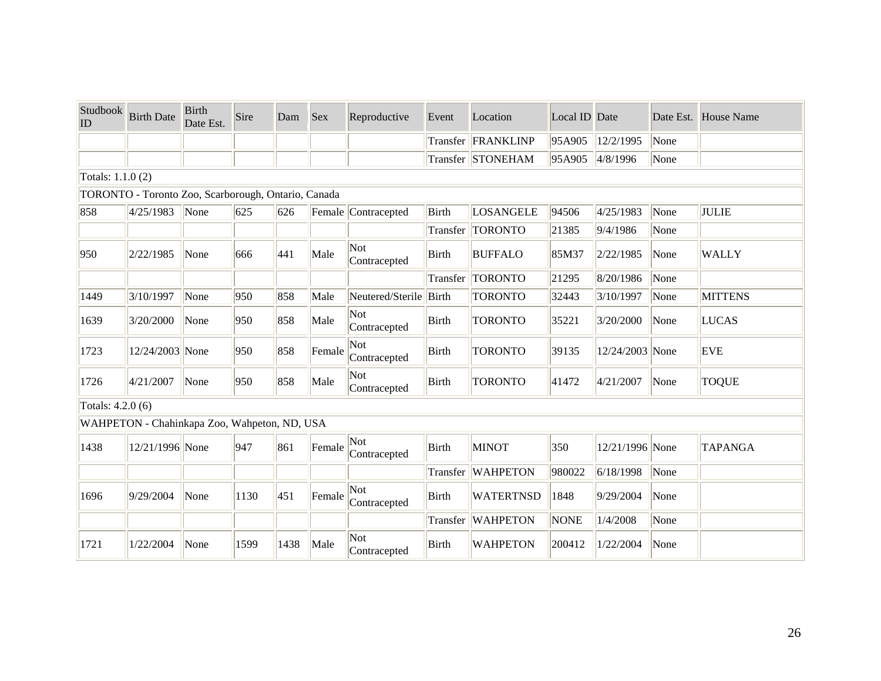| Studbook<br>ID    | <b>Birth Date</b>                                   | <b>Birth</b><br>Date Est. | Sire | Dam  | <b>Sex</b> | Reproductive        | Event        | Location           | Local ID Date |                 |      | Date Est. House Name |
|-------------------|-----------------------------------------------------|---------------------------|------|------|------------|---------------------|--------------|--------------------|---------------|-----------------|------|----------------------|
|                   |                                                     |                           |      |      |            |                     |              | Transfer FRANKLINP | 95A905        | 12/2/1995       | None |                      |
|                   |                                                     |                           |      |      |            |                     |              | Transfer STONEHAM  | 95A905        | 4/8/1996        | None |                      |
| Totals: 1.1.0 (2) |                                                     |                           |      |      |            |                     |              |                    |               |                 |      |                      |
|                   | TORONTO - Toronto Zoo, Scarborough, Ontario, Canada |                           |      |      |            |                     |              |                    |               |                 |      |                      |
| 858               | 4/25/1983                                           | None                      | 625  | 626  |            | Female Contracepted | <b>Birth</b> | LOSANGELE          | 94506         | 4/25/1983       | None | JULIE                |
|                   |                                                     |                           |      |      |            |                     | Transfer     | <b>TORONTO</b>     | 21385         | 9/4/1986        | None |                      |
| 950               | 2/22/1985                                           | None                      | 666  | 441  | Male       | Not<br>Contracepted | Birth        | <b>BUFFALO</b>     | 85M37         | 2/22/1985       | None | <b>WALLY</b>         |
|                   |                                                     |                           |      |      |            |                     | Transfer     | <b>TORONTO</b>     | 21295         | 8/20/1986       | None |                      |
| 1449              | 3/10/1997                                           | None                      | 950  | 858  | Male       | Neutered/Sterile    | Birth        | <b>TORONTO</b>     | 32443         | 3/10/1997       | None | <b>MITTENS</b>       |
| 1639              | 3/20/2000                                           | None                      | 950  | 858  | Male       | Not<br>Contracepted | <b>Birth</b> | <b>TORONTO</b>     | 35221         | 3/20/2000       | None | LUCAS                |
| 1723              | 12/24/2003 None                                     |                           | 950  | 858  | Female     | Not<br>Contracepted | <b>Birth</b> | <b>TORONTO</b>     | 39135         | 12/24/2003 None |      | <b>EVE</b>           |
| 1726              | 4/21/2007                                           | None                      | 950  | 858  | Male       | Not<br>Contracepted | <b>Birth</b> | <b>TORONTO</b>     | 41472         | 4/21/2007       | None | <b>TOQUE</b>         |
| Totals: 4.2.0 (6) |                                                     |                           |      |      |            |                     |              |                    |               |                 |      |                      |
|                   | WAHPETON - Chahinkapa Zoo, Wahpeton, ND, USA        |                           |      |      |            |                     |              |                    |               |                 |      |                      |
| 1438              | 12/21/1996 None                                     |                           | 947  | 861  | Female     | Not<br>Contracepted | <b>Birth</b> | <b>MINOT</b>       | 350           | 12/21/1996 None |      | <b>TAPANGA</b>       |
|                   |                                                     |                           |      |      |            |                     |              | Transfer WAHPETON  | 980022        | 6/18/1998       | None |                      |
| 1696              | 9/29/2004                                           | None                      | 1130 | 451  | Female     | Not<br>Contracepted | <b>Birth</b> | <b>WATERTNSD</b>   | 1848          | 9/29/2004       | None |                      |
|                   |                                                     |                           |      |      |            |                     |              | Transfer WAHPETON  | <b>NONE</b>   | 1/4/2008        | None |                      |
| 1721              | 1/22/2004                                           | None                      | 1599 | 1438 | Male       | Not<br>Contracepted | <b>Birth</b> | <b>WAHPETON</b>    | 200412        | 1/22/2004       | None |                      |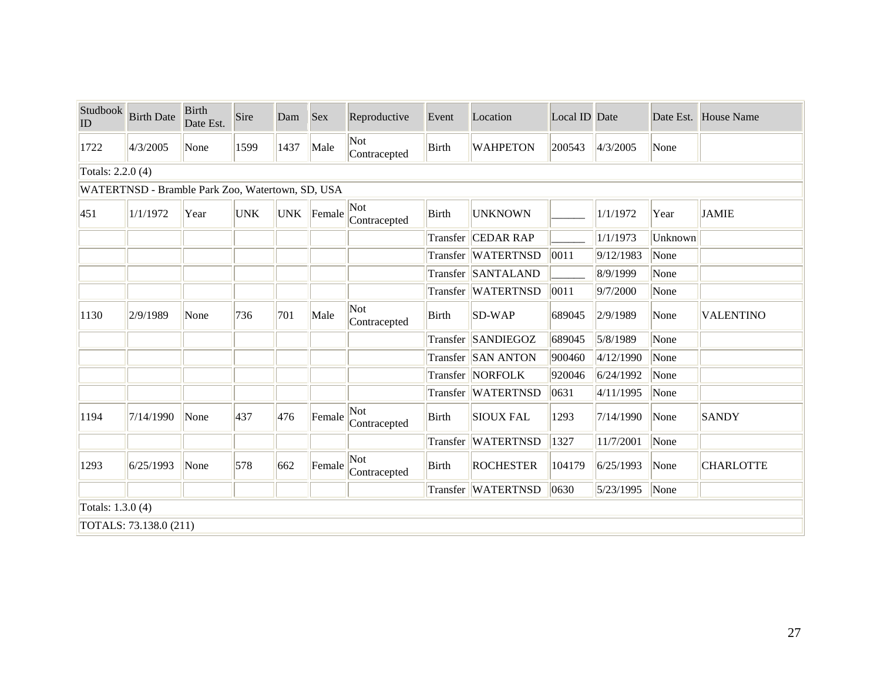| Studbook<br>$ $ ID | <b>Birth Date</b>                                | <b>Birth</b><br>Date Est. | Sire       | Dam        | <b>Sex</b> | Reproductive        | Event        | Location           | Local ID Date |                    |         | Date Est. House Name |
|--------------------|--------------------------------------------------|---------------------------|------------|------------|------------|---------------------|--------------|--------------------|---------------|--------------------|---------|----------------------|
| 1722               | 4/3/2005                                         | None                      | 1599       | 1437       | Male       | Not<br>Contracepted | Birth        | <b>WAHPETON</b>    | 200543        | 4/3/2005           | None    |                      |
| Totals: 2.2.0 (4)  |                                                  |                           |            |            |            |                     |              |                    |               |                    |         |                      |
|                    | WATERTNSD - Bramble Park Zoo, Watertown, SD, USA |                           |            |            |            |                     |              |                    |               |                    |         |                      |
| 451                | 1/1/1972                                         | Year                      | <b>UNK</b> | <b>UNK</b> | Female     | Not<br>Contracepted | Birth        | <b>UNKNOWN</b>     |               | 1/1/1972           | Year    | <b>JAMIE</b>         |
|                    |                                                  |                           |            |            |            |                     | Transfer     | <b>CEDAR RAP</b>   |               | 1/1/1973           | Unknown |                      |
|                    |                                                  |                           |            |            |            |                     |              | Transfer WATERTNSD | 0011          | 9/12/1983          | None    |                      |
|                    |                                                  |                           |            |            |            |                     |              | Transfer SANTALAND |               | 8/9/1999           | None    |                      |
|                    |                                                  |                           |            |            |            |                     |              | Transfer WATERTNSD | 0011          | 9/7/2000           | None    |                      |
| 1130               | 2/9/1989                                         | None                      | 736        | 701        | Male       | Not<br>Contracepted | Birth        | SD-WAP             | 689045        | 2/9/1989           | None    | <b>VALENTINO</b>     |
|                    |                                                  |                           |            |            |            |                     |              | Transfer SANDIEGOZ | 689045        | 5/8/1989           | None    |                      |
|                    |                                                  |                           |            |            |            |                     |              | Transfer SAN ANTON | 900460        | 4/12/1990          | None    |                      |
|                    |                                                  |                           |            |            |            |                     |              | Transfer NORFOLK   | 920046        | 6/24/1992          | None    |                      |
|                    |                                                  |                           |            |            |            |                     |              | Transfer WATERTNSD | 0631          | 4/11/1995          | None    |                      |
| 1194               | 7/14/1990                                        | None                      | 437        | 476        | Female     | Not<br>Contracepted | <b>Birth</b> | <b>SIOUX FAL</b>   | 1293          | 7/14/1990          | None    | <b>SANDY</b>         |
|                    |                                                  |                           |            |            |            |                     |              | Transfer WATERTNSD | 1327          | 11/7/2001          | None    |                      |
| 1293               | 6/25/1993                                        | None                      | 578        | 662        | Female     | Not<br>Contracepted | Birth        | <b>ROCHESTER</b>   | 104179        | 6/25/1993          | None    | <b>CHARLOTTE</b>     |
|                    |                                                  |                           |            |            |            |                     |              | Transfer WATERTNSD | 0630          | $ 5/23/1995 $ None |         |                      |
| Totals: 1.3.0 (4)  |                                                  |                           |            |            |            |                     |              |                    |               |                    |         |                      |
|                    | TOTALS: 73.138.0 (211)                           |                           |            |            |            |                     |              |                    |               |                    |         |                      |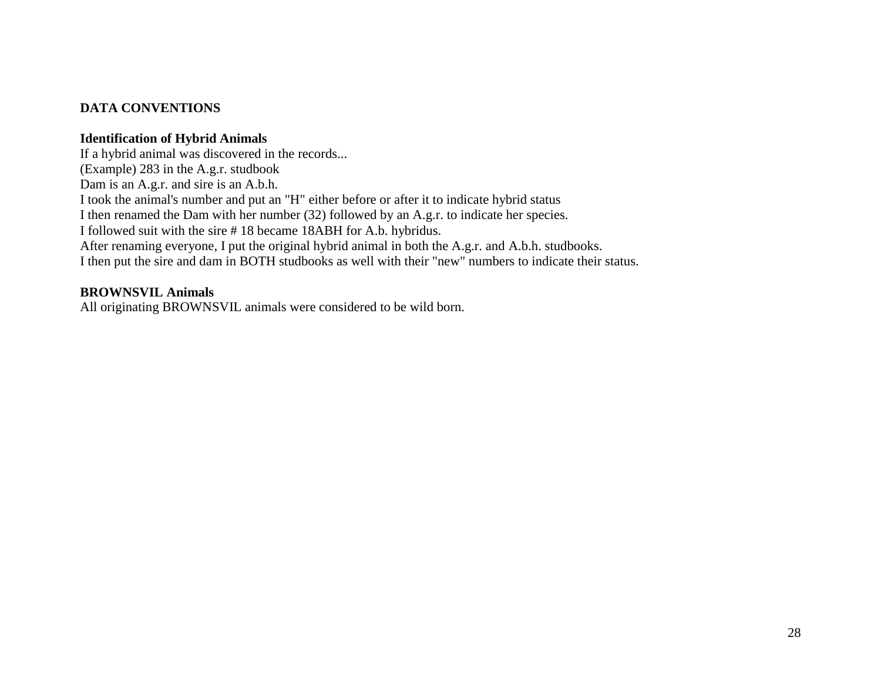# **DATA CONVENTIONS**

#### **Identification of Hybrid Animals**

If a hybrid animal was discovered in the records... (Example) 283 in the A.g.r. studbook Dam is an A.g.r. and sire is an A.b.h. I took the animal's number and put an "H" either before or after it to indicate hybrid status I then renamed the Dam with her number (32) followed by an A.g.r. to indicate her species. I followed suit with the sire # 18 became 18ABH for A.b. hybridus. After renaming everyone, I put the original hybrid animal in both the A.g.r. and A.b.h. studbooks. I then put the sire and dam in BOTH studbooks as well with their "new" numbers to indicate their status.

## **BROWNSVIL Animals**

All originating BROWNSVIL animals were considered to be wild born.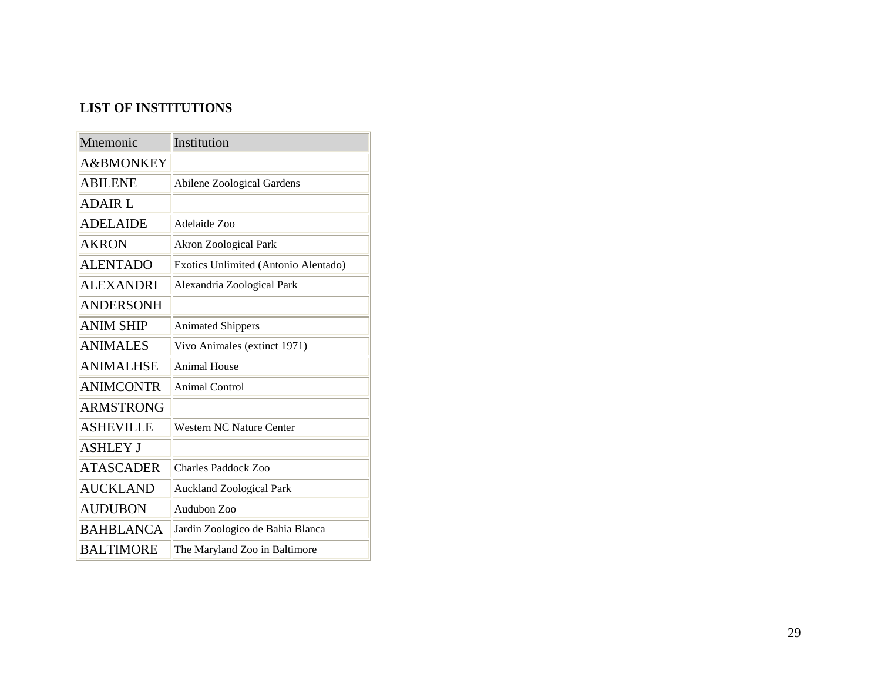# **LIST OF INSTITUTIONS**

| Mnemonic         | Institution                          |
|------------------|--------------------------------------|
| A&BMONKEY        |                                      |
| ABILENE          | <b>Abilene Zoological Gardens</b>    |
| <b>ADAIR L</b>   |                                      |
| <b>ADELAIDE</b>  | Adelaide Zoo                         |
| AKRON            | <b>Akron Zoological Park</b>         |
| <b>ALENTADO</b>  | Exotics Unlimited (Antonio Alentado) |
| <b>ALEXANDRI</b> | Alexandria Zoological Park           |
| <b>ANDERSONH</b> |                                      |
| ANIM SHIP        | <b>Animated Shippers</b>             |
| <b>ANIMALES</b>  | Vivo Animales (extinct 1971)         |
| <b>ANIMALHSE</b> | <b>Animal House</b>                  |
| <b>ANIMCONTR</b> | Animal Control                       |
| <b>ARMSTRONG</b> |                                      |
| <b>ASHEVILLE</b> | <b>Western NC Nature Center</b>      |
| <b>ASHLEY J</b>  |                                      |
| <b>ATASCADER</b> | <b>Charles Paddock Zoo</b>           |
| <b>AUCKLAND</b>  | <b>Auckland Zoological Park</b>      |
| <b>AUDUBON</b>   | Audubon Zoo                          |
| <b>BAHBLANCA</b> | Jardin Zoologico de Bahia Blanca     |
| <b>BALTIMORE</b> | The Maryland Zoo in Baltimore        |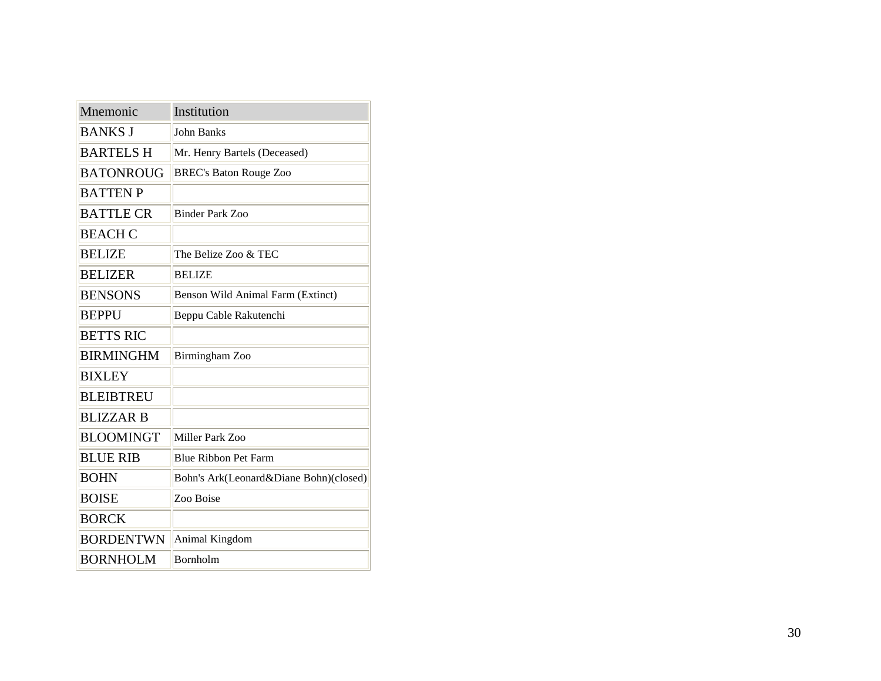| Mnemonic         | Institution                            |
|------------------|----------------------------------------|
| <b>BANKS J</b>   | <b>John Banks</b>                      |
| <b>BARTELS H</b> | Mr. Henry Bartels (Deceased)           |
| <b>BATONROUG</b> | <b>BREC's Baton Rouge Zoo</b>          |
| <b>BATTENP</b>   |                                        |
| <b>BATTLE CR</b> | Binder Park Zoo                        |
| <b>BEACH C</b>   |                                        |
| <b>BELIZE</b>    | The Belize Zoo & TEC                   |
| <b>BELIZER</b>   | <b>BELIZE</b>                          |
| <b>BENSONS</b>   | Benson Wild Animal Farm (Extinct)      |
| <b>BEPPU</b>     | Beppu Cable Rakutenchi                 |
| <b>BETTS RIC</b> |                                        |
| <b>BIRMINGHM</b> | Birmingham Zoo                         |
| <b>BIXLEY</b>    |                                        |
| <b>BLEIBTREU</b> |                                        |
| <b>BLIZZAR B</b> |                                        |
| <b>BLOOMINGT</b> | Miller Park Zoo                        |
| <b>BLUE RIB</b>  | <b>Blue Ribbon Pet Farm</b>            |
| <b>BOHN</b>      | Bohn's Ark(Leonard&Diane Bohn)(closed) |
| <b>BOISE</b>     | Zoo Boise                              |
| <b>BORCK</b>     |                                        |
| <b>BORDENTWN</b> | Animal Kingdom                         |
| <b>BORNHOLM</b>  | Bornholm                               |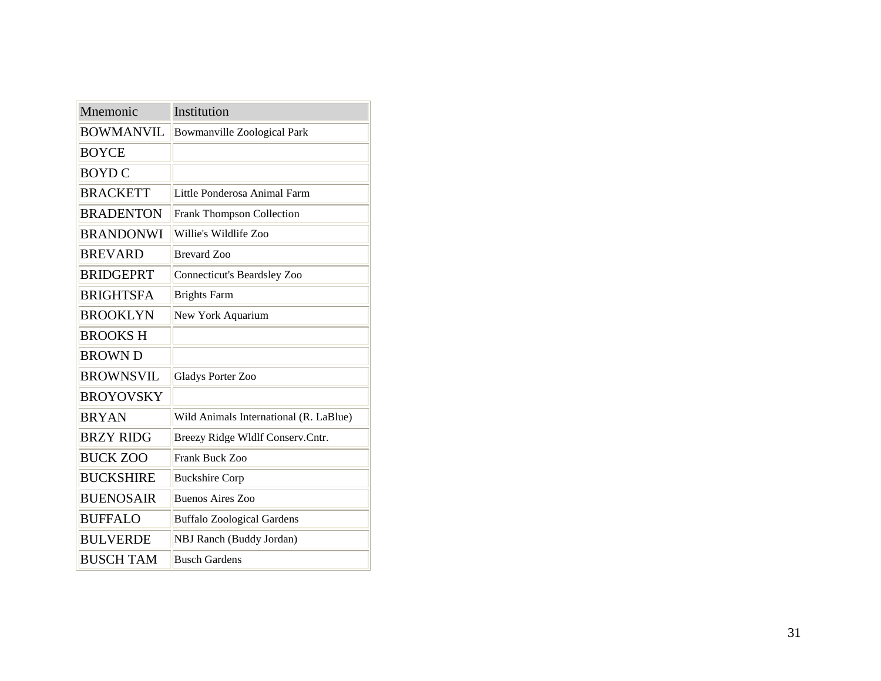| Mnemonic         | Institution                            |
|------------------|----------------------------------------|
| <b>BOWMANVIL</b> | Bowmanville Zoological Park            |
| <b>BOYCE</b>     |                                        |
| <b>BOYD C</b>    |                                        |
| <b>BRACKETT</b>  | Little Ponderosa Animal Farm           |
| <b>BRADENTON</b> | <b>Frank Thompson Collection</b>       |
| <b>BRANDONWI</b> | Willie's Wildlife Zoo                  |
| <b>BREVARD</b>   | <b>Brevard</b> Zoo                     |
| <b>BRIDGEPRT</b> | Connecticut's Beardsley Zoo            |
| <b>BRIGHTSFA</b> | <b>Brights Farm</b>                    |
| <b>BROOKLYN</b>  | New York Aquarium                      |
| <b>BROOKSH</b>   |                                        |
| <b>BROWN D</b>   |                                        |
| <b>BROWNSVIL</b> | <b>Gladys Porter Zoo</b>               |
| <b>BROYOVSKY</b> |                                        |
| <b>BRYAN</b>     | Wild Animals International (R. LaBlue) |
| <b>BRZY RIDG</b> | Breezy Ridge Wldlf Conserv.Cntr.       |
| <b>BUCK ZOO</b>  | Frank Buck Zoo                         |
| <b>BUCKSHIRE</b> | <b>Buckshire Corp</b>                  |
| <b>BUENOSAIR</b> | <b>Buenos Aires Zoo</b>                |
| <b>BUFFALO</b>   | <b>Buffalo Zoological Gardens</b>      |
| <b>BULVERDE</b>  | NBJ Ranch (Buddy Jordan)               |
| <b>BUSCH TAM</b> | <b>Busch Gardens</b>                   |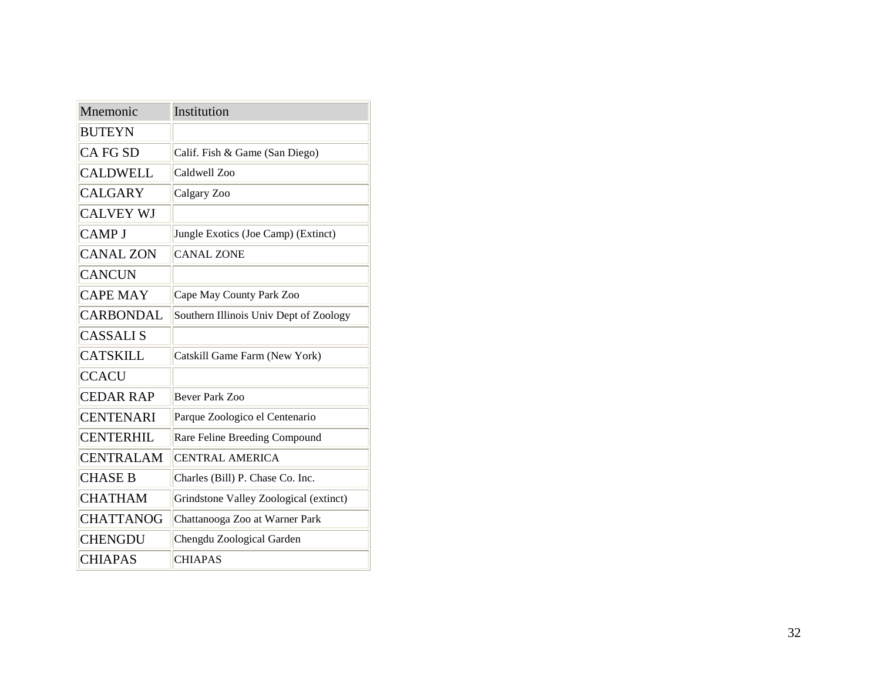| Mnemonic         | Institution                            |
|------------------|----------------------------------------|
| <b>BUTEYN</b>    |                                        |
| <b>CA FG SD</b>  | Calif. Fish & Game (San Diego)         |
| <b>CALDWELL</b>  | Caldwell Zoo                           |
| <b>CALGARY</b>   | Calgary Zoo                            |
| <b>CALVEY WJ</b> |                                        |
| <b>CAMP J</b>    | Jungle Exotics (Joe Camp) (Extinct)    |
| <b>CANAL ZON</b> | <b>CANAL ZONE</b>                      |
| <b>CANCUN</b>    |                                        |
| <b>CAPE MAY</b>  | Cape May County Park Zoo               |
| <b>CARBONDAL</b> | Southern Illinois Univ Dept of Zoology |
| <b>CASSALIS</b>  |                                        |
| <b>CATSKILL</b>  | Catskill Game Farm (New York)          |
| <b>CCACU</b>     |                                        |
| <b>CEDAR RAP</b> | <b>Bever Park Zoo</b>                  |
| <b>CENTENARI</b> | Parque Zoologico el Centenario         |
| <b>CENTERHIL</b> | Rare Feline Breeding Compound          |
| <b>CENTRALAM</b> | <b>CENTRAL AMERICA</b>                 |
| <b>CHASE B</b>   | Charles (Bill) P. Chase Co. Inc.       |
| <b>CHATHAM</b>   | Grindstone Valley Zoological (extinct) |
| <b>CHATTANOG</b> | Chattanooga Zoo at Warner Park         |
| <b>CHENGDU</b>   | Chengdu Zoological Garden              |
| <b>CHIAPAS</b>   | <b>CHIAPAS</b>                         |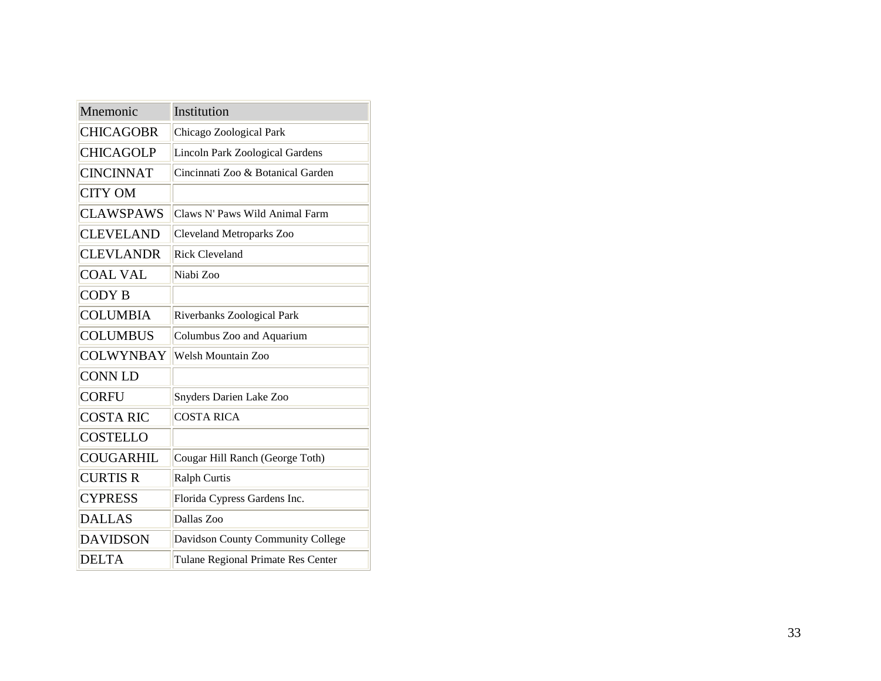| Mnemonic         | Institution                            |
|------------------|----------------------------------------|
| <b>CHICAGOBR</b> | Chicago Zoological Park                |
| <b>CHICAGOLP</b> | <b>Lincoln Park Zoological Gardens</b> |
| <b>CINCINNAT</b> | Cincinnati Zoo & Botanical Garden      |
| <b>CITY OM</b>   |                                        |
| <b>CLAWSPAWS</b> | Claws N' Paws Wild Animal Farm         |
| <b>CLEVELAND</b> | <b>Cleveland Metroparks Zoo</b>        |
| <b>CLEVLANDR</b> | <b>Rick Cleveland</b>                  |
| <b>COAL VAL</b>  | Niabi Zoo                              |
| <b>CODY B</b>    |                                        |
| <b>COLUMBIA</b>  | Riverbanks Zoological Park             |
| <b>COLUMBUS</b>  | Columbus Zoo and Aquarium              |
| <b>COLWYNBAY</b> | <b>Welsh Mountain Zoo</b>              |
| <b>CONN LD</b>   |                                        |
| <b>CORFU</b>     | Snyders Darien Lake Zoo                |
| <b>COSTA RIC</b> | <b>COSTA RICA</b>                      |
| <b>COSTELLO</b>  |                                        |
| <b>COUGARHIL</b> | Cougar Hill Ranch (George Toth)        |
| <b>CURTIS R</b>  | <b>Ralph Curtis</b>                    |
| <b>CYPRESS</b>   | Florida Cypress Gardens Inc.           |
| <b>DALLAS</b>    | Dallas Zoo                             |
| <b>DAVIDSON</b>  | Davidson County Community College      |
| <b>DELTA</b>     | Tulane Regional Primate Res Center     |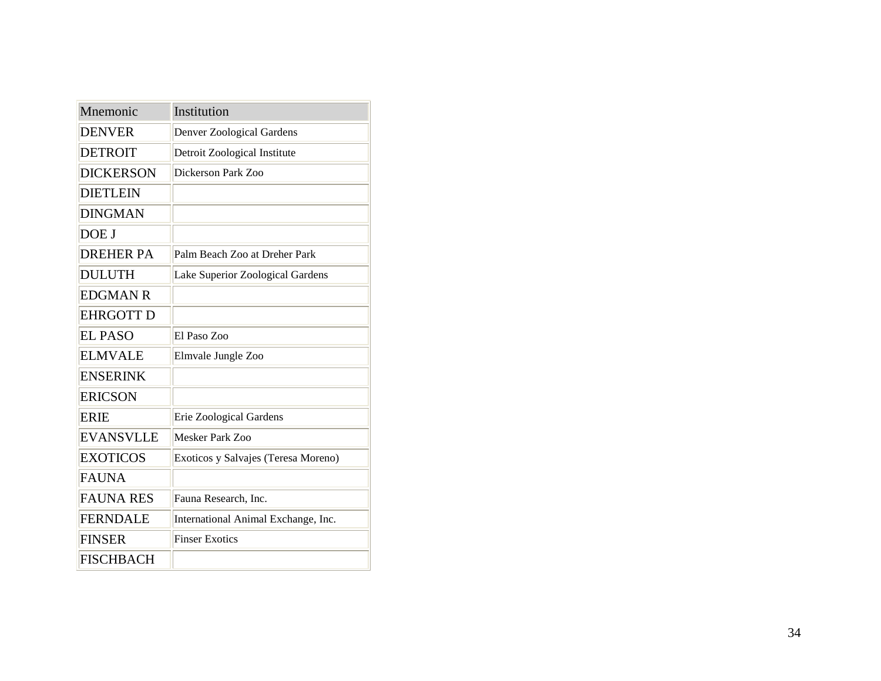| Mnemonic         | Institution                         |
|------------------|-------------------------------------|
| <b>DENVER</b>    | Denver Zoological Gardens           |
| <b>DETROIT</b>   | Detroit Zoological Institute        |
| <b>DICKERSON</b> | Dickerson Park Zoo                  |
| <b>DIETLEIN</b>  |                                     |
| <b>DINGMAN</b>   |                                     |
| DOE J            |                                     |
| <b>DREHER PA</b> | Palm Beach Zoo at Dreher Park       |
| <b>DULUTH</b>    | Lake Superior Zoological Gardens    |
| <b>EDGMAN R</b>  |                                     |
| <b>EHRGOTT D</b> |                                     |
| <b>EL PASO</b>   | El Paso Zoo                         |
| <b>ELMVALE</b>   | Elmvale Jungle Zoo                  |
| <b>ENSERINK</b>  |                                     |
| <b>ERICSON</b>   |                                     |
| <b>ERIE</b>      | Erie Zoological Gardens             |
| <b>EVANSVLLE</b> | Mesker Park Zoo                     |
| <b>EXOTICOS</b>  | Exoticos y Salvajes (Teresa Moreno) |
| <b>FAUNA</b>     |                                     |
| <b>FAUNA RES</b> | Fauna Research, Inc.                |
| <b>FERNDALE</b>  | International Animal Exchange, Inc. |
| <b>FINSER</b>    | <b>Finser Exotics</b>               |
| <b>FISCHBACH</b> |                                     |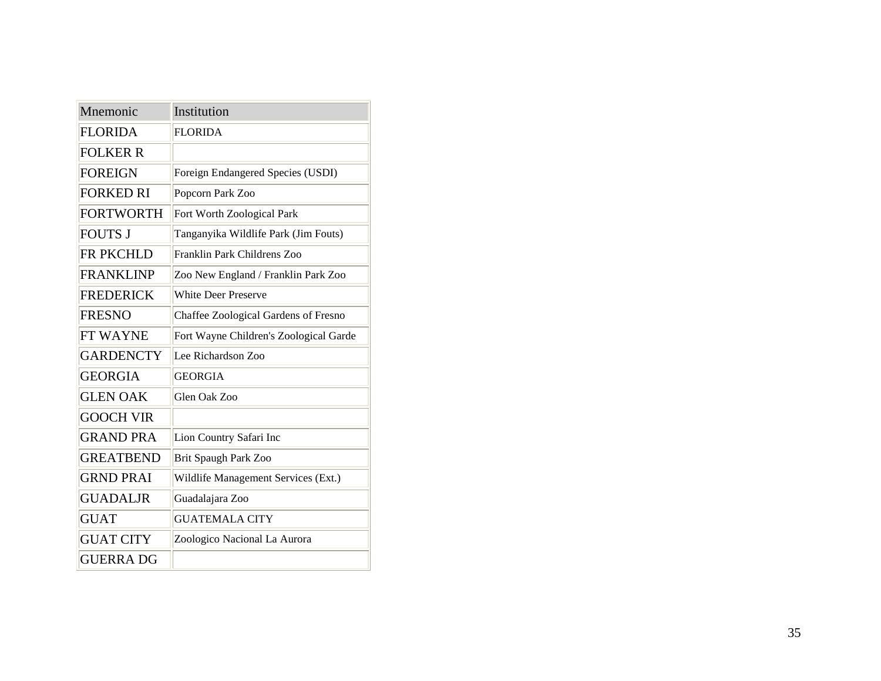| Mnemonic         | Institution                            |
|------------------|----------------------------------------|
| <b>FLORIDA</b>   | <b>FLORIDA</b>                         |
| <b>FOLKER R</b>  |                                        |
| <b>FOREIGN</b>   | Foreign Endangered Species (USDI)      |
| <b>FORKED RI</b> | Popcorn Park Zoo                       |
| <b>FORTWORTH</b> | Fort Worth Zoological Park             |
| <b>FOUTS J</b>   | Tanganyika Wildlife Park (Jim Fouts)   |
| FR PKCHLD        | Franklin Park Childrens Zoo            |
| <b>FRANKLINP</b> | Zoo New England / Franklin Park Zoo    |
| <b>FREDERICK</b> | <b>White Deer Preserve</b>             |
| <b>FRESNO</b>    | Chaffee Zoological Gardens of Fresno   |
| FT WAYNE         | Fort Wayne Children's Zoological Garde |
| <b>GARDENCTY</b> | Lee Richardson Zoo                     |
| <b>GEORGIA</b>   | <b>GEORGIA</b>                         |
| <b>GLEN OAK</b>  | Glen Oak Zoo                           |
| <b>GOOCH VIR</b> |                                        |
| <b>GRAND PRA</b> | Lion Country Safari Inc                |
| <b>GREATBEND</b> | <b>Brit Spaugh Park Zoo</b>            |
| <b>GRND PRAI</b> | Wildlife Management Services (Ext.)    |
| <b>GUADALJR</b>  | Guadalajara Zoo                        |
| <b>GUAT</b>      | <b>GUATEMALA CITY</b>                  |
| <b>GUAT CITY</b> | Zoologico Nacional La Aurora           |
| <b>GUERRA DG</b> |                                        |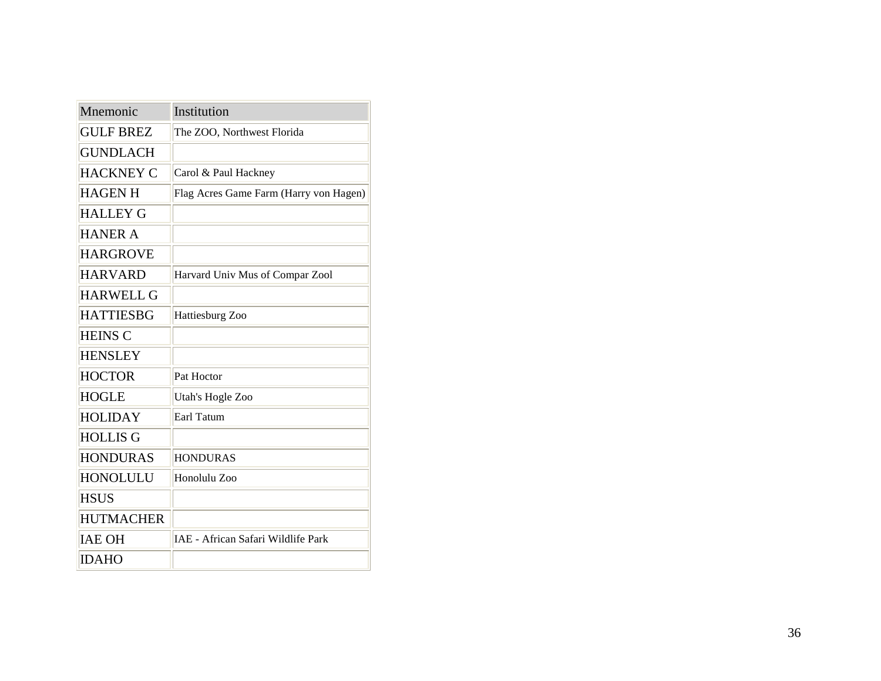| Mnemonic         | Institution                            |
|------------------|----------------------------------------|
| <b>GULF BREZ</b> | The ZOO, Northwest Florida             |
| <b>GUNDLACH</b>  |                                        |
| <b>HACKNEY C</b> | Carol & Paul Hackney                   |
| <b>HAGEN H</b>   | Flag Acres Game Farm (Harry von Hagen) |
| <b>HALLEY G</b>  |                                        |
| <b>HANER A</b>   |                                        |
| <b>HARGROVE</b>  |                                        |
| <b>HARVARD</b>   | Harvard Univ Mus of Compar Zool        |
| <b>HARWELL G</b> |                                        |
| <b>HATTIESBG</b> | Hattiesburg Zoo                        |
| <b>HEINS C</b>   |                                        |
| <b>HENSLEY</b>   |                                        |
| <b>HOCTOR</b>    | Pat Hoctor                             |
| <b>HOGLE</b>     | Utah's Hogle Zoo                       |
| <b>HOLIDAY</b>   | Earl Tatum                             |
| <b>HOLLIS G</b>  |                                        |
| <b>HONDURAS</b>  | <b>HONDURAS</b>                        |
| <b>HONOLULU</b>  | Honolulu Zoo                           |
| <b>HSUS</b>      |                                        |
| <b>HUTMACHER</b> |                                        |
| <b>IAE OH</b>    | IAE - African Safari Wildlife Park     |
| <b>IDAHO</b>     |                                        |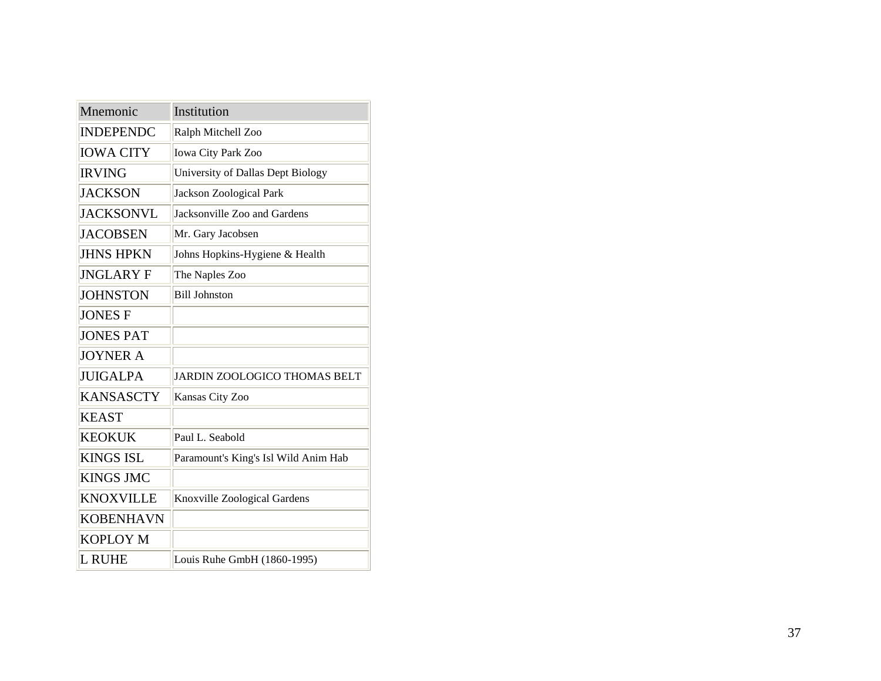| Mnemonic         | Institution                          |
|------------------|--------------------------------------|
| <b>INDEPENDC</b> | Ralph Mitchell Zoo                   |
| <b>IOWA CITY</b> | Iowa City Park Zoo                   |
| <b>IRVING</b>    | University of Dallas Dept Biology    |
| <b>JACKSON</b>   | Jackson Zoological Park              |
| <b>JACKSONVL</b> | Jacksonville Zoo and Gardens         |
| <b>JACOBSEN</b>  | Mr. Gary Jacobsen                    |
| <b>JHNS HPKN</b> | Johns Hopkins-Hygiene & Health       |
| <b>JNGLARY F</b> | The Naples Zoo                       |
| <b>JOHNSTON</b>  | <b>Bill Johnston</b>                 |
| <b>JONES F</b>   |                                      |
| <b>JONES PAT</b> |                                      |
| <b>JOYNER A</b>  |                                      |
| <b>JUIGALPA</b>  | <b>JARDIN ZOOLOGICO THOMAS BELT</b>  |
| <b>KANSASCTY</b> | Kansas City Zoo                      |
| <b>KEAST</b>     |                                      |
| <b>KEOKUK</b>    | Paul L. Seabold                      |
| KINGS ISL        | Paramount's King's Isl Wild Anim Hab |
| <b>KINGS JMC</b> |                                      |
| <b>KNOXVILLE</b> | Knoxville Zoological Gardens         |
| <b>KOBENHAVN</b> |                                      |
| <b>KOPLOY M</b>  |                                      |
| L RUHE           | Louis Ruhe GmbH (1860-1995)          |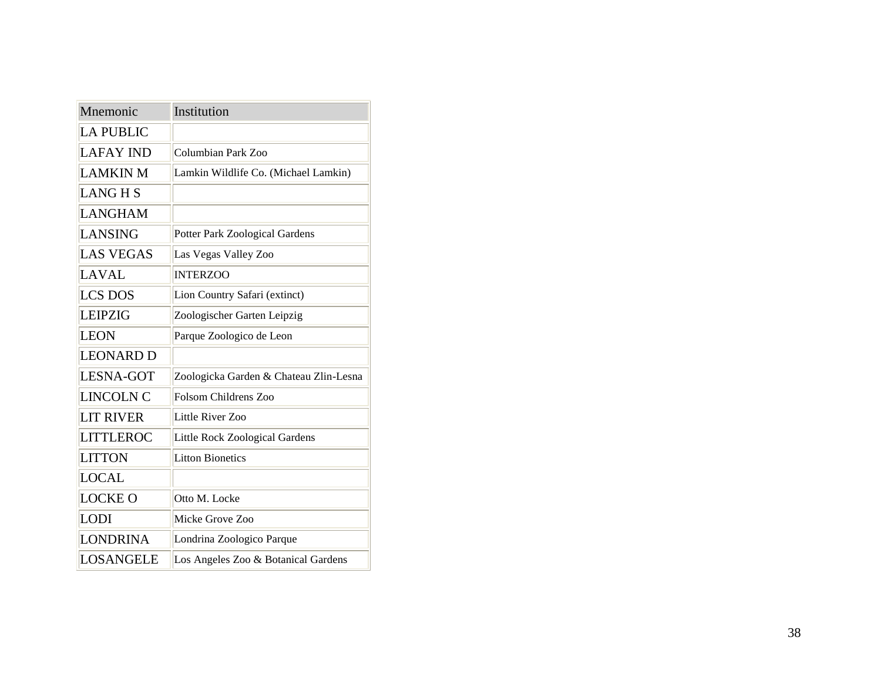| Mnemonic         | Institution                            |
|------------------|----------------------------------------|
| <b>LA PUBLIC</b> |                                        |
| <b>LAFAY IND</b> | Columbian Park Zoo                     |
| <b>LAMKIN M</b>  | Lamkin Wildlife Co. (Michael Lamkin)   |
| <b>LANGHS</b>    |                                        |
| <b>LANGHAM</b>   |                                        |
| <b>LANSING</b>   | <b>Potter Park Zoological Gardens</b>  |
| <b>LAS VEGAS</b> | Las Vegas Valley Zoo                   |
| <b>LAVAL</b>     | <b>INTERZOO</b>                        |
| <b>LCS DOS</b>   | Lion Country Safari (extinct)          |
| <b>LEIPZIG</b>   | Zoologischer Garten Leipzig            |
| <b>LEON</b>      | Parque Zoologico de Leon               |
| <b>LEONARD D</b> |                                        |
| <b>LESNA-GOT</b> | Zoologicka Garden & Chateau Zlin-Lesna |
| <b>LINCOLN C</b> | Folsom Childrens Zoo                   |
| <b>LIT RIVER</b> | Little River Zoo                       |
| <b>LITTLEROC</b> | Little Rock Zoological Gardens         |
| <b>LITTON</b>    | <b>Litton Bionetics</b>                |
| <b>LOCAL</b>     |                                        |
| <b>LOCKE O</b>   | Otto M. Locke                          |
| <b>LODI</b>      | Micke Grove Zoo                        |
| <b>LONDRINA</b>  | Londrina Zoologico Parque              |
| LOSANGELE        | Los Angeles Zoo & Botanical Gardens    |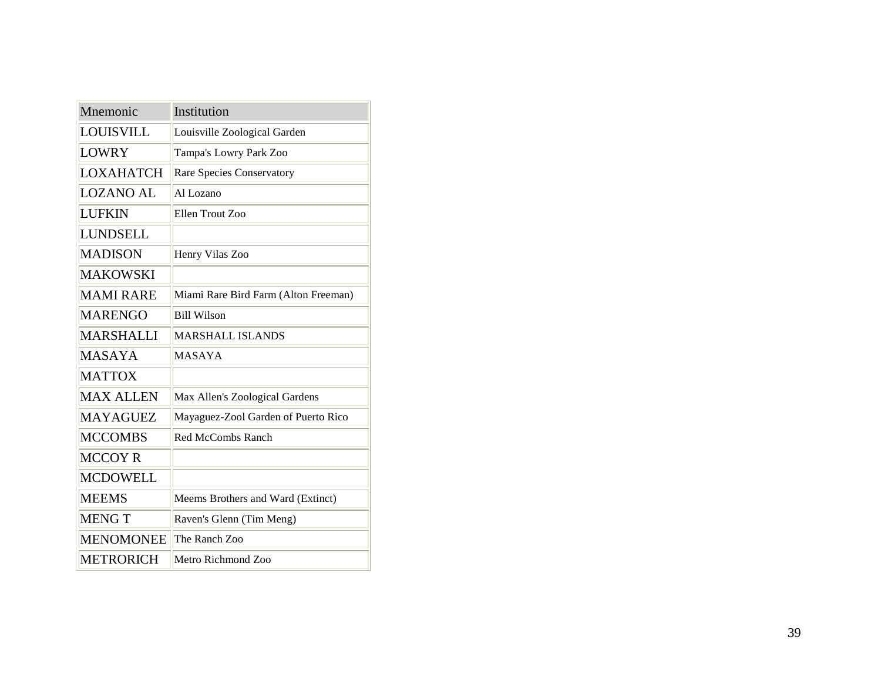| Mnemonic         | Institution                          |
|------------------|--------------------------------------|
| <b>LOUISVILL</b> | Louisville Zoological Garden         |
| <b>LOWRY</b>     | Tampa's Lowry Park Zoo               |
| LOXAHATCH        | Rare Species Conservatory            |
| <b>LOZANO AL</b> | Al Lozano                            |
| <b>LUFKIN</b>    | Ellen Trout Zoo                      |
| LUNDSELL         |                                      |
| <b>MADISON</b>   | Henry Vilas Zoo                      |
| <b>MAKOWSKI</b>  |                                      |
| <b>MAMI RARE</b> | Miami Rare Bird Farm (Alton Freeman) |
| <b>MARENGO</b>   | <b>Bill Wilson</b>                   |
| MARSHALLI        | <b>MARSHALL ISLANDS</b>              |
| MASAYA           | <b>MASAYA</b>                        |
| <b>MATTOX</b>    |                                      |
| <b>MAX ALLEN</b> | Max Allen's Zoological Gardens       |
| <b>MAYAGUEZ</b>  | Mayaguez-Zool Garden of Puerto Rico  |
| <b>MCCOMBS</b>   | <b>Red McCombs Ranch</b>             |
| <b>MCCOY R</b>   |                                      |
| <b>MCDOWELL</b>  |                                      |
| <b>MEEMS</b>     | Meems Brothers and Ward (Extinct)    |
| <b>MENGT</b>     | Raven's Glenn (Tim Meng)             |
| <b>MENOMONEE</b> | The Ranch Zoo                        |
| <b>METRORICH</b> | Metro Richmond Zoo                   |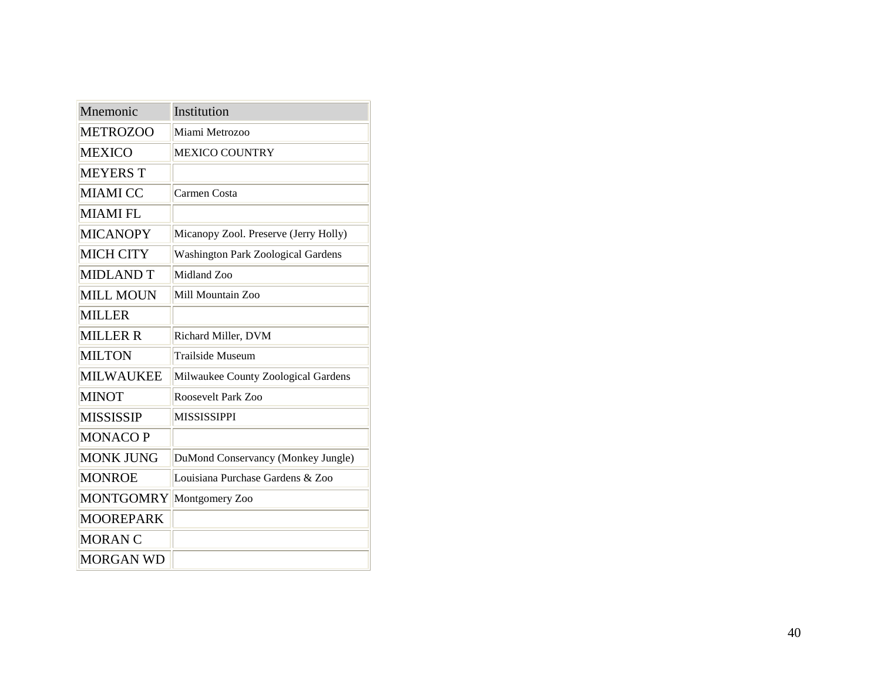| Mnemonic         | Institution                               |
|------------------|-------------------------------------------|
| <b>METROZOO</b>  | Miami Metrozoo                            |
| <b>MEXICO</b>    | <b>MEXICO COUNTRY</b>                     |
| <b>MEYERS T</b>  |                                           |
| <b>MIAMI CC</b>  | Carmen Costa                              |
| <b>MIAMI FL</b>  |                                           |
| <b>MICANOPY</b>  | Micanopy Zool. Preserve (Jerry Holly)     |
| <b>MICH CITY</b> | <b>Washington Park Zoological Gardens</b> |
| <b>MIDLAND T</b> | Midland Zoo                               |
| <b>MILL MOUN</b> | Mill Mountain Zoo                         |
| <b>MILLER</b>    |                                           |
| <b>MILLER R</b>  | Richard Miller, DVM                       |
| <b>MILTON</b>    | <b>Trailside Museum</b>                   |
| <b>MILWAUKEE</b> | Milwaukee County Zoological Gardens       |
| <b>MINOT</b>     | Roosevelt Park Zoo                        |
| <b>MISSISSIP</b> | <b>MISSISSIPPI</b>                        |
| <b>MONACOP</b>   |                                           |
| <b>MONK JUNG</b> | DuMond Conservancy (Monkey Jungle)        |
| <b>MONROE</b>    | Louisiana Purchase Gardens & Zoo          |
| <b>MONTGOMRY</b> | Montgomery Zoo                            |
| <b>MOOREPARK</b> |                                           |
| <b>MORAN C</b>   |                                           |
| <b>MORGAN WD</b> |                                           |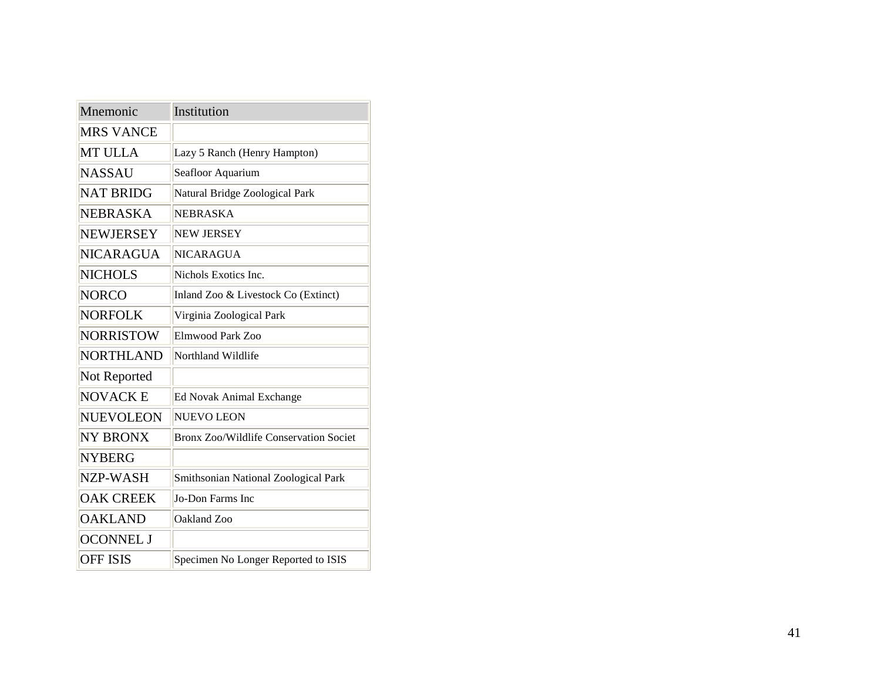| Mnemonic         | Institution                            |
|------------------|----------------------------------------|
| <b>MRS VANCE</b> |                                        |
| <b>MT ULLA</b>   | Lazy 5 Ranch (Henry Hampton)           |
| <b>NASSAU</b>    | Seafloor Aquarium                      |
| <b>NAT BRIDG</b> | Natural Bridge Zoological Park         |
| NEBRASKA         | <b>NEBRASKA</b>                        |
| <b>NEWJERSEY</b> | <b>NEW JERSEY</b>                      |
| <b>NICARAGUA</b> | <b>NICARAGUA</b>                       |
| <b>NICHOLS</b>   | Nichols Exotics Inc.                   |
| <b>NORCO</b>     | Inland Zoo & Livestock Co (Extinct)    |
| <b>NORFOLK</b>   | Virginia Zoological Park               |
| <b>NORRISTOW</b> | Elmwood Park Zoo                       |
| <b>NORTHLAND</b> | Northland Wildlife                     |
| Not Reported     |                                        |
| <b>NOVACK E</b>  | <b>Ed Novak Animal Exchange</b>        |
| NUEVOLEON        | <b>NUEVO LEON</b>                      |
| <b>NY BRONX</b>  | Bronx Zoo/Wildlife Conservation Societ |
| <b>NYBERG</b>    |                                        |
| NZP-WASH         | Smithsonian National Zoological Park   |
| <b>OAK CREEK</b> | Jo-Don Farms Inc                       |
| <b>OAKLAND</b>   | Oakland Zoo                            |
| <b>OCONNEL J</b> |                                        |
| <b>OFF ISIS</b>  | Specimen No Longer Reported to ISIS    |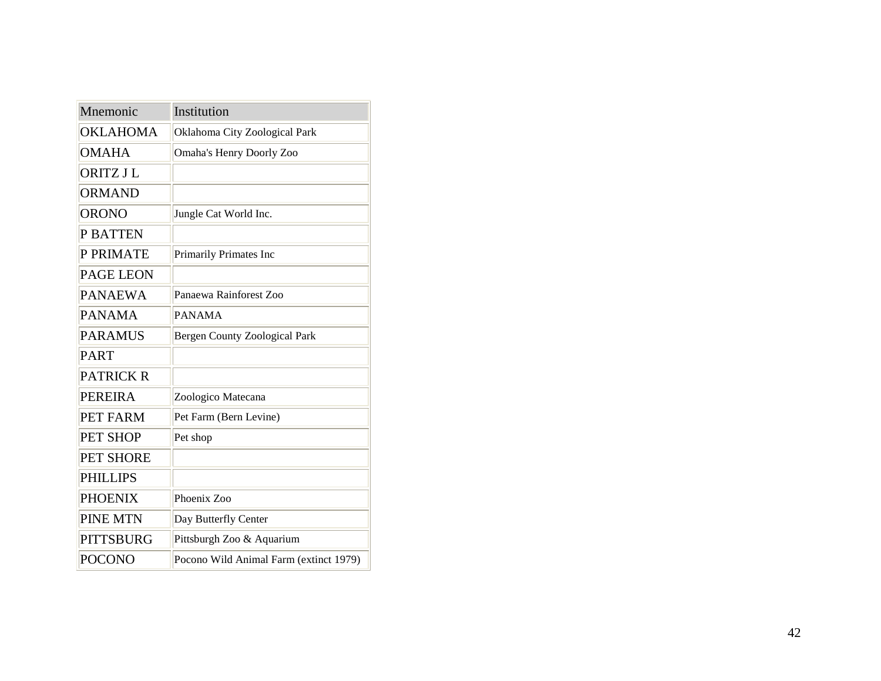| Mnemonic         | Institution                            |
|------------------|----------------------------------------|
| <b>OKLAHOMA</b>  | Oklahoma City Zoological Park          |
| <b>OMAHA</b>     | <b>Omaha's Henry Doorly Zoo</b>        |
| <b>ORITZ J L</b> |                                        |
| <b>ORMAND</b>    |                                        |
| <b>ORONO</b>     | Jungle Cat World Inc.                  |
| <b>P BATTEN</b>  |                                        |
| P PRIMATE        | Primarily Primates Inc                 |
| <b>PAGE LEON</b> |                                        |
| <b>PANAEWA</b>   | Panaewa Rainforest Zoo                 |
| <b>PANAMA</b>    | <b>PANAMA</b>                          |
| <b>PARAMUS</b>   | <b>Bergen County Zoological Park</b>   |
| <b>PART</b>      |                                        |
| <b>PATRICK R</b> |                                        |
| <b>PEREIRA</b>   | Zoologico Matecana                     |
| PET FARM         | Pet Farm (Bern Levine)                 |
| PET SHOP         | Pet shop                               |
| <b>PET SHORE</b> |                                        |
| <b>PHILLIPS</b>  |                                        |
| <b>PHOENIX</b>   | Phoenix Zoo                            |
| <b>PINE MTN</b>  | Day Butterfly Center                   |
| <b>PITTSBURG</b> | Pittsburgh Zoo & Aquarium              |
| <b>POCONO</b>    | Pocono Wild Animal Farm (extinct 1979) |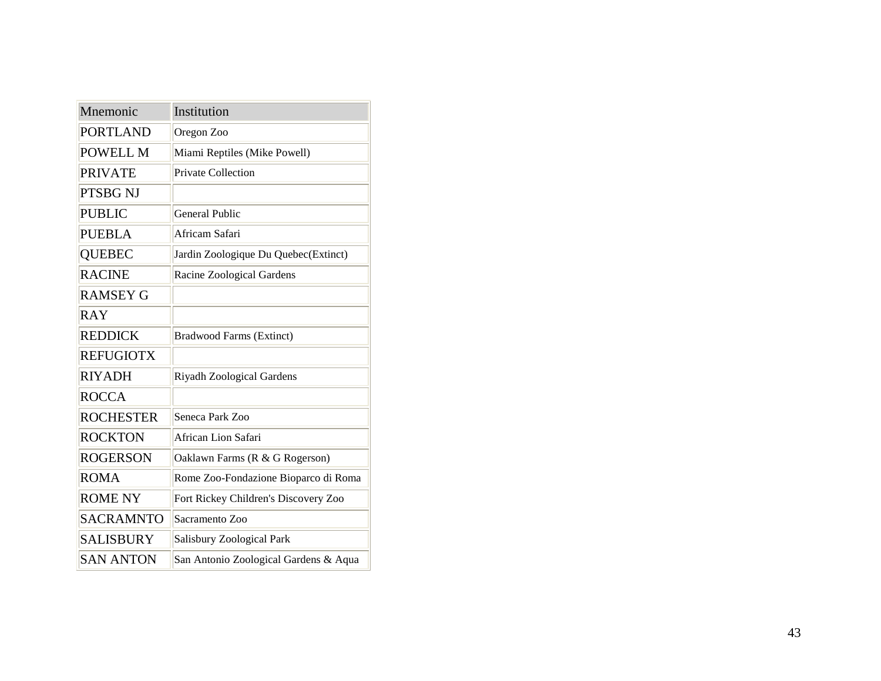| Mnemonic         | Institution                           |
|------------------|---------------------------------------|
| <b>PORTLAND</b>  | Oregon Zoo                            |
| POWELL M         | Miami Reptiles (Mike Powell)          |
| <b>PRIVATE</b>   | <b>Private Collection</b>             |
| PTSBG NJ         |                                       |
| <b>PUBLIC</b>    | <b>General Public</b>                 |
| <b>PUEBLA</b>    | Africam Safari                        |
| <b>QUEBEC</b>    | Jardin Zoologique Du Quebec(Extinct)  |
| <b>RACINE</b>    | Racine Zoological Gardens             |
| <b>RAMSEY G</b>  |                                       |
| <b>RAY</b>       |                                       |
| <b>REDDICK</b>   | <b>Bradwood Farms (Extinct)</b>       |
| <b>REFUGIOTX</b> |                                       |
| <b>RIYADH</b>    | Riyadh Zoological Gardens             |
| <b>ROCCA</b>     |                                       |
| <b>ROCHESTER</b> | Seneca Park Zoo                       |
| <b>ROCKTON</b>   | African Lion Safari                   |
| <b>ROGERSON</b>  | Oaklawn Farms (R & G Rogerson)        |
| <b>ROMA</b>      | Rome Zoo-Fondazione Bioparco di Roma  |
| <b>ROME NY</b>   | Fort Rickey Children's Discovery Zoo  |
| <b>SACRAMNTO</b> | Sacramento Zoo                        |
| SALISBURY        | Salisbury Zoological Park             |
| <b>SAN ANTON</b> | San Antonio Zoological Gardens & Aqua |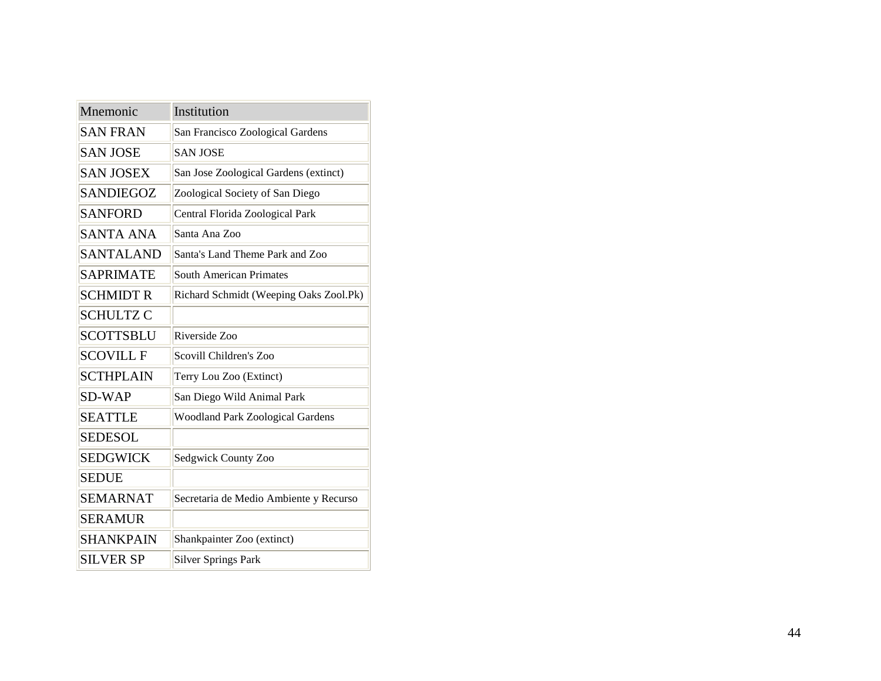| Mnemonic         | Institution                             |
|------------------|-----------------------------------------|
| <b>SAN FRAN</b>  | San Francisco Zoological Gardens        |
| <b>SAN JOSE</b>  | <b>SAN JOSE</b>                         |
| <b>SAN JOSEX</b> | San Jose Zoological Gardens (extinct)   |
| <b>SANDIEGOZ</b> | Zoological Society of San Diego         |
| <b>SANFORD</b>   | Central Florida Zoological Park         |
| <b>SANTA ANA</b> | Santa Ana Zoo                           |
| <b>SANTALAND</b> | Santa's Land Theme Park and Zoo         |
| <b>SAPRIMATE</b> | South American Primates                 |
| <b>SCHMIDT R</b> | Richard Schmidt (Weeping Oaks Zool.Pk)  |
| <b>SCHULTZ C</b> |                                         |
| <b>SCOTTSBLU</b> | Riverside Zoo                           |
| <b>SCOVILL F</b> | Scovill Children's Zoo                  |
| <b>SCTHPLAIN</b> | Terry Lou Zoo (Extinct)                 |
| <b>SD-WAP</b>    | San Diego Wild Animal Park              |
| <b>SEATTLE</b>   | <b>Woodland Park Zoological Gardens</b> |
| <b>SEDESOL</b>   |                                         |
| <b>SEDGWICK</b>  | Sedgwick County Zoo                     |
| <b>SEDUE</b>     |                                         |
| <b>SEMARNAT</b>  | Secretaria de Medio Ambiente y Recurso  |
| <b>SERAMUR</b>   |                                         |
| SHANKPAIN        | Shankpainter Zoo (extinct)              |
| <b>SILVER SP</b> | <b>Silver Springs Park</b>              |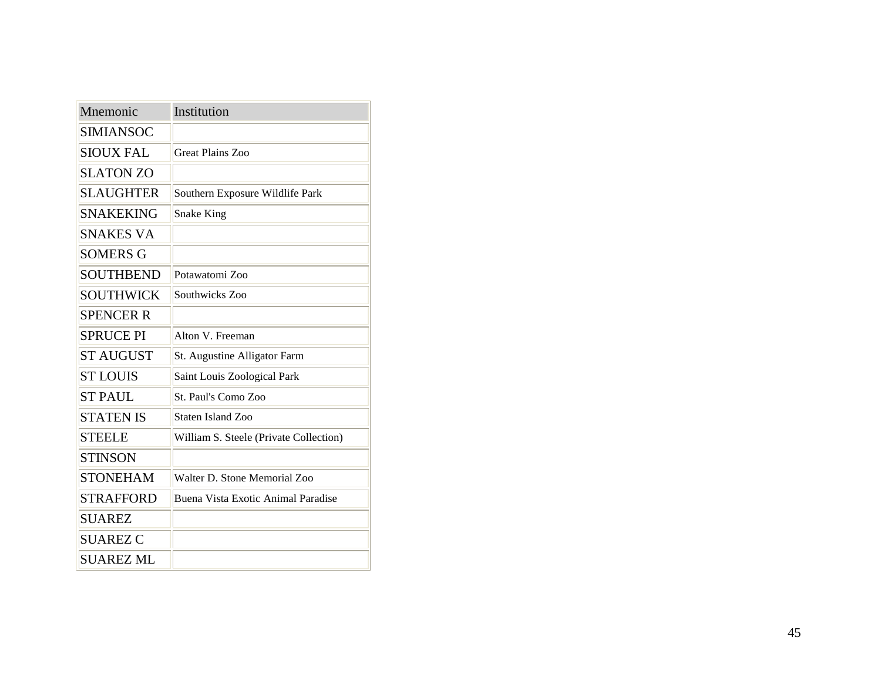| Mnemonic         | Institution                            |
|------------------|----------------------------------------|
| <b>SIMIANSOC</b> |                                        |
| <b>SIOUX FAL</b> | Great Plains Zoo                       |
| <b>SLATON ZO</b> |                                        |
| <b>SLAUGHTER</b> | Southern Exposure Wildlife Park        |
| <b>SNAKEKING</b> | Snake King                             |
| <b>SNAKES VA</b> |                                        |
| <b>SOMERS G</b>  |                                        |
| <b>SOUTHBEND</b> | Potawatomi Zoo                         |
| <b>SOUTHWICK</b> | Southwicks Zoo                         |
| <b>SPENCER R</b> |                                        |
| <b>SPRUCE PI</b> | Alton V. Freeman                       |
| <b>ST AUGUST</b> | St. Augustine Alligator Farm           |
| <b>ST LOUIS</b>  | Saint Louis Zoological Park            |
| <b>ST PAUL</b>   | St. Paul's Como Zoo                    |
| <b>STATEN IS</b> | Staten Island Zoo                      |
| <b>STEELE</b>    | William S. Steele (Private Collection) |
| <b>STINSON</b>   |                                        |
| <b>STONEHAM</b>  | Walter D. Stone Memorial Zoo           |
| <b>STRAFFORD</b> | Buena Vista Exotic Animal Paradise     |
| <b>SUAREZ</b>    |                                        |
| <b>SUAREZ C</b>  |                                        |
| <b>SUAREZ ML</b> |                                        |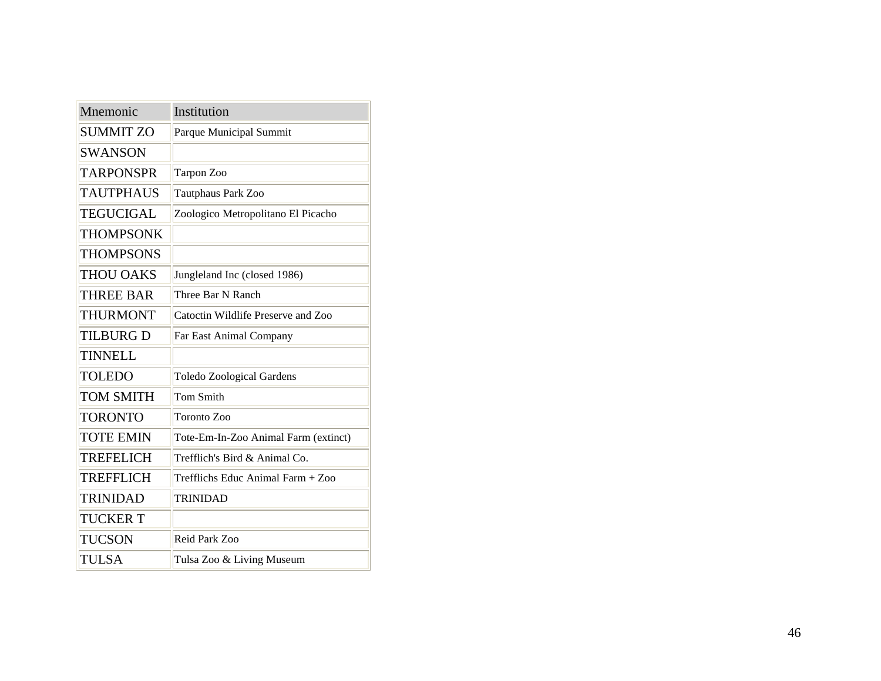| Mnemonic         | Institution                          |
|------------------|--------------------------------------|
| <b>SUMMIT ZO</b> | Parque Municipal Summit              |
| <b>SWANSON</b>   |                                      |
| <b>TARPONSPR</b> | Tarpon Zoo                           |
| <b>TAUTPHAUS</b> | Tautphaus Park Zoo                   |
| <b>TEGUCIGAL</b> | Zoologico Metropolitano El Picacho   |
| <b>THOMPSONK</b> |                                      |
| <b>THOMPSONS</b> |                                      |
| <b>THOU OAKS</b> | Jungleland Inc (closed 1986)         |
| <b>THREE BAR</b> | Three Bar N Ranch                    |
| <b>THURMONT</b>  | Catoctin Wildlife Preserve and Zoo   |
| <b>TILBURG D</b> | Far East Animal Company              |
| <b>TINNELL</b>   |                                      |
| <b>TOLEDO</b>    | <b>Toledo Zoological Gardens</b>     |
| <b>TOM SMITH</b> | <b>Tom Smith</b>                     |
| <b>TORONTO</b>   | Toronto Zoo                          |
| <b>TOTE EMIN</b> | Tote-Em-In-Zoo Animal Farm (extinct) |
| TREFELICH        | Trefflich's Bird & Animal Co.        |
| <b>TREFFLICH</b> | Trefflichs Educ Animal Farm + Zoo    |
| <b>TRINIDAD</b>  | <b>TRINIDAD</b>                      |
| <b>TUCKER T</b>  |                                      |
| <b>TUCSON</b>    | Reid Park Zoo                        |
| <b>TULSA</b>     | Tulsa Zoo & Living Museum            |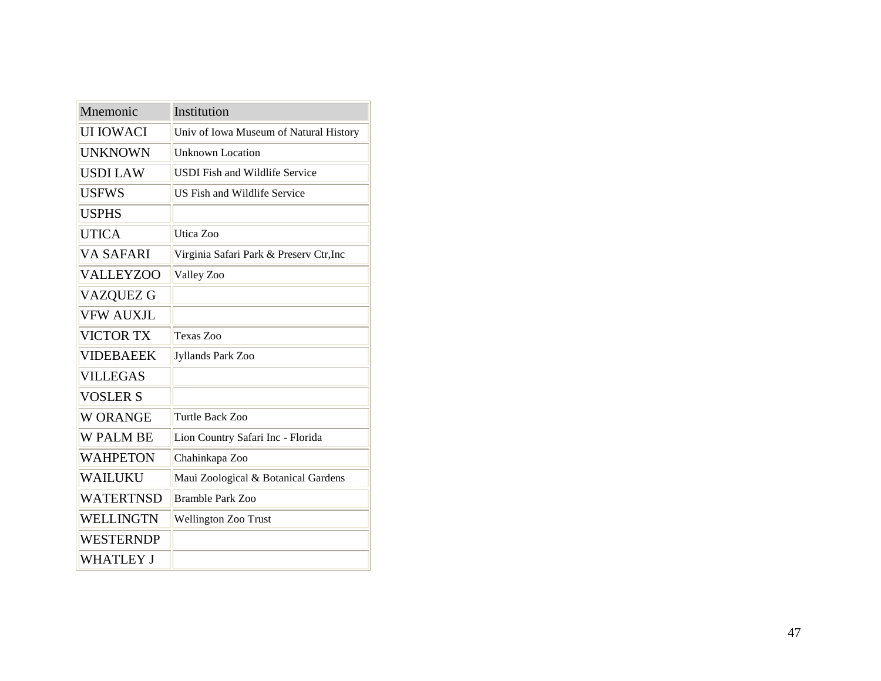| Mnemonic         | Institution                             |
|------------------|-----------------------------------------|
| UI IOWACI        | Univ of Iowa Museum of Natural History  |
| UNKNOWN          | <b>Unknown Location</b>                 |
| <b>USDI LAW</b>  | <b>USDI</b> Fish and Wildlife Service   |
| <b>USFWS</b>     | US Fish and Wildlife Service            |
| <b>USPHS</b>     |                                         |
| <b>UTICA</b>     | Utica Zoo                               |
| VA SAFARI        | Virginia Safari Park & Preserv Ctr, Inc |
| <b>VALLEYZOO</b> | Valley Zoo                              |
| VAZQUEZ G        |                                         |
| <b>VFW AUXJL</b> |                                         |
| <b>VICTOR TX</b> | Texas Zoo                               |
| <b>VIDEBAEEK</b> | Jyllands Park Zoo                       |
| <b>VILLEGAS</b>  |                                         |
| <b>VOSLER S</b>  |                                         |
| <b>W ORANGE</b>  | Turtle Back Zoo                         |
| <b>W PALM BE</b> | Lion Country Safari Inc - Florida       |
| WAHPETON         | Chahinkapa Zoo                          |
| WAILUKU          | Maui Zoological & Botanical Gardens     |
| <b>WATERTNSD</b> | Bramble Park Zoo                        |
| WELLINGTN        | Wellington Zoo Trust                    |
| <b>WESTERNDP</b> |                                         |
| WHATLEY J        |                                         |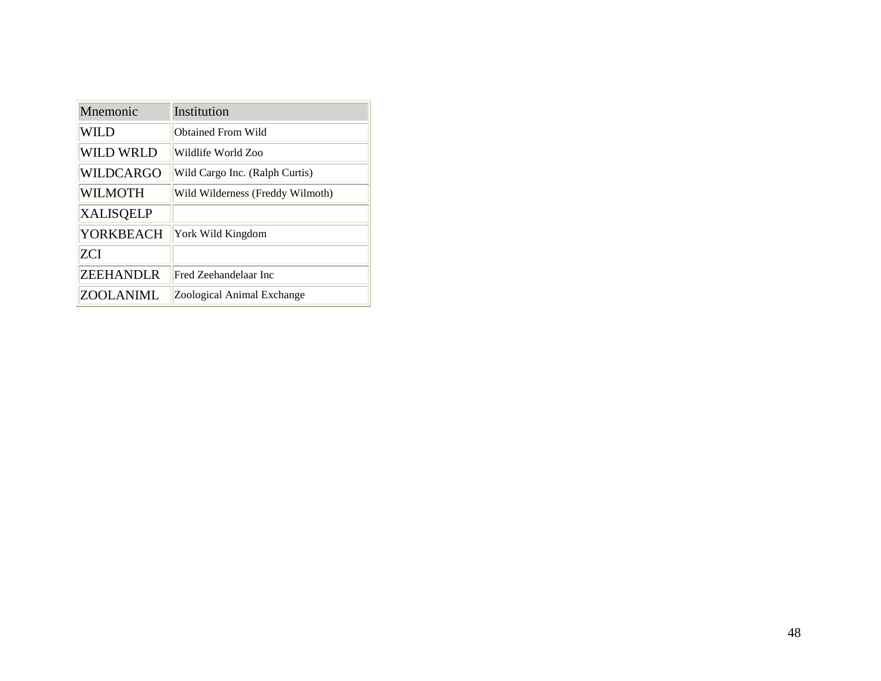| Mnemonic         | Institution                      |
|------------------|----------------------------------|
| WILD             | Obtained From Wild               |
| WILD WRLD        | Wildlife World Zoo               |
| WILDCARGO        | Wild Cargo Inc. (Ralph Curtis)   |
| WILMOTH          | Wild Wilderness (Freddy Wilmoth) |
| <b>XALISQELP</b> |                                  |
| YORKBEACH        | York Wild Kingdom                |
| ZCI              |                                  |
| ZEEHANDLR        | Fred Zeehandelaar Inc            |
| <b>ZOOLANIML</b> | Zoological Animal Exchange       |